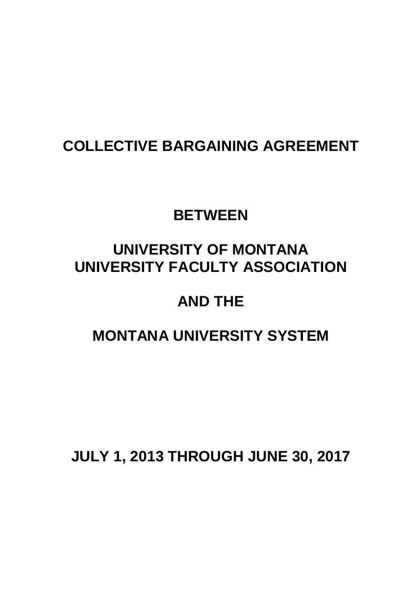# **COLLECTIVE BARGAINING AGREEMENT**

# **BETWEEN**

# **UNIVERSITY OF MONTANA UNIVERSITY FACULTY ASSOCIATION**

# **AND THE**

# **MONTANA UNIVERSITY SYSTEM**

**JULY 1, 2013 THROUGH JUNE 30, 2017**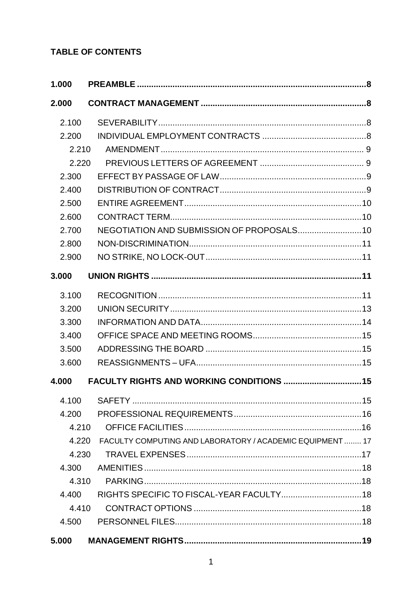# **TABLE OF CONTENTS**

| 1.000 |                                                           |  |
|-------|-----------------------------------------------------------|--|
| 2.000 |                                                           |  |
| 2.100 |                                                           |  |
| 2.200 |                                                           |  |
| 2.210 |                                                           |  |
| 2.220 |                                                           |  |
| 2.300 |                                                           |  |
| 2.400 |                                                           |  |
| 2.500 |                                                           |  |
| 2.600 |                                                           |  |
| 2.700 |                                                           |  |
| 2.800 |                                                           |  |
| 2.900 |                                                           |  |
| 3.000 |                                                           |  |
| 3.100 |                                                           |  |
| 3.200 |                                                           |  |
| 3.300 |                                                           |  |
| 3.400 |                                                           |  |
| 3.500 |                                                           |  |
| 3.600 |                                                           |  |
| 4.000 | <b>FACULTY RIGHTS AND WORKING CONDITIONS 15</b>           |  |
| 4.100 |                                                           |  |
| 4.200 |                                                           |  |
| 4.210 |                                                           |  |
| 4.220 | FACULTY COMPUTING AND LABORATORY / ACADEMIC EQUIPMENT  17 |  |
| 4.230 |                                                           |  |
| 4.300 |                                                           |  |
| 4.310 |                                                           |  |
| 4.400 |                                                           |  |
| 4.410 |                                                           |  |
| 4.500 |                                                           |  |
| 5.000 |                                                           |  |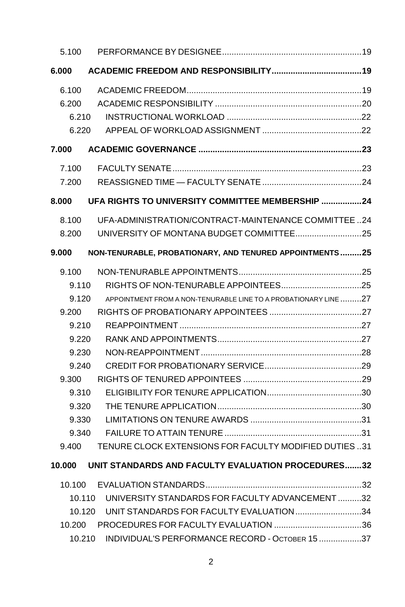| 5.100  |                                                                 |  |
|--------|-----------------------------------------------------------------|--|
| 6.000  |                                                                 |  |
| 6.100  |                                                                 |  |
| 6.200  |                                                                 |  |
| 6.210  |                                                                 |  |
| 6.220  |                                                                 |  |
| 7.000  |                                                                 |  |
| 7.100  |                                                                 |  |
| 7.200  |                                                                 |  |
| 8.000  | UFA RIGHTS TO UNIVERSITY COMMITTEE MEMBERSHIP 24                |  |
| 8.100  | UFA-ADMINISTRATION/CONTRACT-MAINTENANCE COMMITTEE24             |  |
| 8.200  |                                                                 |  |
| 9.000  | NON-TENURABLE, PROBATIONARY, AND TENURED APPOINTMENTS25         |  |
| 9.100  |                                                                 |  |
| 9.110  |                                                                 |  |
| 9.120  | APPOINTMENT FROM A NON-TENURABLE LINE TO A PROBATIONARY LINE 27 |  |
| 9.200  |                                                                 |  |
| 9.210  |                                                                 |  |
| 9.220  |                                                                 |  |
| 9.230  |                                                                 |  |
| 9.240  |                                                                 |  |
| 9.300  |                                                                 |  |
| 9.310  |                                                                 |  |
| 9.320  |                                                                 |  |
| 9.330  |                                                                 |  |
| 9.340  |                                                                 |  |
| 9.400  | TENURE CLOCK EXTENSIONS FOR FACULTY MODIFIED DUTIES31           |  |
|        | 10.000 UNIT STANDARDS AND FACULTY EVALUATION PROCEDURES32       |  |
| 10.100 |                                                                 |  |
| 10.110 | UNIVERSITY STANDARDS FOR FACULTY ADVANCEMENT32                  |  |
| 10.120 | UNIT STANDARDS FOR FACULTY EVALUATION 34                        |  |
| 10.200 |                                                                 |  |
| 10.210 | INDIVIDUAL'S PERFORMANCE RECORD - OCTOBER 15 37                 |  |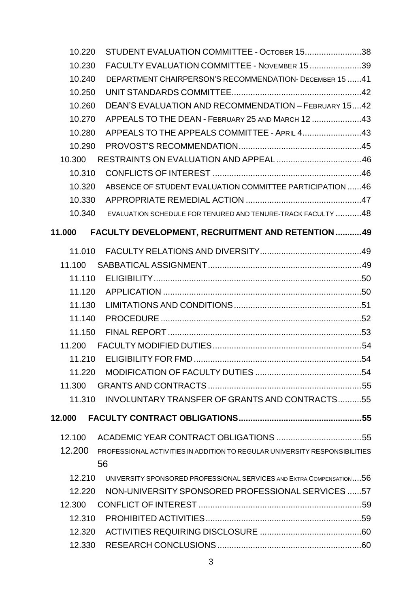| 10.220 | STUDENT EVALUATION COMMITTEE - OCTOBER 1538                                |  |
|--------|----------------------------------------------------------------------------|--|
| 10.230 | FACULTY EVALUATION COMMITTEE - NOVEMBER 1539                               |  |
| 10.240 | DEPARTMENT CHAIRPERSON'S RECOMMENDATION- DECEMBER 15 41                    |  |
| 10.250 |                                                                            |  |
| 10.260 | DEAN'S EVALUATION AND RECOMMENDATION - FEBRUARY 1542                       |  |
| 10.270 | APPEALS TO THE DEAN - FEBRUARY 25 AND MARCH 12 43                          |  |
| 10.280 | APPEALS TO THE APPEALS COMMITTEE - APRIL 443                               |  |
| 10.290 |                                                                            |  |
| 10.300 |                                                                            |  |
| 10.310 |                                                                            |  |
| 10.320 | ABSENCE OF STUDENT EVALUATION COMMITTEE PARTICIPATION 46                   |  |
| 10.330 |                                                                            |  |
| 10.340 | EVALUATION SCHEDULE FOR TENURED AND TENURE-TRACK FACULTY 48                |  |
| 11.000 | FACULTY DEVELOPMENT, RECRUITMENT AND RETENTION 49                          |  |
| 11.010 |                                                                            |  |
| 11.100 |                                                                            |  |
| 11.110 |                                                                            |  |
| 11.120 |                                                                            |  |
| 11.130 |                                                                            |  |
| 11.140 |                                                                            |  |
| 11.150 |                                                                            |  |
| 11.200 |                                                                            |  |
| 11.210 |                                                                            |  |
| 11.220 |                                                                            |  |
| 11.300 |                                                                            |  |
| 11.310 | INVOLUNTARY TRANSFER OF GRANTS AND CONTRACTS55                             |  |
| 12.000 |                                                                            |  |
| 12.100 |                                                                            |  |
| 12.200 | PROFESSIONAL ACTIVITIES IN ADDITION TO REGULAR UNIVERSITY RESPONSIBILITIES |  |
|        | 56                                                                         |  |
| 12.210 | UNIVERSITY SPONSORED PROFESSIONAL SERVICES AND EXTRA COMPENSATION56        |  |
| 12.220 | NON-UNIVERSITY SPONSORED PROFESSIONAL SERVICES 57                          |  |
| 12.300 |                                                                            |  |
| 12.310 |                                                                            |  |
| 12.320 |                                                                            |  |
| 12.330 |                                                                            |  |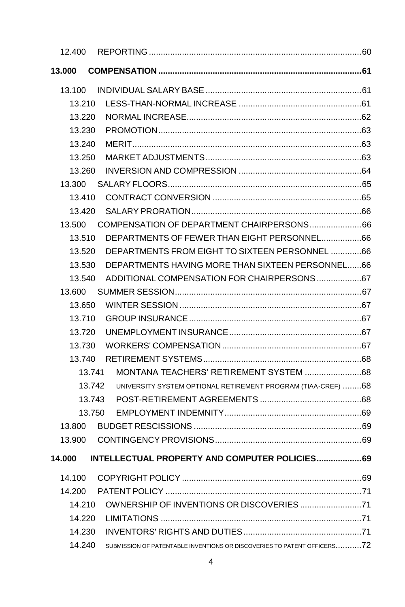| 12.400 |                                                                         |  |
|--------|-------------------------------------------------------------------------|--|
| 13.000 |                                                                         |  |
| 13.100 |                                                                         |  |
| 13.210 |                                                                         |  |
| 13.220 |                                                                         |  |
| 13.230 |                                                                         |  |
| 13.240 |                                                                         |  |
| 13.250 |                                                                         |  |
| 13.260 |                                                                         |  |
| 13.300 |                                                                         |  |
| 13.410 |                                                                         |  |
| 13.420 |                                                                         |  |
| 13.500 | COMPENSATION OF DEPARTMENT CHAIRPERSONS66                               |  |
| 13.510 | DEPARTMENTS OF FEWER THAN EIGHT PERSONNEL66                             |  |
| 13.520 | DEPARTMENTS FROM EIGHT TO SIXTEEN PERSONNEL 66                          |  |
| 13.530 | DEPARTMENTS HAVING MORE THAN SIXTEEN PERSONNEL66                        |  |
| 13.540 |                                                                         |  |
| 13.600 |                                                                         |  |
| 13.650 |                                                                         |  |
| 13.710 |                                                                         |  |
| 13.720 |                                                                         |  |
| 13.730 |                                                                         |  |
| 13.740 |                                                                         |  |
| 13.741 |                                                                         |  |
| 13.742 | UNIVERSITY SYSTEM OPTIONAL RETIREMENT PROGRAM (TIAA-CREF) 68            |  |
| 13.743 |                                                                         |  |
| 13.750 |                                                                         |  |
| 13.800 |                                                                         |  |
| 13.900 |                                                                         |  |
| 14.000 | INTELLECTUAL PROPERTY AND COMPUTER POLICIES 69                          |  |
| 14.100 |                                                                         |  |
| 14.200 |                                                                         |  |
| 14.210 |                                                                         |  |
| 14.220 |                                                                         |  |
| 14.230 |                                                                         |  |
| 14.240 | SUBMISSION OF PATENTABLE INVENTIONS OR DISCOVERIES TO PATENT OFFICERS72 |  |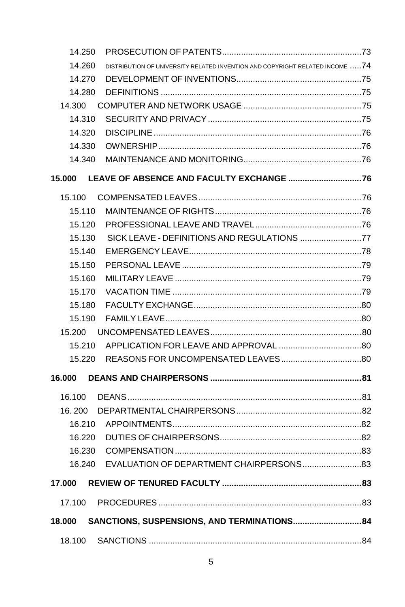| 14.250 |                                                                               |  |
|--------|-------------------------------------------------------------------------------|--|
| 14.260 | DISTRIBUTION OF UNIVERSITY RELATED INVENTION AND COPYRIGHT RELATED INCOME  74 |  |
| 14.270 |                                                                               |  |
| 14.280 |                                                                               |  |
| 14.300 |                                                                               |  |
| 14.310 |                                                                               |  |
| 14.320 |                                                                               |  |
| 14.330 |                                                                               |  |
| 14.340 |                                                                               |  |
| 15.000 |                                                                               |  |
|        |                                                                               |  |
| 15.110 |                                                                               |  |
| 15.120 |                                                                               |  |
| 15.130 | SICK LEAVE - DEFINITIONS AND REGULATIONS 77                                   |  |
| 15.140 |                                                                               |  |
| 15.150 |                                                                               |  |
| 15.160 |                                                                               |  |
| 15.170 |                                                                               |  |
| 15.180 |                                                                               |  |
| 15.190 |                                                                               |  |
| 15.200 |                                                                               |  |
| 15.210 |                                                                               |  |
| 15.220 |                                                                               |  |
| 16.000 |                                                                               |  |
| 16.100 |                                                                               |  |
| 16.200 |                                                                               |  |
| 16.210 |                                                                               |  |
| 16.220 |                                                                               |  |
| 16.230 |                                                                               |  |
| 16.240 |                                                                               |  |
| 17.000 |                                                                               |  |
| 17.100 |                                                                               |  |
| 18.000 | SANCTIONS, SUSPENSIONS, AND TERMINATIONS 84                                   |  |
|        |                                                                               |  |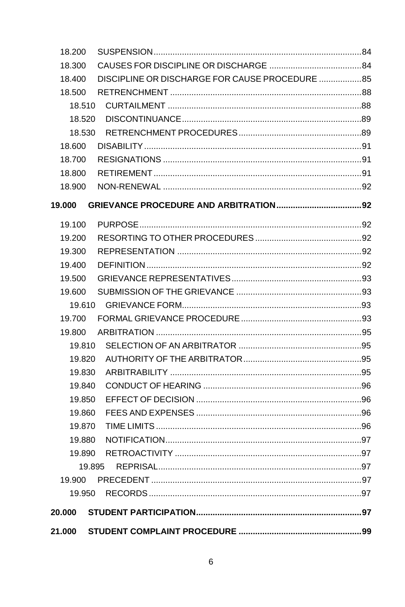| 18.200 |                                                |  |
|--------|------------------------------------------------|--|
| 18.300 |                                                |  |
| 18.400 | DISCIPLINE OR DISCHARGE FOR CAUSE PROCEDURE 85 |  |
| 18.500 |                                                |  |
| 18.510 |                                                |  |
| 18.520 |                                                |  |
| 18.530 |                                                |  |
| 18.600 |                                                |  |
| 18.700 | RESIGNATIONS ……………………………………………………………………………91   |  |
| 18,800 |                                                |  |
| 18.900 |                                                |  |
| 19,000 |                                                |  |
| 19.100 |                                                |  |
| 19.200 |                                                |  |
| 19.300 |                                                |  |
| 19.400 |                                                |  |
| 19.500 |                                                |  |
| 19.600 |                                                |  |
| 19.610 |                                                |  |
| 19.700 |                                                |  |
| 19,800 |                                                |  |
| 19.810 |                                                |  |
| 19.820 |                                                |  |
| 19.830 |                                                |  |
| 19.840 |                                                |  |
| 19.850 |                                                |  |
| 19.860 |                                                |  |
| 19.870 |                                                |  |
| 19.880 |                                                |  |
| 19.890 |                                                |  |
|        |                                                |  |
| 19.900 |                                                |  |
| 19.950 |                                                |  |
| 20.000 |                                                |  |
| 21.000 |                                                |  |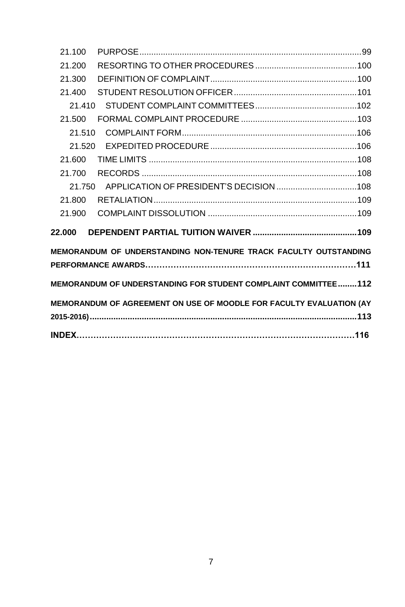<span id="page-7-0"></span>

| 21.100                                                              |
|---------------------------------------------------------------------|
| 21.200                                                              |
| 21.300                                                              |
| 21.400                                                              |
| 21.410                                                              |
| 21.500                                                              |
| 21.510                                                              |
| 21.520                                                              |
| 21.600                                                              |
| 21.700                                                              |
| 21.750                                                              |
| 21.800                                                              |
| 21.900                                                              |
| 22.000                                                              |
| MEMORANDUM OF UNDERSTANDING NON-TENURE TRACK FACULTY OUTSTANDING    |
| PERFORMANCE AWARDS…………………………………………………………………111                      |
| MEMORANDUM OF UNDERSTANDING FOR STUDENT COMPLAINT COMMITTEE112      |
| MEMORANDUM OF AGREEMENT ON USE OF MOODLE FOR FACULTY EVALUATION (AY |
|                                                                     |
|                                                                     |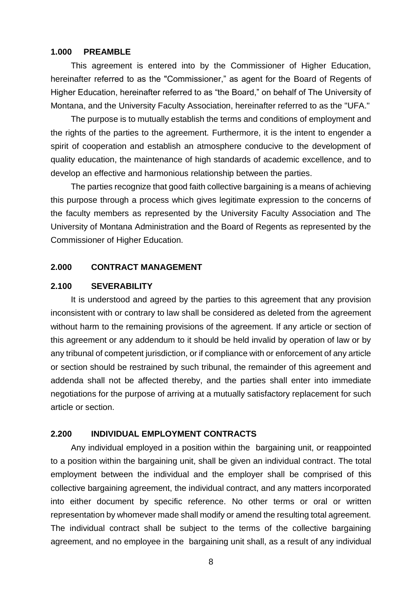#### **1.000 PREAMBLE**

This agreement is entered into by the Commissioner of Higher Education, hereinafter referred to as the "Commissioner," as agent for the Board of Regents of Higher Education, hereinafter referred to as "the Board," on behalf of The University of Montana, and the University Faculty Association, hereinafter referred to as the "UFA."

The purpose is to mutually establish the terms and conditions of employment and the rights of the parties to the agreement. Furthermore, it is the intent to engender a spirit of cooperation and establish an atmosphere conducive to the development of quality education, the maintenance of high standards of academic excellence, and to develop an effective and harmonious relationship between the parties.

The parties recognize that good faith collective bargaining is a means of achieving this purpose through a process which gives legitimate expression to the concerns of the faculty members as represented by the University Faculty Association and The University of Montana Administration and the Board of Regents as represented by the Commissioner of Higher Education.

### <span id="page-8-0"></span>**2.000 CONTRACT MANAGEMENT**

#### <span id="page-8-1"></span>**2.100 SEVERABILITY**

It is understood and agreed by the parties to this agreement that any provision inconsistent with or contrary to law shall be considered as deleted from the agreement without harm to the remaining provisions of the agreement. If any article or section of this agreement or any addendum to it should be held invalid by operation of law or by any tribunal of competent jurisdiction, or if compliance with or enforcement of any article or section should be restrained by such tribunal, the remainder of this agreement and addenda shall not be affected thereby, and the parties shall enter into immediate negotiations for the purpose of arriving at a mutually satisfactory replacement for such article or section.

### <span id="page-8-2"></span>**2.200 INDIVIDUAL EMPLOYMENT CONTRACTS**

Any individual employed in a position within the bargaining unit, or reappointed to a position within the bargaining unit, shall be given an individual contract. The total employment between the individual and the employer shall be comprised of this collective bargaining agreement, the individual contract, and any matters incorporated into either document by specific reference. No other terms or oral or written representation by whomever made shall modify or amend the resulting total agreement. The individual contract shall be subject to the terms of the collective bargaining agreement, and no employee in the bargaining unit shall, as a result of any individual

8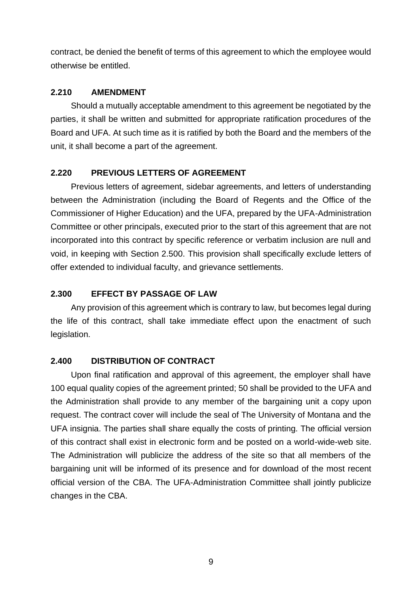contract, be denied the benefit of terms of this agreement to which the employee would otherwise be entitled.

# <span id="page-9-0"></span>**2.210 AMENDMENT**

Should a mutually acceptable amendment to this agreement be negotiated by the parties, it shall be written and submitted for appropriate ratification procedures of the Board and UFA. At such time as it is ratified by both the Board and the members of the unit, it shall become a part of the agreement.

# <span id="page-9-1"></span>**2.220 PREVIOUS LETTERS OF AGREEMENT**

Previous letters of agreement, sidebar agreements, and letters of understanding between the Administration (including the Board of Regents and the Office of the Commissioner of Higher Education) and the UFA, prepared by the UFA-Administration Committee or other principals, executed prior to the start of this agreement that are not incorporated into this contract by specific reference or verbatim inclusion are null and void, in keeping with Section 2.500. This provision shall specifically exclude letters of offer extended to individual faculty, and grievance settlements.

# <span id="page-9-2"></span>**2.300 EFFECT BY PASSAGE OF LAW**

Any provision of this agreement which is contrary to law, but becomes legal during the life of this contract, shall take immediate effect upon the enactment of such legislation.

# <span id="page-9-3"></span>**2.400 DISTRIBUTION OF CONTRACT**

Upon final ratification and approval of this agreement, the employer shall have 100 equal quality copies of the agreement printed; 50 shall be provided to the UFA and the Administration shall provide to any member of the bargaining unit a copy upon request. The contract cover will include the seal of The University of Montana and the UFA insignia. The parties shall share equally the costs of printing. The official version of this contract shall exist in electronic form and be posted on a world-wide-web site. The Administration will publicize the address of the site so that all members of the bargaining unit will be informed of its presence and for download of the most recent official version of the CBA. The UFA-Administration Committee shall jointly publicize changes in the CBA.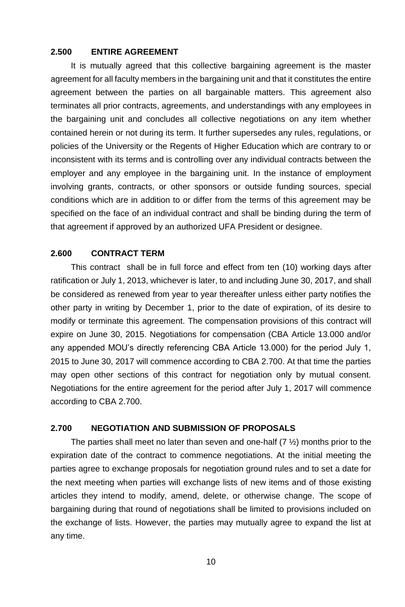### <span id="page-10-0"></span>**2.500 ENTIRE AGREEMENT**

It is mutually agreed that this collective bargaining agreement is the master agreement for all faculty members in the bargaining unit and that it constitutes the entire agreement between the parties on all bargainable matters. This agreement also terminates all prior contracts, agreements, and understandings with any employees in the bargaining unit and concludes all collective negotiations on any item whether contained herein or not during its term. It further supersedes any rules, regulations, or policies of the University or the Regents of Higher Education which are contrary to or inconsistent with its terms and is controlling over any individual contracts between the employer and any employee in the bargaining unit. In the instance of employment involving grants, contracts, or other sponsors or outside funding sources, special conditions which are in addition to or differ from the terms of this agreement may be specified on the face of an individual contract and shall be binding during the term of that agreement if approved by an authorized UFA President or designee.

# <span id="page-10-1"></span>**2.600 CONTRACT TERM**

This contract shall be in full force and effect from ten (10) working days after ratification or July 1, 2013, whichever is later, to and including June 30, 2017, and shall be considered as renewed from year to year thereafter unless either party notifies the other party in writing by December 1, prior to the date of expiration, of its desire to modify or terminate this agreement. The compensation provisions of this contract will expire on June 30, 2015. Negotiations for compensation (CBA Article 13.000 and/or any appended MOU's directly referencing CBA Article 13.000) for the period July 1, 2015 to June 30, 2017 will commence according to CBA 2.700. At that time the parties may open other sections of this contract for negotiation only by mutual consent. Negotiations for the entire agreement for the period after July 1, 2017 will commence according to CBA 2.700.

#### <span id="page-10-2"></span>**2.700 NEGOTIATION AND SUBMISSION OF PROPOSALS**

The parties shall meet no later than seven and one-half  $(7 \frac{1}{2})$  months prior to the expiration date of the contract to commence negotiations. At the initial meeting the parties agree to exchange proposals for negotiation ground rules and to set a date for the next meeting when parties will exchange lists of new items and of those existing articles they intend to modify, amend, delete, or otherwise change. The scope of bargaining during that round of negotiations shall be limited to provisions included on the exchange of lists. However, the parties may mutually agree to expand the list at any time.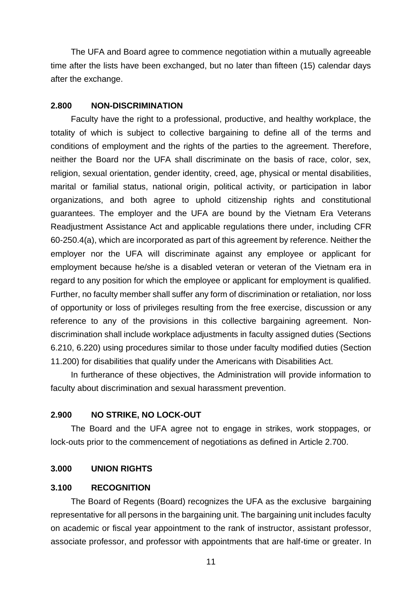The UFA and Board agree to commence negotiation within a mutually agreeable time after the lists have been exchanged, but no later than fifteen (15) calendar days after the exchange.

#### <span id="page-11-0"></span>**2.800 NON-DISCRIMINATION**

Faculty have the right to a professional, productive, and healthy workplace, the totality of which is subject to collective bargaining to define all of the terms and conditions of employment and the rights of the parties to the agreement. Therefore, neither the Board nor the UFA shall discriminate on the basis of race, color, sex, religion, sexual orientation, gender identity, creed, age, physical or mental disabilities, marital or familial status, national origin, political activity, or participation in labor organizations, and both agree to uphold citizenship rights and constitutional guarantees. The employer and the UFA are bound by the Vietnam Era Veterans Readjustment Assistance Act and applicable regulations there under, including CFR 60-250.4(a), which are incorporated as part of this agreement by reference. Neither the employer nor the UFA will discriminate against any employee or applicant for employment because he/she is a disabled veteran or veteran of the Vietnam era in regard to any position for which the employee or applicant for employment is qualified. Further, no faculty member shall suffer any form of discrimination or retaliation, nor loss of opportunity or loss of privileges resulting from the free exercise, discussion or any reference to any of the provisions in this collective bargaining agreement. Nondiscrimination shall include workplace adjustments in faculty assigned duties (Sections 6.210, 6.220) using procedures similar to those under faculty modified duties (Section 11.200) for disabilities that qualify under the Americans with Disabilities Act.

In furtherance of these objectives, the Administration will provide information to faculty about discrimination and sexual harassment prevention.

#### <span id="page-11-1"></span>**2.900 NO STRIKE, NO LOCK-OUT**

The Board and the UFA agree not to engage in strikes, work stoppages, or lock-outs prior to the commencement of negotiations as defined in Article 2.700.

#### <span id="page-11-2"></span>**3.000 UNION RIGHTS**

#### <span id="page-11-3"></span>**3.100 RECOGNITION**

The Board of Regents (Board) recognizes the UFA as the exclusive bargaining representative for all persons in the bargaining unit. The bargaining unit includes faculty on academic or fiscal year appointment to the rank of instructor, assistant professor, associate professor, and professor with appointments that are half-time or greater. In

11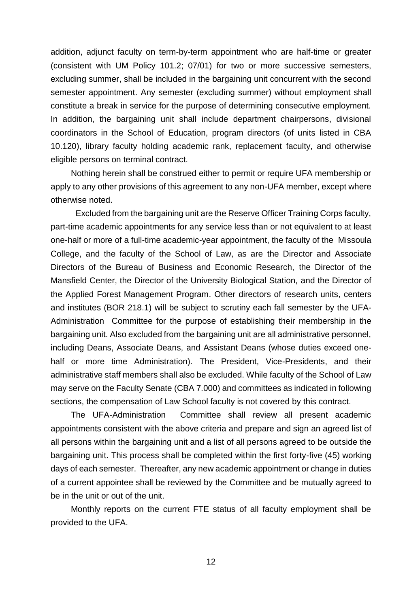addition, adjunct faculty on term-by-term appointment who are half-time or greater (consistent with UM Policy 101.2; 07/01) for two or more successive semesters, excluding summer, shall be included in the bargaining unit concurrent with the second semester appointment. Any semester (excluding summer) without employment shall constitute a break in service for the purpose of determining consecutive employment. In addition, the bargaining unit shall include department chairpersons, divisional coordinators in the School of Education, program directors (of units listed in CBA 10.120), library faculty holding academic rank, replacement faculty, and otherwise eligible persons on terminal contract.

Nothing herein shall be construed either to permit or require UFA membership or apply to any other provisions of this agreement to any non-UFA member, except where otherwise noted.

Excluded from the bargaining unit are the Reserve Officer Training Corps faculty, part-time academic appointments for any service less than or not equivalent to at least one-half or more of a full-time academic-year appointment, the faculty of the Missoula College, and the faculty of the School of Law, as are the Director and Associate Directors of the Bureau of Business and Economic Research, the Director of the Mansfield Center, the Director of the University Biological Station, and the Director of the Applied Forest Management Program. Other directors of research units, centers and institutes (BOR 218.1) will be subject to scrutiny each fall semester by the UFA-Administration Committee for the purpose of establishing their membership in the bargaining unit. Also excluded from the bargaining unit are all administrative personnel, including Deans, Associate Deans, and Assistant Deans (whose duties exceed onehalf or more time Administration). The President, Vice-Presidents, and their administrative staff members shall also be excluded. While faculty of the School of Law may serve on the Faculty Senate (CBA 7.000) and committees as indicated in following sections, the compensation of Law School faculty is not covered by this contract.

The UFA-Administration Committee shall review all present academic appointments consistent with the above criteria and prepare and sign an agreed list of all persons within the bargaining unit and a list of all persons agreed to be outside the bargaining unit. This process shall be completed within the first forty-five (45) working days of each semester. Thereafter, any new academic appointment or change in duties of a current appointee shall be reviewed by the Committee and be mutually agreed to be in the unit or out of the unit.

Monthly reports on the current FTE status of all faculty employment shall be provided to the UFA.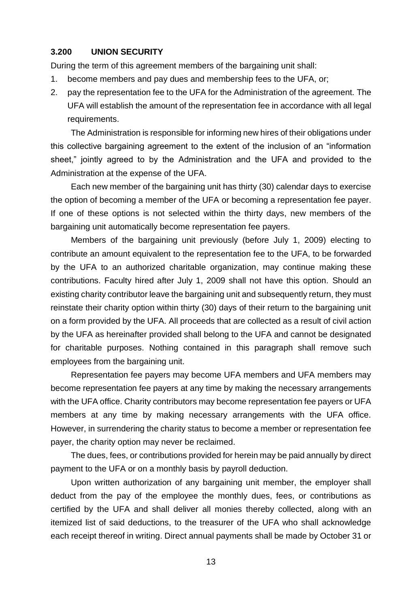# <span id="page-13-0"></span>**3.200 UNION SECURITY**

During the term of this agreement members of the bargaining unit shall:

- 1. become members and pay dues and membership fees to the UFA, or;
- 2. pay the representation fee to the UFA for the Administration of the agreement. The UFA will establish the amount of the representation fee in accordance with all legal requirements.

The Administration is responsible for informing new hires of their obligations under this collective bargaining agreement to the extent of the inclusion of an "information sheet," jointly agreed to by the Administration and the UFA and provided to the Administration at the expense of the UFA.

Each new member of the bargaining unit has thirty (30) calendar days to exercise the option of becoming a member of the UFA or becoming a representation fee payer. If one of these options is not selected within the thirty days, new members of the bargaining unit automatically become representation fee payers.

Members of the bargaining unit previously (before July 1, 2009) electing to contribute an amount equivalent to the representation fee to the UFA, to be forwarded by the UFA to an authorized charitable organization, may continue making these contributions. Faculty hired after July 1, 2009 shall not have this option. Should an existing charity contributor leave the bargaining unit and subsequently return, they must reinstate their charity option within thirty (30) days of their return to the bargaining unit on a form provided by the UFA. All proceeds that are collected as a result of civil action by the UFA as hereinafter provided shall belong to the UFA and cannot be designated for charitable purposes. Nothing contained in this paragraph shall remove such employees from the bargaining unit.

Representation fee payers may become UFA members and UFA members may become representation fee payers at any time by making the necessary arrangements with the UFA office. Charity contributors may become representation fee payers or UFA members at any time by making necessary arrangements with the UFA office. However, in surrendering the charity status to become a member or representation fee payer, the charity option may never be reclaimed.

The dues, fees, or contributions provided for herein may be paid annually by direct payment to the UFA or on a monthly basis by payroll deduction.

Upon written authorization of any bargaining unit member, the employer shall deduct from the pay of the employee the monthly dues, fees, or contributions as certified by the UFA and shall deliver all monies thereby collected, along with an itemized list of said deductions, to the treasurer of the UFA who shall acknowledge each receipt thereof in writing. Direct annual payments shall be made by October 31 or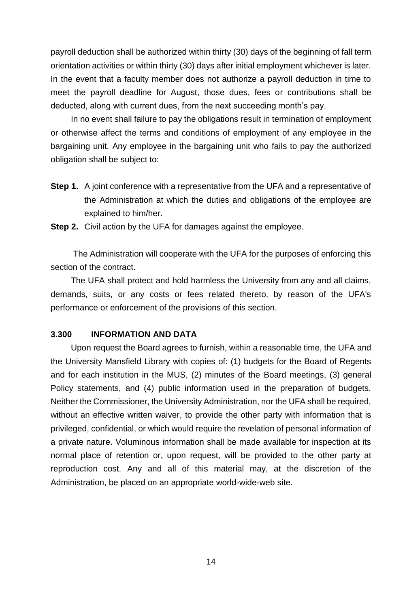payroll deduction shall be authorized within thirty (30) days of the beginning of fall term orientation activities or within thirty (30) days after initial employment whichever is later. In the event that a faculty member does not authorize a payroll deduction in time to meet the payroll deadline for August, those dues, fees or contributions shall be deducted, along with current dues, from the next succeeding month's pay.

In no event shall failure to pay the obligations result in termination of employment or otherwise affect the terms and conditions of employment of any employee in the bargaining unit. Any employee in the bargaining unit who fails to pay the authorized obligation shall be subject to:

**Step 1.** A joint conference with a representative from the UFA and a representative of the Administration at which the duties and obligations of the employee are explained to him/her.

**Step 2.** Civil action by the UFA for damages against the employee.

The Administration will cooperate with the UFA for the purposes of enforcing this section of the contract.

The UFA shall protect and hold harmless the University from any and all claims, demands, suits, or any costs or fees related thereto, by reason of the UFA's performance or enforcement of the provisions of this section.

#### <span id="page-14-0"></span>**3.300 INFORMATION AND DATA**

Upon request the Board agrees to furnish, within a reasonable time, the UFA and the University Mansfield Library with copies of: (1) budgets for the Board of Regents and for each institution in the MUS, (2) minutes of the Board meetings, (3) general Policy statements, and (4) public information used in the preparation of budgets. Neither the Commissioner, the University Administration, nor the UFA shall be required, without an effective written waiver, to provide the other party with information that is privileged, confidential, or which would require the revelation of personal information of a private nature. Voluminous information shall be made available for inspection at its normal place of retention or, upon request, will be provided to the other party at reproduction cost. Any and all of this material may, at the discretion of the Administration, be placed on an appropriate world-wide-web site.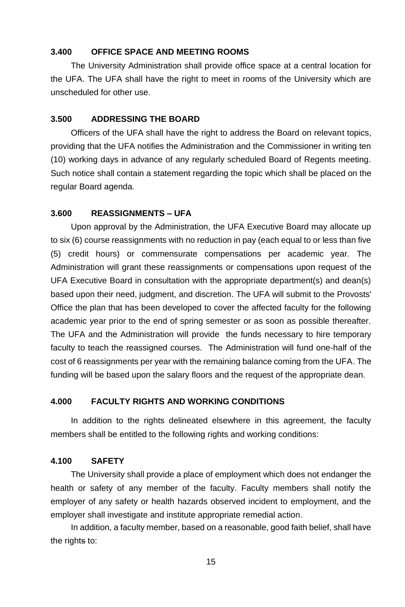# <span id="page-15-0"></span>**3.400 OFFICE SPACE AND MEETING ROOMS**

The University Administration shall provide office space at a central location for the UFA. The UFA shall have the right to meet in rooms of the University which are unscheduled for other use.

# <span id="page-15-1"></span>**3.500 ADDRESSING THE BOARD**

Officers of the UFA shall have the right to address the Board on relevant topics, providing that the UFA notifies the Administration and the Commissioner in writing ten (10) working days in advance of any regularly scheduled Board of Regents meeting. Such notice shall contain a statement regarding the topic which shall be placed on the regular Board agenda.

#### <span id="page-15-2"></span>**3.600 REASSIGNMENTS – UFA**

Upon approval by the Administration, the UFA Executive Board may allocate up to six (6) course reassignments with no reduction in pay (each equal to or less than five (5) credit hours) or commensurate compensations per academic year*.* The Administration will grant these reassignments or compensations upon request of the UFA Executive Board in consultation with the appropriate department(s) and dean(s) based upon their need, judgment, and discretion. The UFA will submit to the Provosts' Office the plan that has been developed to cover the affected faculty for the following academic year prior to the end of spring semester or as soon as possible thereafter. The UFA and the Administration will provide the funds necessary to hire temporary faculty to teach the reassigned courses. The Administration will fund one-half of the cost of 6 reassignments per year with the remaining balance coming from the UFA. The funding will be based upon the salary floors and the request of the appropriate dean.

#### <span id="page-15-3"></span>**4.000 FACULTY RIGHTS AND WORKING CONDITIONS**

In addition to the rights delineated elsewhere in this agreement, the faculty members shall be entitled to the following rights and working conditions:

#### <span id="page-15-4"></span>**4.100 SAFETY**

The University shall provide a place of employment which does not endanger the health or safety of any member of the faculty. Faculty members shall notify the employer of any safety or health hazards observed incident to employment, and the employer shall investigate and institute appropriate remedial action.

In addition, a faculty member, based on a reasonable, good faith belief, shall have the rights to: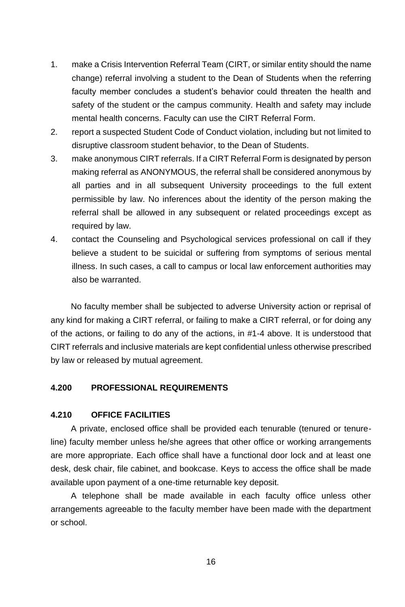- 1. make a Crisis Intervention Referral Team (CIRT, or similar entity should the name change) referral involving a student to the Dean of Students when the referring faculty member concludes a student's behavior could threaten the health and safety of the student or the campus community. Health and safety may include mental health concerns. Faculty can use the CIRT Referral Form.
- 2. report a suspected Student Code of Conduct violation, including but not limited to disruptive classroom student behavior, to the Dean of Students.
- 3. make anonymous CIRT referrals. If a CIRT Referral Form is designated by person making referral as ANONYMOUS, the referral shall be considered anonymous by all parties and in all subsequent University proceedings to the full extent permissible by law. No inferences about the identity of the person making the referral shall be allowed in any subsequent or related proceedings except as required by law.
- 4. contact the Counseling and Psychological services professional on call if they believe a student to be suicidal or suffering from symptoms of serious mental illness. In such cases, a call to campus or local law enforcement authorities may also be warranted.

No faculty member shall be subjected to adverse University action or reprisal of any kind for making a CIRT referral, or failing to make a CIRT referral, or for doing any of the actions, or failing to do any of the actions, in #1-4 above. It is understood that CIRT referrals and inclusive materials are kept confidential unless otherwise prescribed by law or released by mutual agreement.

# <span id="page-16-0"></span>**4.200 PROFESSIONAL REQUIREMENTS**

#### <span id="page-16-1"></span>**4.210 OFFICE FACILITIES**

A private, enclosed office shall be provided each tenurable (tenured or tenureline) faculty member unless he/she agrees that other office or working arrangements are more appropriate. Each office shall have a functional door lock and at least one desk, desk chair, file cabinet, and bookcase. Keys to access the office shall be made available upon payment of a one-time returnable key deposit.

A telephone shall be made available in each faculty office unless other arrangements agreeable to the faculty member have been made with the department or school.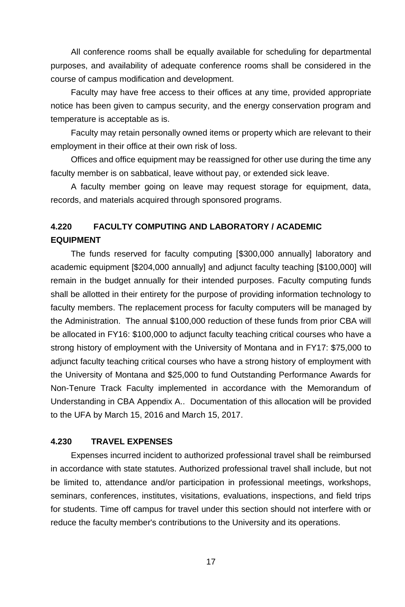All conference rooms shall be equally available for scheduling for departmental purposes, and availability of adequate conference rooms shall be considered in the course of campus modification and development.

Faculty may have free access to their offices at any time, provided appropriate notice has been given to campus security, and the energy conservation program and temperature is acceptable as is.

Faculty may retain personally owned items or property which are relevant to their employment in their office at their own risk of loss.

Offices and office equipment may be reassigned for other use during the time any faculty member is on sabbatical, leave without pay, or extended sick leave.

A faculty member going on leave may request storage for equipment, data, records, and materials acquired through sponsored programs.

# <span id="page-17-0"></span>**4.220 FACULTY COMPUTING AND LABORATORY / ACADEMIC EQUIPMENT**

The funds reserved for faculty computing [\$300,000 annually] laboratory and academic equipment [\$204,000 annually] and adjunct faculty teaching [\$100,000] will remain in the budget annually for their intended purposes. Faculty computing funds shall be allotted in their entirety for the purpose of providing information technology to faculty members. The replacement process for faculty computers will be managed by the Administration. The annual \$100,000 reduction of these funds from prior CBA will be allocated in FY16: \$100,000 to adjunct faculty teaching critical courses who have a strong history of employment with the University of Montana and in FY17: \$75,000 to adjunct faculty teaching critical courses who have a strong history of employment with the University of Montana and \$25,000 to fund Outstanding Performance Awards for Non-Tenure Track Faculty implemented in accordance with the Memorandum of Understanding in CBA Appendix A.. Documentation of this allocation will be provided to the UFA by March 15, 2016 and March 15, 2017.

# <span id="page-17-1"></span>**4.230 TRAVEL EXPENSES**

Expenses incurred incident to authorized professional travel shall be reimbursed in accordance with state statutes. Authorized professional travel shall include, but not be limited to, attendance and/or participation in professional meetings, workshops, seminars, conferences, institutes, visitations, evaluations, inspections, and field trips for students. Time off campus for travel under this section should not interfere with or reduce the faculty member's contributions to the University and its operations.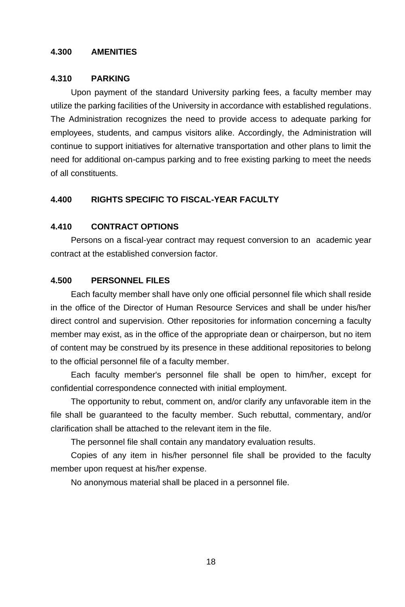### <span id="page-18-0"></span>**4.300 AMENITIES**

# <span id="page-18-1"></span>**4.310 PARKING**

Upon payment of the standard University parking fees, a faculty member may utilize the parking facilities of the University in accordance with established regulations. The Administration recognizes the need to provide access to adequate parking for employees, students, and campus visitors alike. Accordingly, the Administration will continue to support initiatives for alternative transportation and other plans to limit the need for additional on-campus parking and to free existing parking to meet the needs of all constituents.

# <span id="page-18-2"></span>**4.400 RIGHTS SPECIFIC TO FISCAL-YEAR FACULTY**

# <span id="page-18-3"></span>**4.410 CONTRACT OPTIONS**

Persons on a fiscal-year contract may request conversion to an academic year contract at the established conversion factor.

# <span id="page-18-4"></span>**4.500 PERSONNEL FILES**

Each faculty member shall have only one official personnel file which shall reside in the office of the Director of Human Resource Services and shall be under his/her direct control and supervision. Other repositories for information concerning a faculty member may exist, as in the office of the appropriate dean or chairperson, but no item of content may be construed by its presence in these additional repositories to belong to the official personnel file of a faculty member.

Each faculty member's personnel file shall be open to him/her, except for confidential correspondence connected with initial employment.

The opportunity to rebut, comment on, and/or clarify any unfavorable item in the file shall be guaranteed to the faculty member. Such rebuttal, commentary, and/or clarification shall be attached to the relevant item in the file.

The personnel file shall contain any mandatory evaluation results.

Copies of any item in his/her personnel file shall be provided to the faculty member upon request at his/her expense.

No anonymous material shall be placed in a personnel file.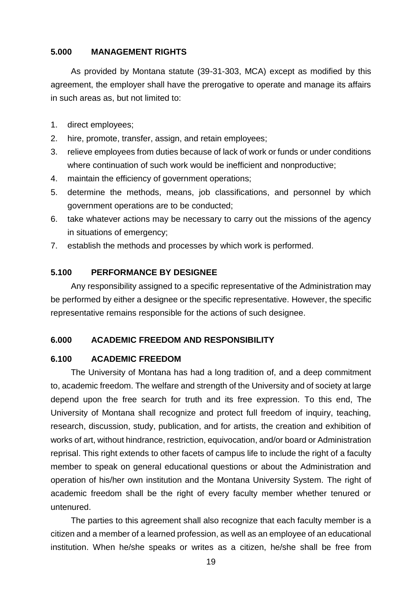# <span id="page-19-0"></span>**5.000 MANAGEMENT RIGHTS**

As provided by Montana statute (39-31-303, MCA) except as modified by this agreement, the employer shall have the prerogative to operate and manage its affairs in such areas as, but not limited to:

- 1. direct employees;
- 2. hire, promote, transfer, assign, and retain employees;
- 3. relieve employees from duties because of lack of work or funds or under conditions where continuation of such work would be inefficient and nonproductive;
- 4. maintain the efficiency of government operations;
- 5. determine the methods, means, job classifications, and personnel by which government operations are to be conducted;
- 6. take whatever actions may be necessary to carry out the missions of the agency in situations of emergency;
- 7. establish the methods and processes by which work is performed.

# <span id="page-19-1"></span>**5.100 PERFORMANCE BY DESIGNEE**

Any responsibility assigned to a specific representative of the Administration may be performed by either a designee or the specific representative. However, the specific representative remains responsible for the actions of such designee.

# <span id="page-19-2"></span>**6.000 ACADEMIC FREEDOM AND RESPONSIBILITY**

#### <span id="page-19-3"></span>**6.100 ACADEMIC FREEDOM**

The University of Montana has had a long tradition of, and a deep commitment to, academic freedom. The welfare and strength of the University and of society at large depend upon the free search for truth and its free expression. To this end, The University of Montana shall recognize and protect full freedom of inquiry, teaching, research, discussion, study, publication, and for artists, the creation and exhibition of works of art, without hindrance, restriction, equivocation, and/or board or Administration reprisal. This right extends to other facets of campus life to include the right of a faculty member to speak on general educational questions or about the Administration and operation of his/her own institution and the Montana University System. The right of academic freedom shall be the right of every faculty member whether tenured or untenured.

The parties to this agreement shall also recognize that each faculty member is a citizen and a member of a learned profession, as well as an employee of an educational institution. When he/she speaks or writes as a citizen, he/she shall be free from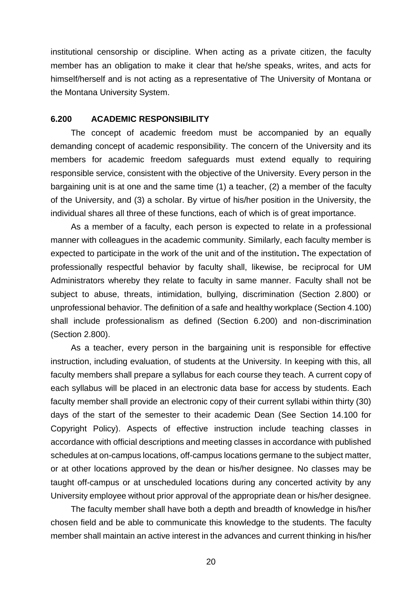institutional censorship or discipline. When acting as a private citizen, the faculty member has an obligation to make it clear that he/she speaks, writes, and acts for himself/herself and is not acting as a representative of The University of Montana or the Montana University System.

#### <span id="page-20-0"></span>**6.200 ACADEMIC RESPONSIBILITY**

The concept of academic freedom must be accompanied by an equally demanding concept of academic responsibility. The concern of the University and its members for academic freedom safeguards must extend equally to requiring responsible service, consistent with the objective of the University. Every person in the bargaining unit is at one and the same time (1) a teacher, (2) a member of the faculty of the University, and (3) a scholar. By virtue of his/her position in the University, the individual shares all three of these functions, each of which is of great importance.

As a member of a faculty, each person is expected to relate in a professional manner with colleagues in the academic community. Similarly, each faculty member is expected to participate in the work of the unit and of the institution**.** The expectation of professionally respectful behavior by faculty shall, likewise, be reciprocal for UM Administrators whereby they relate to faculty in same manner. Faculty shall not be subject to abuse, threats, intimidation, bullying, discrimination (Section 2.800) or unprofessional behavior. The definition of a safe and healthy workplace (Section 4.100) shall include professionalism as defined (Section 6.200) and non-discrimination (Section 2.800).

As a teacher, every person in the bargaining unit is responsible for effective instruction, including evaluation, of students at the University. In keeping with this, all faculty members shall prepare a syllabus for each course they teach. A current copy of each syllabus will be placed in an electronic data base for access by students. Each faculty member shall provide an electronic copy of their current syllabi within thirty (30) days of the start of the semester to their academic Dean (See Section 14.100 for Copyright Policy). Aspects of effective instruction include teaching classes in accordance with official descriptions and meeting classes in accordance with published schedules at on-campus locations, off-campus locations germane to the subject matter, or at other locations approved by the dean or his/her designee. No classes may be taught off-campus or at unscheduled locations during any concerted activity by any University employee without prior approval of the appropriate dean or his/her designee.

The faculty member shall have both a depth and breadth of knowledge in his/her chosen field and be able to communicate this knowledge to the students. The faculty member shall maintain an active interest in the advances and current thinking in his/her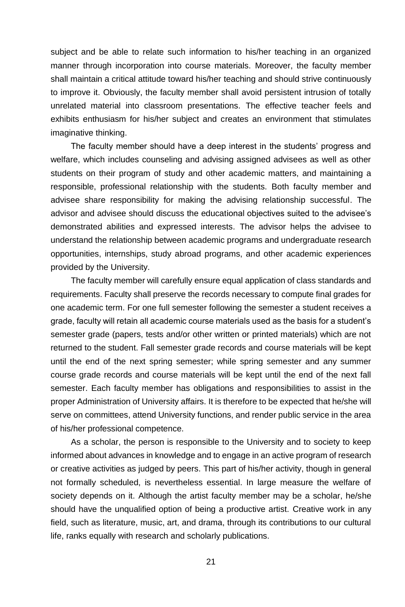subject and be able to relate such information to his/her teaching in an organized manner through incorporation into course materials. Moreover, the faculty member shall maintain a critical attitude toward his/her teaching and should strive continuously to improve it. Obviously, the faculty member shall avoid persistent intrusion of totally unrelated material into classroom presentations. The effective teacher feels and exhibits enthusiasm for his/her subject and creates an environment that stimulates imaginative thinking.

The faculty member should have a deep interest in the students' progress and welfare, which includes counseling and advising assigned advisees as well as other students on their program of study and other academic matters, and maintaining a responsible, professional relationship with the students. Both faculty member and advisee share responsibility for making the advising relationship successful. The advisor and advisee should discuss the educational objectives suited to the advisee's demonstrated abilities and expressed interests. The advisor helps the advisee to understand the relationship between academic programs and undergraduate research opportunities, internships, study abroad programs, and other academic experiences provided by the University.

The faculty member will carefully ensure equal application of class standards and requirements. Faculty shall preserve the records necessary to compute final grades for one academic term. For one full semester following the semester a student receives a grade, faculty will retain all academic course materials used as the basis for a student's semester grade (papers, tests and/or other written or printed materials) which are not returned to the student. Fall semester grade records and course materials will be kept until the end of the next spring semester; while spring semester and any summer course grade records and course materials will be kept until the end of the next fall semester. Each faculty member has obligations and responsibilities to assist in the proper Administration of University affairs. It is therefore to be expected that he/she will serve on committees, attend University functions, and render public service in the area of his/her professional competence.

As a scholar, the person is responsible to the University and to society to keep informed about advances in knowledge and to engage in an active program of research or creative activities as judged by peers. This part of his/her activity, though in general not formally scheduled, is nevertheless essential. In large measure the welfare of society depends on it. Although the artist faculty member may be a scholar, he/she should have the unqualified option of being a productive artist. Creative work in any field, such as literature, music, art, and drama, through its contributions to our cultural life, ranks equally with research and scholarly publications.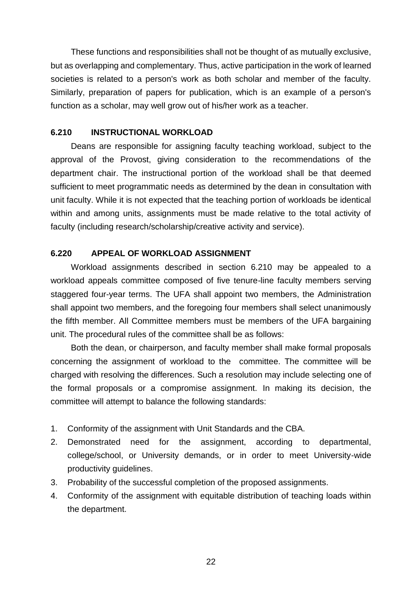These functions and responsibilities shall not be thought of as mutually exclusive, but as overlapping and complementary. Thus, active participation in the work of learned societies is related to a person's work as both scholar and member of the faculty. Similarly, preparation of papers for publication, which is an example of a person's function as a scholar, may well grow out of his/her work as a teacher.

# <span id="page-22-0"></span>**6.210 INSTRUCTIONAL WORKLOAD**

Deans are responsible for assigning faculty teaching workload, subject to the approval of the Provost, giving consideration to the recommendations of the department chair. The instructional portion of the workload shall be that deemed sufficient to meet programmatic needs as determined by the dean in consultation with unit faculty. While it is not expected that the teaching portion of workloads be identical within and among units, assignments must be made relative to the total activity of faculty (including research/scholarship/creative activity and service).

# <span id="page-22-1"></span>**6.220 APPEAL OF WORKLOAD ASSIGNMENT**

Workload assignments described in section 6.210 may be appealed to a workload appeals committee composed of five tenure-line faculty members serving staggered four-year terms. The UFA shall appoint two members, the Administration shall appoint two members, and the foregoing four members shall select unanimously the fifth member. All Committee members must be members of the UFA bargaining unit. The procedural rules of the committee shall be as follows:

Both the dean, or chairperson, and faculty member shall make formal proposals concerning the assignment of workload to the committee. The committee will be charged with resolving the differences. Such a resolution may include selecting one of the formal proposals or a compromise assignment. In making its decision, the committee will attempt to balance the following standards:

- 1. Conformity of the assignment with Unit Standards and the CBA.
- 2. Demonstrated need for the assignment, according to departmental, college/school, or University demands, or in order to meet University-wide productivity guidelines.
- 3. Probability of the successful completion of the proposed assignments.
- 4. Conformity of the assignment with equitable distribution of teaching loads within the department.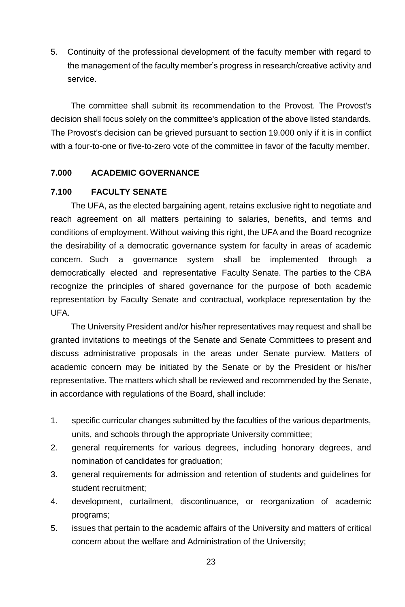5. Continuity of the professional development of the faculty member with regard to the management of the faculty member's progress in research/creative activity and service.

The committee shall submit its recommendation to the Provost. The Provost's decision shall focus solely on the committee's application of the above listed standards. The Provost's decision can be grieved pursuant to section 19.000 only if it is in conflict with a four-to-one or five-to-zero vote of the committee in favor of the faculty member.

# <span id="page-23-0"></span>**7.000 ACADEMIC GOVERNANCE**

# <span id="page-23-1"></span>**7.100 FACULTY SENATE**

The UFA, as the elected bargaining agent, retains exclusive right to negotiate and reach agreement on all matters pertaining to salaries, benefits, and terms and conditions of employment. Without waiving this right, the UFA and the Board recognize the desirability of a democratic governance system for faculty in areas of academic concern. Such a governance system shall be implemented through a democratically elected and representative Faculty Senate. The parties to the CBA recognize the principles of shared governance for the purpose of both academic representation by Faculty Senate and contractual, workplace representation by the UFA.

The University President and/or his/her representatives may request and shall be granted invitations to meetings of the Senate and Senate Committees to present and discuss administrative proposals in the areas under Senate purview. Matters of academic concern may be initiated by the Senate or by the President or his/her representative. The matters which shall be reviewed and recommended by the Senate, in accordance with regulations of the Board, shall include:

- 1. specific curricular changes submitted by the faculties of the various departments, units, and schools through the appropriate University committee;
- 2. general requirements for various degrees, including honorary degrees, and nomination of candidates for graduation;
- 3. general requirements for admission and retention of students and guidelines for student recruitment;
- 4. development, curtailment, discontinuance, or reorganization of academic programs;
- 5. issues that pertain to the academic affairs of the University and matters of critical concern about the welfare and Administration of the University;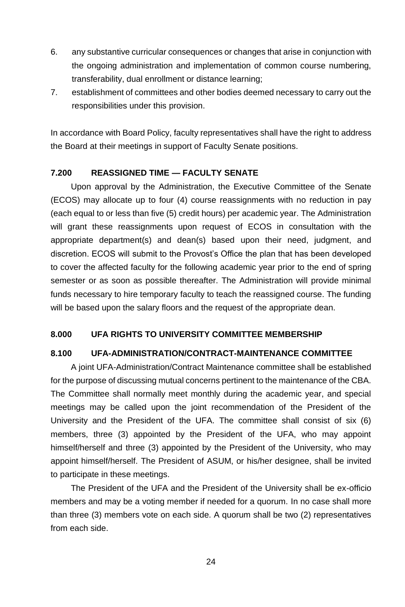- 6. any substantive curricular consequences or changes that arise in conjunction with the ongoing administration and implementation of common course numbering, transferability, dual enrollment or distance learning;
- 7. establishment of committees and other bodies deemed necessary to carry out the responsibilities under this provision.

In accordance with Board Policy, faculty representatives shall have the right to address the Board at their meetings in support of Faculty Senate positions.

# <span id="page-24-0"></span>**7.200 REASSIGNED TIME — FACULTY SENATE**

Upon approval by the Administration, the Executive Committee of the Senate (ECOS) may allocate up to four (4) course reassignments with no reduction in pay (each equal to or less than five (5) credit hours) per academic year. The Administration will grant these reassignments upon request of ECOS in consultation with the appropriate department(s) and dean(s) based upon their need, judgment, and discretion. ECOS will submit to the Provost's Office the plan that has been developed to cover the affected faculty for the following academic year prior to the end of spring semester or as soon as possible thereafter. The Administration will provide minimal funds necessary to hire temporary faculty to teach the reassigned course. The funding will be based upon the salary floors and the request of the appropriate dean.

# <span id="page-24-1"></span>**8.000 UFA RIGHTS TO UNIVERSITY COMMITTEE MEMBERSHIP**

# <span id="page-24-2"></span>**8.100 UFA-ADMINISTRATION/CONTRACT-MAINTENANCE COMMITTEE**

A joint UFA-Administration/Contract Maintenance committee shall be established for the purpose of discussing mutual concerns pertinent to the maintenance of the CBA. The Committee shall normally meet monthly during the academic year, and special meetings may be called upon the joint recommendation of the President of the University and the President of the UFA. The committee shall consist of six (6) members, three (3) appointed by the President of the UFA, who may appoint himself/herself and three (3) appointed by the President of the University, who may appoint himself/herself. The President of ASUM, or his/her designee, shall be invited to participate in these meetings.

The President of the UFA and the President of the University shall be ex-officio members and may be a voting member if needed for a quorum. In no case shall more than three (3) members vote on each side. A quorum shall be two (2) representatives from each side.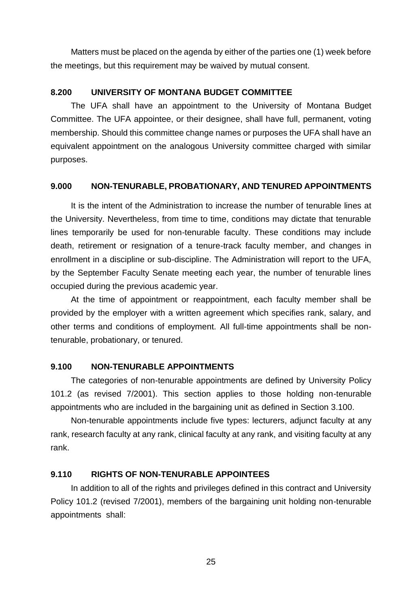Matters must be placed on the agenda by either of the parties one (1) week before the meetings, but this requirement may be waived by mutual consent.

# <span id="page-25-0"></span>**8.200 UNIVERSITY OF MONTANA BUDGET COMMITTEE**

The UFA shall have an appointment to the University of Montana Budget Committee. The UFA appointee, or their designee, shall have full, permanent, voting membership. Should this committee change names or purposes the UFA shall have an equivalent appointment on the analogous University committee charged with similar purposes.

#### <span id="page-25-1"></span>**9.000 NON-TENURABLE, PROBATIONARY, AND TENURED APPOINTMENTS**

It is the intent of the Administration to increase the number of tenurable lines at the University. Nevertheless, from time to time, conditions may dictate that tenurable lines temporarily be used for non-tenurable faculty. These conditions may include death, retirement or resignation of a tenure-track faculty member, and changes in enrollment in a discipline or sub-discipline. The Administration will report to the UFA, by the September Faculty Senate meeting each year, the number of tenurable lines occupied during the previous academic year.

At the time of appointment or reappointment, each faculty member shall be provided by the employer with a written agreement which specifies rank, salary, and other terms and conditions of employment. All full-time appointments shall be nontenurable, probationary, or tenured.

# <span id="page-25-2"></span>**9.100 NON-TENURABLE APPOINTMENTS**

The categories of non-tenurable appointments are defined by University Policy 101.2 (as revised 7/2001). This section applies to those holding non-tenurable appointments who are included in the bargaining unit as defined in Section 3.100.

Non-tenurable appointments include five types: lecturers, adjunct faculty at any rank, research faculty at any rank, clinical faculty at any rank, and visiting faculty at any rank.

# <span id="page-25-3"></span>**9.110 RIGHTS OF NON-TENURABLE APPOINTEES**

In addition to all of the rights and privileges defined in this contract and University Policy 101.2 (revised 7/2001), members of the bargaining unit holding non-tenurable appointments shall: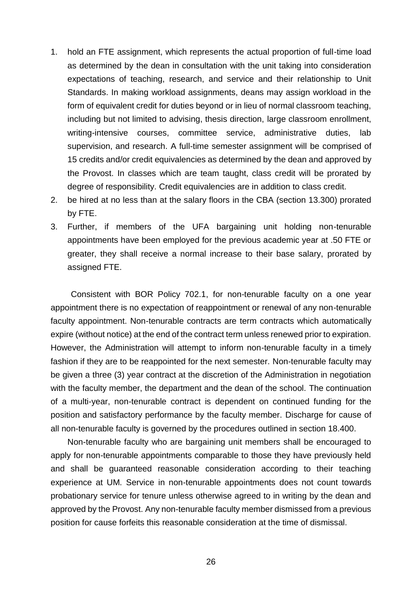- 1. hold an FTE assignment, which represents the actual proportion of full-time load as determined by the dean in consultation with the unit taking into consideration expectations of teaching, research, and service and their relationship to Unit Standards. In making workload assignments, deans may assign workload in the form of equivalent credit for duties beyond or in lieu of normal classroom teaching, including but not limited to advising, thesis direction, large classroom enrollment, writing-intensive courses, committee service, administrative duties, lab supervision, and research. A full-time semester assignment will be comprised of 15 credits and/or credit equivalencies as determined by the dean and approved by the Provost. In classes which are team taught, class credit will be prorated by degree of responsibility. Credit equivalencies are in addition to class credit.
- 2. be hired at no less than at the salary floors in the CBA (section 13.300) prorated by FTE.
- 3. Further, if members of the UFA bargaining unit holding non-tenurable appointments have been employed for the previous academic year at .50 FTE or greater, they shall receive a normal increase to their base salary, prorated by assigned FTE.

Consistent with BOR Policy 702.1, for non-tenurable faculty on a one year appointment there is no expectation of reappointment or renewal of any non-tenurable faculty appointment. Non-tenurable contracts are term contracts which automatically expire (without notice) at the end of the contract term unless renewed prior to expiration. However, the Administration will attempt to inform non-tenurable faculty in a timely fashion if they are to be reappointed for the next semester. Non-tenurable faculty may be given a three (3) year contract at the discretion of the Administration in negotiation with the faculty member, the department and the dean of the school. The continuation of a multi-year, non-tenurable contract is dependent on continued funding for the position and satisfactory performance by the faculty member. Discharge for cause of all non-tenurable faculty is governed by the procedures outlined in section 18.400.

Non-tenurable faculty who are bargaining unit members shall be encouraged to apply for non-tenurable appointments comparable to those they have previously held and shall be guaranteed reasonable consideration according to their teaching experience at UM. Service in non-tenurable appointments does not count towards probationary service for tenure unless otherwise agreed to in writing by the dean and approved by the Provost. Any non-tenurable faculty member dismissed from a previous position for cause forfeits this reasonable consideration at the time of dismissal.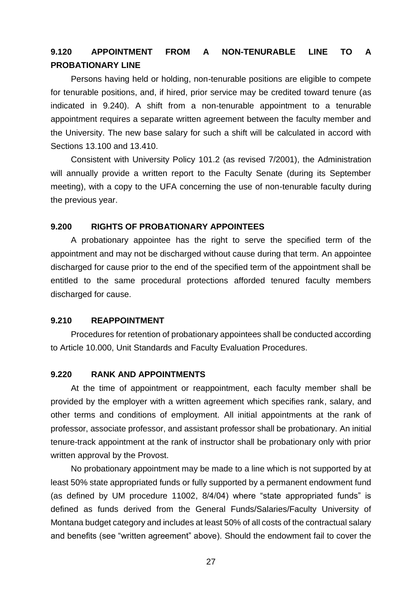# <span id="page-27-0"></span>**9.120 APPOINTMENT FROM A NON-TENURABLE LINE TO A PROBATIONARY LINE**

Persons having held or holding, non-tenurable positions are eligible to compete for tenurable positions, and, if hired, prior service may be credited toward tenure (as indicated in 9.240). A shift from a non-tenurable appointment to a tenurable appointment requires a separate written agreement between the faculty member and the University. The new base salary for such a shift will be calculated in accord with Sections 13.100 and 13.410.

Consistent with University Policy 101.2 (as revised 7/2001), the Administration will annually provide a written report to the Faculty Senate (during its September meeting), with a copy to the UFA concerning the use of non-tenurable faculty during the previous year.

#### <span id="page-27-1"></span>**9.200 RIGHTS OF PROBATIONARY APPOINTEES**

A probationary appointee has the right to serve the specified term of the appointment and may not be discharged without cause during that term. An appointee discharged for cause prior to the end of the specified term of the appointment shall be entitled to the same procedural protections afforded tenured faculty members discharged for cause.

#### <span id="page-27-2"></span>**9.210 REAPPOINTMENT**

Procedures for retention of probationary appointees shall be conducted according to Article 10.000, Unit Standards and Faculty Evaluation Procedures.

# <span id="page-27-3"></span>**9.220 RANK AND APPOINTMENTS**

At the time of appointment or reappointment, each faculty member shall be provided by the employer with a written agreement which specifies rank, salary, and other terms and conditions of employment. All initial appointments at the rank of professor, associate professor, and assistant professor shall be probationary. An initial tenure-track appointment at the rank of instructor shall be probationary only with prior written approval by the Provost.

No probationary appointment may be made to a line which is not supported by at least 50% state appropriated funds or fully supported by a permanent endowment fund (as defined by UM procedure 11002, 8/4/04) where "state appropriated funds" is defined as funds derived from the General Funds/Salaries/Faculty University of Montana budget category and includes at least 50% of all costs of the contractual salary and benefits (see "written agreement" above). Should the endowment fail to cover the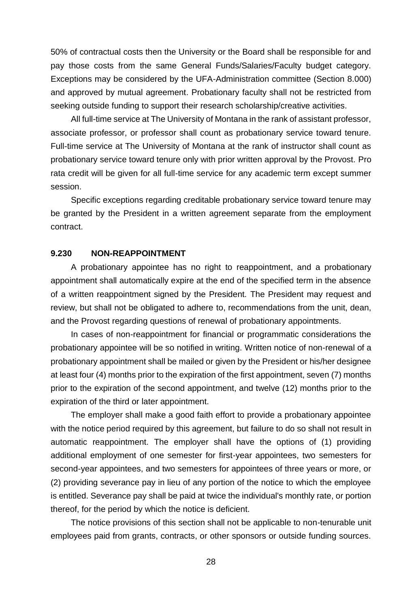50% of contractual costs then the University or the Board shall be responsible for and pay those costs from the same General Funds/Salaries/Faculty budget category. Exceptions may be considered by the UFA-Administration committee (Section 8.000) and approved by mutual agreement. Probationary faculty shall not be restricted from seeking outside funding to support their research scholarship/creative activities.

All full-time service at The University of Montana in the rank of assistant professor, associate professor, or professor shall count as probationary service toward tenure. Full-time service at The University of Montana at the rank of instructor shall count as probationary service toward tenure only with prior written approval by the Provost. Pro rata credit will be given for all full-time service for any academic term except summer session.

Specific exceptions regarding creditable probationary service toward tenure may be granted by the President in a written agreement separate from the employment contract.

## <span id="page-28-0"></span>**9.230 NON-REAPPOINTMENT**

A probationary appointee has no right to reappointment, and a probationary appointment shall automatically expire at the end of the specified term in the absence of a written reappointment signed by the President. The President may request and review, but shall not be obligated to adhere to, recommendations from the unit, dean, and the Provost regarding questions of renewal of probationary appointments.

In cases of non-reappointment for financial or programmatic considerations the probationary appointee will be so notified in writing. Written notice of non-renewal of a probationary appointment shall be mailed or given by the President or his/her designee at least four (4) months prior to the expiration of the first appointment, seven (7) months prior to the expiration of the second appointment, and twelve (12) months prior to the expiration of the third or later appointment.

The employer shall make a good faith effort to provide a probationary appointee with the notice period required by this agreement, but failure to do so shall not result in automatic reappointment. The employer shall have the options of (1) providing additional employment of one semester for first-year appointees, two semesters for second-year appointees, and two semesters for appointees of three years or more, or (2) providing severance pay in lieu of any portion of the notice to which the employee is entitled. Severance pay shall be paid at twice the individual's monthly rate, or portion thereof, for the period by which the notice is deficient.

The notice provisions of this section shall not be applicable to non-tenurable unit employees paid from grants, contracts, or other sponsors or outside funding sources.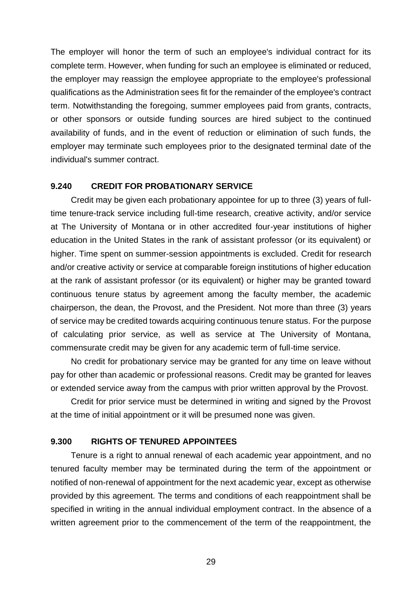The employer will honor the term of such an employee's individual contract for its complete term. However, when funding for such an employee is eliminated or reduced, the employer may reassign the employee appropriate to the employee's professional qualifications as the Administration sees fit for the remainder of the employee's contract term. Notwithstanding the foregoing, summer employees paid from grants, contracts, or other sponsors or outside funding sources are hired subject to the continued availability of funds, and in the event of reduction or elimination of such funds, the employer may terminate such employees prior to the designated terminal date of the individual's summer contract.

# <span id="page-29-0"></span>**9.240 CREDIT FOR PROBATIONARY SERVICE**

Credit may be given each probationary appointee for up to three (3) years of fulltime tenure-track service including full-time research, creative activity, and/or service at The University of Montana or in other accredited four-year institutions of higher education in the United States in the rank of assistant professor (or its equivalent) or higher. Time spent on summer-session appointments is excluded. Credit for research and/or creative activity or service at comparable foreign institutions of higher education at the rank of assistant professor (or its equivalent) or higher may be granted toward continuous tenure status by agreement among the faculty member, the academic chairperson, the dean, the Provost, and the President. Not more than three (3) years of service may be credited towards acquiring continuous tenure status. For the purpose of calculating prior service, as well as service at The University of Montana, commensurate credit may be given for any academic term of full-time service.

No credit for probationary service may be granted for any time on leave without pay for other than academic or professional reasons. Credit may be granted for leaves or extended service away from the campus with prior written approval by the Provost.

Credit for prior service must be determined in writing and signed by the Provost at the time of initial appointment or it will be presumed none was given.

# <span id="page-29-1"></span>**9.300 RIGHTS OF TENURED APPOINTEES**

Tenure is a right to annual renewal of each academic year appointment, and no tenured faculty member may be terminated during the term of the appointment or notified of non-renewal of appointment for the next academic year, except as otherwise provided by this agreement. The terms and conditions of each reappointment shall be specified in writing in the annual individual employment contract. In the absence of a written agreement prior to the commencement of the term of the reappointment, the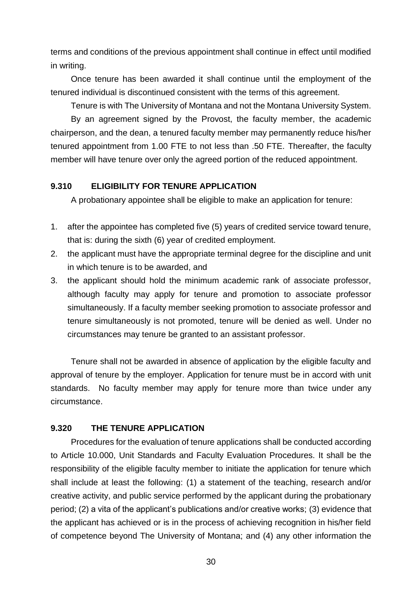terms and conditions of the previous appointment shall continue in effect until modified in writing.

Once tenure has been awarded it shall continue until the employment of the tenured individual is discontinued consistent with the terms of this agreement.

Tenure is with The University of Montana and not the Montana University System.

By an agreement signed by the Provost, the faculty member, the academic chairperson, and the dean, a tenured faculty member may permanently reduce his/her tenured appointment from 1.00 FTE to not less than .50 FTE. Thereafter, the faculty member will have tenure over only the agreed portion of the reduced appointment.

# <span id="page-30-0"></span>**9.310 ELIGIBILITY FOR TENURE APPLICATION**

A probationary appointee shall be eligible to make an application for tenure:

- 1. after the appointee has completed five (5) years of credited service toward tenure, that is: during the sixth (6) year of credited employment.
- 2. the applicant must have the appropriate terminal degree for the discipline and unit in which tenure is to be awarded, and
- 3. the applicant should hold the minimum academic rank of associate professor, although faculty may apply for tenure and promotion to associate professor simultaneously. If a faculty member seeking promotion to associate professor and tenure simultaneously is not promoted, tenure will be denied as well. Under no circumstances may tenure be granted to an assistant professor.

Tenure shall not be awarded in absence of application by the eligible faculty and approval of tenure by the employer. Application for tenure must be in accord with unit standards. No faculty member may apply for tenure more than twice under any circumstance.

# <span id="page-30-1"></span>**9.320 THE TENURE APPLICATION**

Procedures for the evaluation of tenure applications shall be conducted according to Article 10.000, Unit Standards and Faculty Evaluation Procedures. It shall be the responsibility of the eligible faculty member to initiate the application for tenure which shall include at least the following: (1) a statement of the teaching, research and/or creative activity, and public service performed by the applicant during the probationary period; (2) a vita of the applicant's publications and/or creative works; (3) evidence that the applicant has achieved or is in the process of achieving recognition in his/her field of competence beyond The University of Montana; and (4) any other information the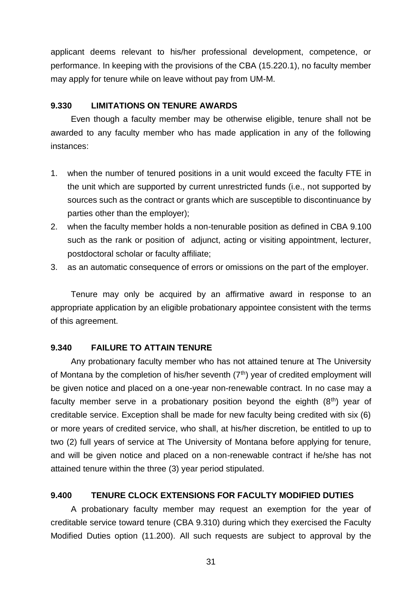applicant deems relevant to his/her professional development, competence, or performance. In keeping with the provisions of the CBA (15.220.1), no faculty member may apply for tenure while on leave without pay from UM-M.

#### <span id="page-31-0"></span>**9.330 LIMITATIONS ON TENURE AWARDS**

Even though a faculty member may be otherwise eligible, tenure shall not be awarded to any faculty member who has made application in any of the following instances:

- 1. when the number of tenured positions in a unit would exceed the faculty FTE in the unit which are supported by current unrestricted funds (i.e., not supported by sources such as the contract or grants which are susceptible to discontinuance by parties other than the employer);
- 2. when the faculty member holds a non-tenurable position as defined in CBA 9.100 such as the rank or position of adjunct, acting or visiting appointment, lecturer, postdoctoral scholar or faculty affiliate;
- 3. as an automatic consequence of errors or omissions on the part of the employer.

Tenure may only be acquired by an affirmative award in response to an appropriate application by an eligible probationary appointee consistent with the terms of this agreement.

# <span id="page-31-1"></span>**9.340 FAILURE TO ATTAIN TENURE**

Any probationary faculty member who has not attained tenure at The University of Montana by the completion of his/her seventh  $(7<sup>th</sup>)$  year of credited employment will be given notice and placed on a one-year non-renewable contract. In no case may a faculty member serve in a probationary position beyond the eighth  $(8<sup>th</sup>)$  year of creditable service. Exception shall be made for new faculty being credited with six (6) or more years of credited service, who shall, at his/her discretion, be entitled to up to two (2) full years of service at The University of Montana before applying for tenure, and will be given notice and placed on a non-renewable contract if he/she has not attained tenure within the three (3) year period stipulated.

#### <span id="page-31-2"></span>**9.400 TENURE CLOCK EXTENSIONS FOR FACULTY MODIFIED DUTIES**

A probationary faculty member may request an exemption for the year of creditable service toward tenure (CBA 9.310) during which they exercised the Faculty Modified Duties option (11.200). All such requests are subject to approval by the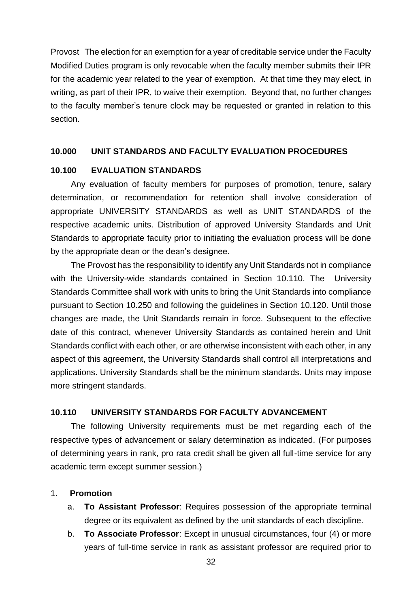Provost The election for an exemption for a year of creditable service under the Faculty Modified Duties program is only revocable when the faculty member submits their IPR for the academic year related to the year of exemption. At that time they may elect, in writing, as part of their IPR, to waive their exemption. Beyond that, no further changes to the faculty member's tenure clock may be requested or granted in relation to this section.

#### <span id="page-32-0"></span>**10.000 UNIT STANDARDS AND FACULTY EVALUATION PROCEDURES**

# <span id="page-32-1"></span>**10.100 EVALUATION STANDARDS**

Any evaluation of faculty members for purposes of promotion, tenure, salary determination, or recommendation for retention shall involve consideration of appropriate UNIVERSITY STANDARDS as well as UNIT STANDARDS of the respective academic units. Distribution of approved University Standards and Unit Standards to appropriate faculty prior to initiating the evaluation process will be done by the appropriate dean or the dean's designee.

The Provost has the responsibility to identify any Unit Standards not in compliance with the University-wide standards contained in Section 10.110. The University Standards Committee shall work with units to bring the Unit Standards into compliance pursuant to Section 10.250 and following the guidelines in Section 10.120. Until those changes are made, the Unit Standards remain in force. Subsequent to the effective date of this contract, whenever University Standards as contained herein and Unit Standards conflict with each other, or are otherwise inconsistent with each other, in any aspect of this agreement, the University Standards shall control all interpretations and applications. University Standards shall be the minimum standards. Units may impose more stringent standards.

#### <span id="page-32-2"></span>**10.110 UNIVERSITY STANDARDS FOR FACULTY ADVANCEMENT**

The following University requirements must be met regarding each of the respective types of advancement or salary determination as indicated. (For purposes of determining years in rank, pro rata credit shall be given all full-time service for any academic term except summer session.)

#### 1. **Promotion**

- a. **To Assistant Professor**: Requires possession of the appropriate terminal degree or its equivalent as defined by the unit standards of each discipline.
- b. **To Associate Professor**: Except in unusual circumstances, four (4) or more years of full-time service in rank as assistant professor are required prior to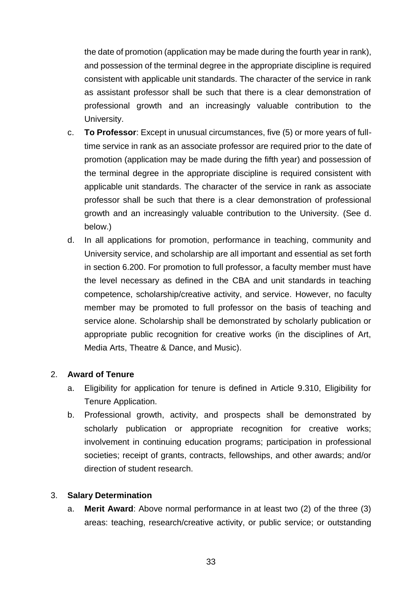the date of promotion (application may be made during the fourth year in rank), and possession of the terminal degree in the appropriate discipline is required consistent with applicable unit standards. The character of the service in rank as assistant professor shall be such that there is a clear demonstration of professional growth and an increasingly valuable contribution to the University.

- c. **To Professor**: Except in unusual circumstances, five (5) or more years of fulltime service in rank as an associate professor are required prior to the date of promotion (application may be made during the fifth year) and possession of the terminal degree in the appropriate discipline is required consistent with applicable unit standards. The character of the service in rank as associate professor shall be such that there is a clear demonstration of professional growth and an increasingly valuable contribution to the University. (See d. below.)
- d. In all applications for promotion, performance in teaching, community and University service, and scholarship are all important and essential as set forth in section 6.200. For promotion to full professor, a faculty member must have the level necessary as defined in the CBA and unit standards in teaching competence, scholarship/creative activity, and service. However, no faculty member may be promoted to full professor on the basis of teaching and service alone. Scholarship shall be demonstrated by scholarly publication or appropriate public recognition for creative works (in the disciplines of Art, Media Arts, Theatre & Dance, and Music).

# 2. **Award of Tenure**

- a. Eligibility for application for tenure is defined in Article 9.310, Eligibility for Tenure Application.
- b. Professional growth, activity, and prospects shall be demonstrated by scholarly publication or appropriate recognition for creative works; involvement in continuing education programs; participation in professional societies; receipt of grants, contracts, fellowships, and other awards; and/or direction of student research.

#### 3. **Salary Determination**

a. **Merit Award**: Above normal performance in at least two (2) of the three (3) areas: teaching, research/creative activity, or public service; or outstanding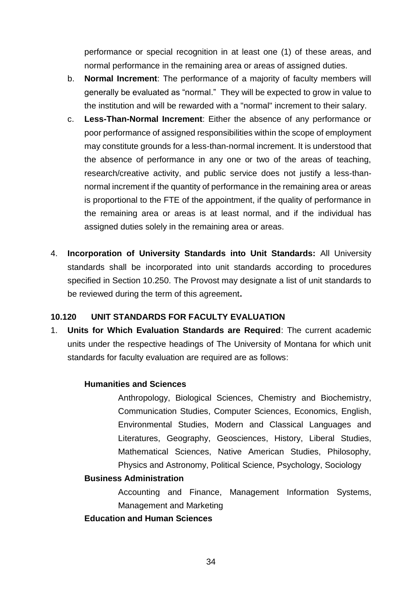performance or special recognition in at least one (1) of these areas, and normal performance in the remaining area or areas of assigned duties.

- b. **Normal Increment**: The performance of a majority of faculty members will generally be evaluated as "normal." They will be expected to grow in value to the institution and will be rewarded with a "normal" increment to their salary.
- c. **Less-Than-Normal Increment**: Either the absence of any performance or poor performance of assigned responsibilities within the scope of employment may constitute grounds for a less-than-normal increment. It is understood that the absence of performance in any one or two of the areas of teaching, research/creative activity, and public service does not justify a less-thannormal increment if the quantity of performance in the remaining area or areas is proportional to the FTE of the appointment, if the quality of performance in the remaining area or areas is at least normal, and if the individual has assigned duties solely in the remaining area or areas.
- 4. **Incorporation of University Standards into Unit Standards:** All University standards shall be incorporated into unit standards according to procedures specified in Section 10.250. The Provost may designate a list of unit standards to be reviewed during the term of this agreement**.**

# <span id="page-34-0"></span>**10.120 UNIT STANDARDS FOR FACULTY EVALUATION**

1. **Units for Which Evaluation Standards are Required**: The current academic units under the respective headings of The University of Montana for which unit standards for faculty evaluation are required are as follows:

# **Humanities and Sciences**

Anthropology, Biological Sciences, Chemistry and Biochemistry, Communication Studies, Computer Sciences, Economics, English, Environmental Studies, Modern and Classical Languages and Literatures, Geography, Geosciences, History, Liberal Studies, Mathematical Sciences, Native American Studies, Philosophy, Physics and Astronomy, Political Science, Psychology, Sociology

#### **Business Administration**

Accounting and Finance, Management Information Systems, Management and Marketing

#### **Education and Human Sciences**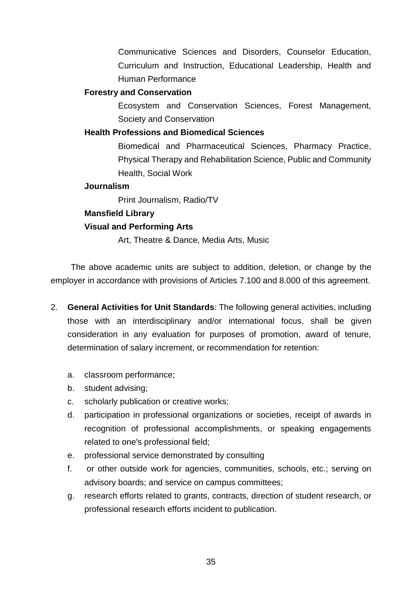Communicative Sciences and Disorders, Counselor Education, Curriculum and Instruction, Educational Leadership, Health and Human Performance

#### **Forestry and Conservation**

Ecosystem and Conservation Sciences, Forest Management, Society and Conservation

# **Health Professions and Biomedical Sciences**

Biomedical and Pharmaceutical Sciences, Pharmacy Practice, Physical Therapy and Rehabilitation Science, Public and Community Health, Social Work

# **Journalism**

Print Journalism, Radio/TV

# **Mansfield Library**

# **Visual and Performing Arts**

Art, Theatre & Dance, Media Arts, Music

The above academic units are subject to addition, deletion, or change by the employer in accordance with provisions of Articles 7.100 and 8.000 of this agreement.

- 2. **General Activities for Unit Standards**: The following general activities, including those with an interdisciplinary and/or international focus, shall be given consideration in any evaluation for purposes of promotion, award of tenure, determination of salary increment, or recommendation for retention:
	- a. classroom performance;
	- b. student advising;
	- c. scholarly publication or creative works;
	- d. participation in professional organizations or societies, receipt of awards in recognition of professional accomplishments, or speaking engagements related to one's professional field;
	- e. professional service demonstrated by consulting
	- f. or other outside work for agencies, communities, schools, etc.; serving on advisory boards; and service on campus committees;
	- g. research efforts related to grants, contracts, direction of student research, or professional research efforts incident to publication.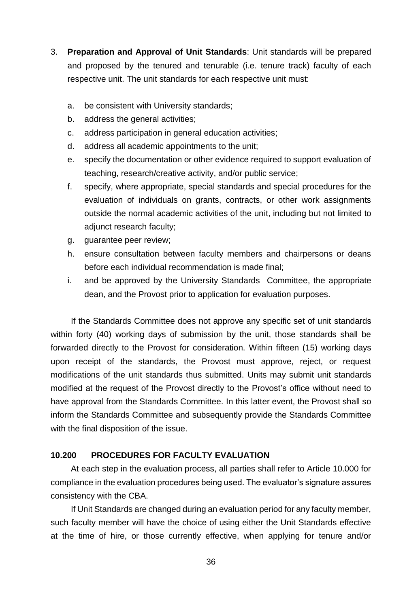- 3. **Preparation and Approval of Unit Standards**: Unit standards will be prepared and proposed by the tenured and tenurable (i.e. tenure track) faculty of each respective unit. The unit standards for each respective unit must:
	- a. be consistent with University standards;
	- b. address the general activities;
	- c. address participation in general education activities;
	- d. address all academic appointments to the unit;
	- e. specify the documentation or other evidence required to support evaluation of teaching, research/creative activity, and/or public service;
	- f. specify, where appropriate, special standards and special procedures for the evaluation of individuals on grants, contracts, or other work assignments outside the normal academic activities of the unit, including but not limited to adjunct research faculty;
	- g. guarantee peer review;
	- h. ensure consultation between faculty members and chairpersons or deans before each individual recommendation is made final;
	- i. and be approved by the University Standards Committee, the appropriate dean, and the Provost prior to application for evaluation purposes.

If the Standards Committee does not approve any specific set of unit standards within forty (40) working days of submission by the unit, those standards shall be forwarded directly to the Provost for consideration. Within fifteen (15) working days upon receipt of the standards, the Provost must approve, reject, or request modifications of the unit standards thus submitted. Units may submit unit standards modified at the request of the Provost directly to the Provost's office without need to have approval from the Standards Committee. In this latter event, the Provost shall so inform the Standards Committee and subsequently provide the Standards Committee with the final disposition of the issue.

### **10.200 PROCEDURES FOR FACULTY EVALUATION**

At each step in the evaluation process, all parties shall refer to Article 10.000 for compliance in the evaluation procedures being used. The evaluator's signature assures consistency with the CBA.

If Unit Standards are changed during an evaluation period for any faculty member, such faculty member will have the choice of using either the Unit Standards effective at the time of hire, or those currently effective, when applying for tenure and/or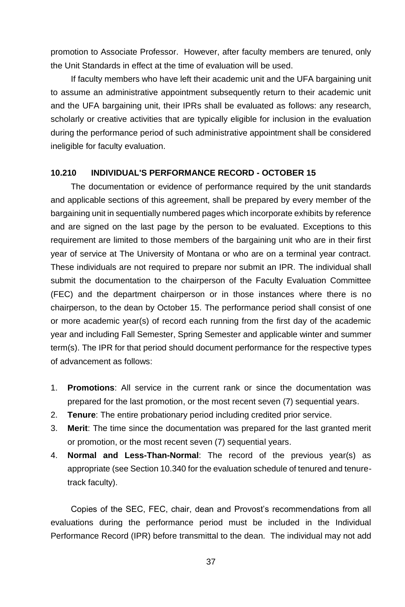promotion to Associate Professor. However, after faculty members are tenured, only the Unit Standards in effect at the time of evaluation will be used.

If faculty members who have left their academic unit and the UFA bargaining unit to assume an administrative appointment subsequently return to their academic unit and the UFA bargaining unit, their IPRs shall be evaluated as follows: any research, scholarly or creative activities that are typically eligible for inclusion in the evaluation during the performance period of such administrative appointment shall be considered ineligible for faculty evaluation.

### **10.210 INDIVIDUAL'S PERFORMANCE RECORD - OCTOBER 15**

The documentation or evidence of performance required by the unit standards and applicable sections of this agreement, shall be prepared by every member of the bargaining unit in sequentially numbered pages which incorporate exhibits by reference and are signed on the last page by the person to be evaluated. Exceptions to this requirement are limited to those members of the bargaining unit who are in their first year of service at The University of Montana or who are on a terminal year contract. These individuals are not required to prepare nor submit an IPR. The individual shall submit the documentation to the chairperson of the Faculty Evaluation Committee (FEC) and the department chairperson or in those instances where there is no chairperson, to the dean by October 15. The performance period shall consist of one or more academic year(s) of record each running from the first day of the academic year and including Fall Semester, Spring Semester and applicable winter and summer term(s). The IPR for that period should document performance for the respective types of advancement as follows:

- 1. **Promotions**: All service in the current rank or since the documentation was prepared for the last promotion, or the most recent seven (7) sequential years.
- 2. **Tenure**: The entire probationary period including credited prior service.
- 3. **Merit**: The time since the documentation was prepared for the last granted merit or promotion, or the most recent seven (7) sequential years.
- 4. **Normal and Less-Than-Normal**: The record of the previous year(s) as appropriate (see Section 10.340 for the evaluation schedule of tenured and tenuretrack faculty).

Copies of the SEC, FEC, chair, dean and Provost's recommendations from all evaluations during the performance period must be included in the Individual Performance Record (IPR) before transmittal to the dean. The individual may not add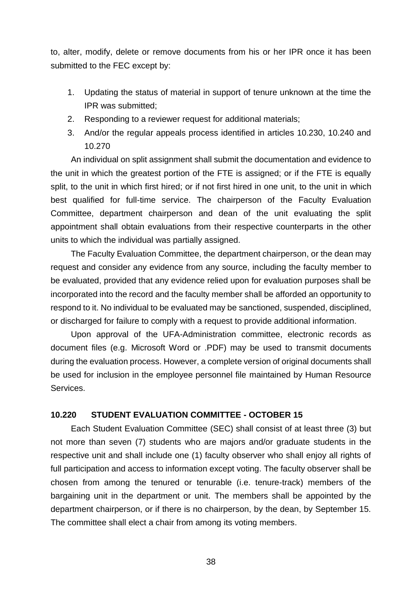to, alter, modify, delete or remove documents from his or her IPR once it has been submitted to the FEC except by:

- 1. Updating the status of material in support of tenure unknown at the time the IPR was submitted;
- 2. Responding to a reviewer request for additional materials;
- 3. And/or the regular appeals process identified in articles 10.230, 10.240 and 10.270

An individual on split assignment shall submit the documentation and evidence to the unit in which the greatest portion of the FTE is assigned; or if the FTE is equally split, to the unit in which first hired; or if not first hired in one unit, to the unit in which best qualified for full-time service. The chairperson of the Faculty Evaluation Committee, department chairperson and dean of the unit evaluating the split appointment shall obtain evaluations from their respective counterparts in the other units to which the individual was partially assigned.

The Faculty Evaluation Committee, the department chairperson, or the dean may request and consider any evidence from any source, including the faculty member to be evaluated, provided that any evidence relied upon for evaluation purposes shall be incorporated into the record and the faculty member shall be afforded an opportunity to respond to it. No individual to be evaluated may be sanctioned, suspended, disciplined, or discharged for failure to comply with a request to provide additional information.

Upon approval of the UFA-Administration committee, electronic records as document files (e.g. Microsoft Word or .PDF) may be used to transmit documents during the evaluation process. However, a complete version of original documents shall be used for inclusion in the employee personnel file maintained by Human Resource Services.

### **10.220 STUDENT EVALUATION COMMITTEE - OCTOBER 15**

Each Student Evaluation Committee (SEC) shall consist of at least three (3) but not more than seven (7) students who are majors and/or graduate students in the respective unit and shall include one (1) faculty observer who shall enjoy all rights of full participation and access to information except voting. The faculty observer shall be chosen from among the tenured or tenurable (i.e. tenure-track) members of the bargaining unit in the department or unit. The members shall be appointed by the department chairperson, or if there is no chairperson, by the dean, by September 15. The committee shall elect a chair from among its voting members.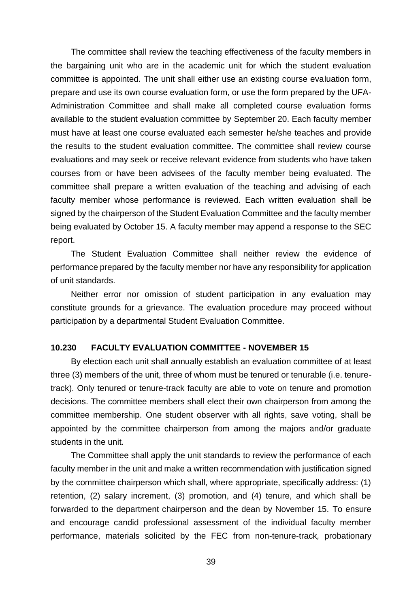The committee shall review the teaching effectiveness of the faculty members in the bargaining unit who are in the academic unit for which the student evaluation committee is appointed. The unit shall either use an existing course evaluation form, prepare and use its own course evaluation form, or use the form prepared by the UFA-Administration Committee and shall make all completed course evaluation forms available to the student evaluation committee by September 20. Each faculty member must have at least one course evaluated each semester he/she teaches and provide the results to the student evaluation committee. The committee shall review course evaluations and may seek or receive relevant evidence from students who have taken courses from or have been advisees of the faculty member being evaluated. The committee shall prepare a written evaluation of the teaching and advising of each faculty member whose performance is reviewed. Each written evaluation shall be signed by the chairperson of the Student Evaluation Committee and the faculty member being evaluated by October 15. A faculty member may append a response to the SEC report.

The Student Evaluation Committee shall neither review the evidence of performance prepared by the faculty member nor have any responsibility for application of unit standards.

Neither error nor omission of student participation in any evaluation may constitute grounds for a grievance. The evaluation procedure may proceed without participation by a departmental Student Evaluation Committee.

# **10.230 FACULTY EVALUATION COMMITTEE - NOVEMBER 15**

By election each unit shall annually establish an evaluation committee of at least three (3) members of the unit, three of whom must be tenured or tenurable (i.e. tenuretrack). Only tenured or tenure-track faculty are able to vote on tenure and promotion decisions. The committee members shall elect their own chairperson from among the committee membership. One student observer with all rights, save voting, shall be appointed by the committee chairperson from among the majors and/or graduate students in the unit.

The Committee shall apply the unit standards to review the performance of each faculty member in the unit and make a written recommendation with justification signed by the committee chairperson which shall, where appropriate, specifically address: (1) retention, (2) salary increment, (3) promotion, and (4) tenure, and which shall be forwarded to the department chairperson and the dean by November 15. To ensure and encourage candid professional assessment of the individual faculty member performance, materials solicited by the FEC from non-tenure-track*,* probationary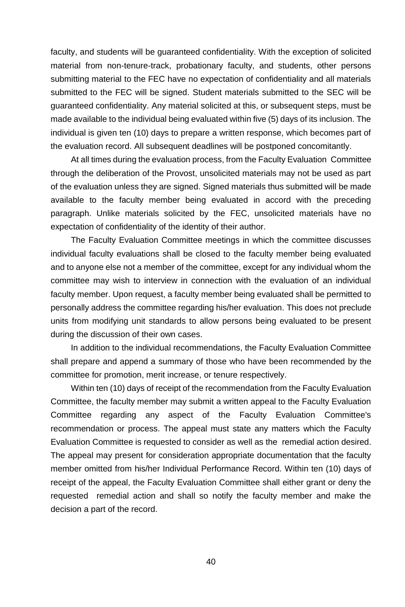faculty, and students will be guaranteed confidentiality. With the exception of solicited material from non-tenure-track, probationary faculty, and students, other persons submitting material to the FEC have no expectation of confidentiality and all materials submitted to the FEC will be signed. Student materials submitted to the SEC will be guaranteed confidentiality. Any material solicited at this, or subsequent steps, must be made available to the individual being evaluated within five (5) days of its inclusion. The individual is given ten (10) days to prepare a written response, which becomes part of the evaluation record. All subsequent deadlines will be postponed concomitantly.

At all times during the evaluation process, from the Faculty Evaluation Committee through the deliberation of the Provost, unsolicited materials may not be used as part of the evaluation unless they are signed. Signed materials thus submitted will be made available to the faculty member being evaluated in accord with the preceding paragraph. Unlike materials solicited by the FEC, unsolicited materials have no expectation of confidentiality of the identity of their author.

The Faculty Evaluation Committee meetings in which the committee discusses individual faculty evaluations shall be closed to the faculty member being evaluated and to anyone else not a member of the committee, except for any individual whom the committee may wish to interview in connection with the evaluation of an individual faculty member. Upon request, a faculty member being evaluated shall be permitted to personally address the committee regarding his/her evaluation. This does not preclude units from modifying unit standards to allow persons being evaluated to be present during the discussion of their own cases.

In addition to the individual recommendations, the Faculty Evaluation Committee shall prepare and append a summary of those who have been recommended by the committee for promotion, merit increase, or tenure respectively.

Within ten (10) days of receipt of the recommendation from the Faculty Evaluation Committee, the faculty member may submit a written appeal to the Faculty Evaluation Committee regarding any aspect of the Faculty Evaluation Committee's recommendation or process. The appeal must state any matters which the Faculty Evaluation Committee is requested to consider as well as the remedial action desired. The appeal may present for consideration appropriate documentation that the faculty member omitted from his/her Individual Performance Record. Within ten (10) days of receipt of the appeal, the Faculty Evaluation Committee shall either grant or deny the requested remedial action and shall so notify the faculty member and make the decision a part of the record.

40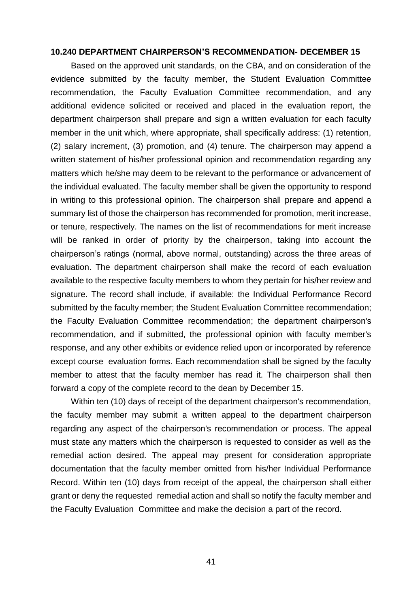#### **10.240 DEPARTMENT CHAIRPERSON'S RECOMMENDATION- DECEMBER 15**

Based on the approved unit standards, on the CBA, and on consideration of the evidence submitted by the faculty member, the Student Evaluation Committee recommendation, the Faculty Evaluation Committee recommendation, and any additional evidence solicited or received and placed in the evaluation report, the department chairperson shall prepare and sign a written evaluation for each faculty member in the unit which, where appropriate, shall specifically address: (1) retention, (2) salary increment, (3) promotion, and (4) tenure. The chairperson may append a written statement of his/her professional opinion and recommendation regarding any matters which he/she may deem to be relevant to the performance or advancement of the individual evaluated. The faculty member shall be given the opportunity to respond in writing to this professional opinion. The chairperson shall prepare and append a summary list of those the chairperson has recommended for promotion, merit increase, or tenure, respectively. The names on the list of recommendations for merit increase will be ranked in order of priority by the chairperson, taking into account the chairperson's ratings (normal, above normal, outstanding) across the three areas of evaluation. The department chairperson shall make the record of each evaluation available to the respective faculty members to whom they pertain for his/her review and signature. The record shall include, if available: the Individual Performance Record submitted by the faculty member; the Student Evaluation Committee recommendation; the Faculty Evaluation Committee recommendation; the department chairperson's recommendation, and if submitted, the professional opinion with faculty member's response, and any other exhibits or evidence relied upon or incorporated by reference except course evaluation forms. Each recommendation shall be signed by the faculty member to attest that the faculty member has read it. The chairperson shall then forward a copy of the complete record to the dean by December 15.

Within ten (10) days of receipt of the department chairperson's recommendation, the faculty member may submit a written appeal to the department chairperson regarding any aspect of the chairperson's recommendation or process. The appeal must state any matters which the chairperson is requested to consider as well as the remedial action desired. The appeal may present for consideration appropriate documentation that the faculty member omitted from his/her Individual Performance Record. Within ten (10) days from receipt of the appeal, the chairperson shall either grant or deny the requested remedial action and shall so notify the faculty member and the Faculty Evaluation Committee and make the decision a part of the record.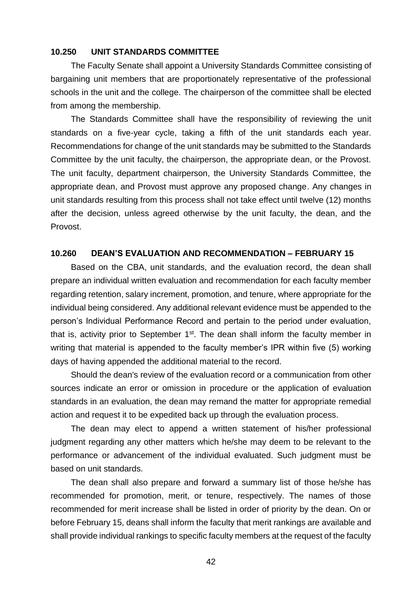### **10.250 UNIT STANDARDS COMMITTEE**

The Faculty Senate shall appoint a University Standards Committee consisting of bargaining unit members that are proportionately representative of the professional schools in the unit and the college. The chairperson of the committee shall be elected from among the membership.

The Standards Committee shall have the responsibility of reviewing the unit standards on a five-year cycle, taking a fifth of the unit standards each year. Recommendations for change of the unit standards may be submitted to the Standards Committee by the unit faculty, the chairperson, the appropriate dean, or the Provost. The unit faculty, department chairperson, the University Standards Committee, the appropriate dean, and Provost must approve any proposed change. Any changes in unit standards resulting from this process shall not take effect until twelve (12) months after the decision, unless agreed otherwise by the unit faculty, the dean, and the Provost.

### **10.260 DEAN'S EVALUATION AND RECOMMENDATION – FEBRUARY 15**

Based on the CBA, unit standards, and the evaluation record, the dean shall prepare an individual written evaluation and recommendation for each faculty member regarding retention, salary increment, promotion, and tenure, where appropriate for the individual being considered. Any additional relevant evidence must be appended to the person's Individual Performance Record and pertain to the period under evaluation, that is, activity prior to September  $1<sup>st</sup>$ . The dean shall inform the faculty member in writing that material is appended to the faculty member's IPR within five (5) working days of having appended the additional material to the record.

Should the dean's review of the evaluation record or a communication from other sources indicate an error or omission in procedure or the application of evaluation standards in an evaluation, the dean may remand the matter for appropriate remedial action and request it to be expedited back up through the evaluation process.

The dean may elect to append a written statement of his/her professional judgment regarding any other matters which he/she may deem to be relevant to the performance or advancement of the individual evaluated. Such judgment must be based on unit standards.

The dean shall also prepare and forward a summary list of those he/she has recommended for promotion, merit, or tenure, respectively. The names of those recommended for merit increase shall be listed in order of priority by the dean. On or before February 15, deans shall inform the faculty that merit rankings are available and shall provide individual rankings to specific faculty members at the request of the faculty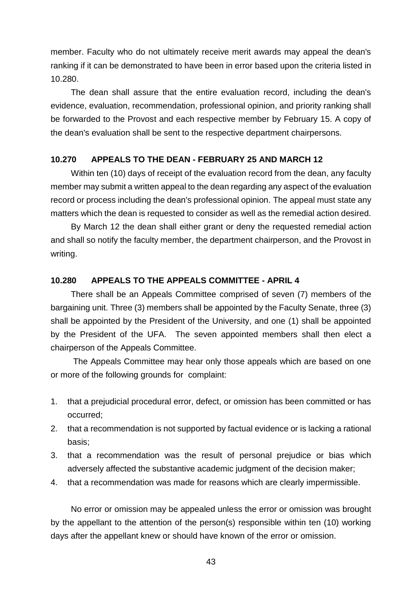member. Faculty who do not ultimately receive merit awards may appeal the dean's ranking if it can be demonstrated to have been in error based upon the criteria listed in 10.280.

The dean shall assure that the entire evaluation record, including the dean's evidence, evaluation, recommendation, professional opinion, and priority ranking shall be forwarded to the Provost and each respective member by February 15. A copy of the dean's evaluation shall be sent to the respective department chairpersons.

### **10.270 APPEALS TO THE DEAN - FEBRUARY 25 AND MARCH 12**

Within ten (10) days of receipt of the evaluation record from the dean, any faculty member may submit a written appeal to the dean regarding any aspect of the evaluation record or process including the dean's professional opinion. The appeal must state any matters which the dean is requested to consider as well as the remedial action desired.

By March 12 the dean shall either grant or deny the requested remedial action and shall so notify the faculty member, the department chairperson, and the Provost in writing.

### **10.280 APPEALS TO THE APPEALS COMMITTEE - APRIL 4**

There shall be an Appeals Committee comprised of seven (7) members of the bargaining unit. Three (3) members shall be appointed by the Faculty Senate, three (3) shall be appointed by the President of the University, and one (1) shall be appointed by the President of the UFA. The seven appointed members shall then elect a chairperson of the Appeals Committee.

The Appeals Committee may hear only those appeals which are based on one or more of the following grounds for complaint:

- 1. that a prejudicial procedural error, defect, or omission has been committed or has occurred;
- 2. that a recommendation is not supported by factual evidence or is lacking a rational basis;
- 3. that a recommendation was the result of personal prejudice or bias which adversely affected the substantive academic judgment of the decision maker;
- 4. that a recommendation was made for reasons which are clearly impermissible.

No error or omission may be appealed unless the error or omission was brought by the appellant to the attention of the person(s) responsible within ten (10) working days after the appellant knew or should have known of the error or omission.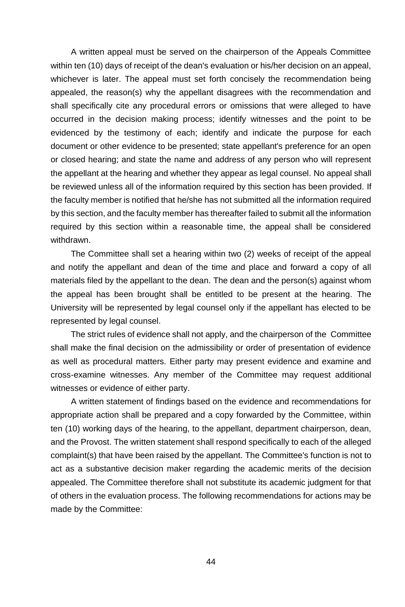A written appeal must be served on the chairperson of the Appeals Committee within ten (10) days of receipt of the dean's evaluation or his/her decision on an appeal, whichever is later. The appeal must set forth concisely the recommendation being appealed, the reason(s) why the appellant disagrees with the recommendation and shall specifically cite any procedural errors or omissions that were alleged to have occurred in the decision making process; identify witnesses and the point to be evidenced by the testimony of each; identify and indicate the purpose for each document or other evidence to be presented; state appellant's preference for an open or closed hearing; and state the name and address of any person who will represent the appellant at the hearing and whether they appear as legal counsel. No appeal shall be reviewed unless all of the information required by this section has been provided. If the faculty member is notified that he/she has not submitted all the information required by this section, and the faculty member has thereafter failed to submit all the information required by this section within a reasonable time, the appeal shall be considered withdrawn.

The Committee shall set a hearing within two (2) weeks of receipt of the appeal and notify the appellant and dean of the time and place and forward a copy of all materials filed by the appellant to the dean. The dean and the person(s) against whom the appeal has been brought shall be entitled to be present at the hearing. The University will be represented by legal counsel only if the appellant has elected to be represented by legal counsel.

The strict rules of evidence shall not apply, and the chairperson of the Committee shall make the final decision on the admissibility or order of presentation of evidence as well as procedural matters. Either party may present evidence and examine and cross-examine witnesses. Any member of the Committee may request additional witnesses or evidence of either party.

A written statement of findings based on the evidence and recommendations for appropriate action shall be prepared and a copy forwarded by the Committee, within ten (10) working days of the hearing, to the appellant, department chairperson, dean, and the Provost. The written statement shall respond specifically to each of the alleged complaint(s) that have been raised by the appellant. The Committee's function is not to act as a substantive decision maker regarding the academic merits of the decision appealed. The Committee therefore shall not substitute its academic judgment for that of others in the evaluation process. The following recommendations for actions may be made by the Committee: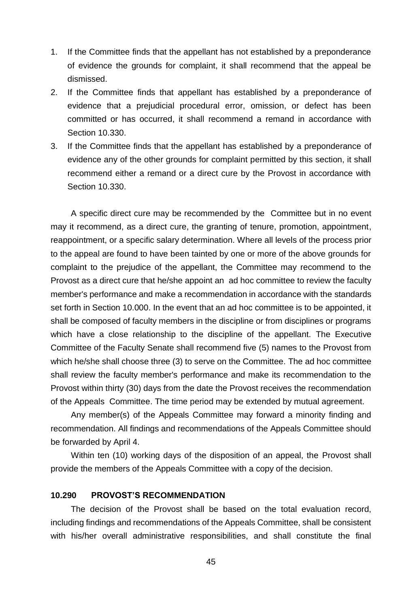- 1. If the Committee finds that the appellant has not established by a preponderance of evidence the grounds for complaint, it shall recommend that the appeal be dismissed.
- 2. If the Committee finds that appellant has established by a preponderance of evidence that a prejudicial procedural error, omission, or defect has been committed or has occurred, it shall recommend a remand in accordance with Section 10.330.
- 3. If the Committee finds that the appellant has established by a preponderance of evidence any of the other grounds for complaint permitted by this section, it shall recommend either a remand or a direct cure by the Provost in accordance with Section 10.330.

A specific direct cure may be recommended by the Committee but in no event may it recommend, as a direct cure, the granting of tenure, promotion, appointment, reappointment, or a specific salary determination. Where all levels of the process prior to the appeal are found to have been tainted by one or more of the above grounds for complaint to the prejudice of the appellant, the Committee may recommend to the Provost as a direct cure that he/she appoint an ad hoc committee to review the faculty member's performance and make a recommendation in accordance with the standards set forth in Section 10.000. In the event that an ad hoc committee is to be appointed, it shall be composed of faculty members in the discipline or from disciplines or programs which have a close relationship to the discipline of the appellant. The Executive Committee of the Faculty Senate shall recommend five (5) names to the Provost from which he/she shall choose three (3) to serve on the Committee. The ad hoc committee shall review the faculty member's performance and make its recommendation to the Provost within thirty (30) days from the date the Provost receives the recommendation of the Appeals Committee. The time period may be extended by mutual agreement.

Any member(s) of the Appeals Committee may forward a minority finding and recommendation. All findings and recommendations of the Appeals Committee should be forwarded by April 4.

Within ten (10) working days of the disposition of an appeal, the Provost shall provide the members of the Appeals Committee with a copy of the decision.

### **10.290 PROVOST'S RECOMMENDATION**

The decision of the Provost shall be based on the total evaluation record, including findings and recommendations of the Appeals Committee, shall be consistent with his/her overall administrative responsibilities, and shall constitute the final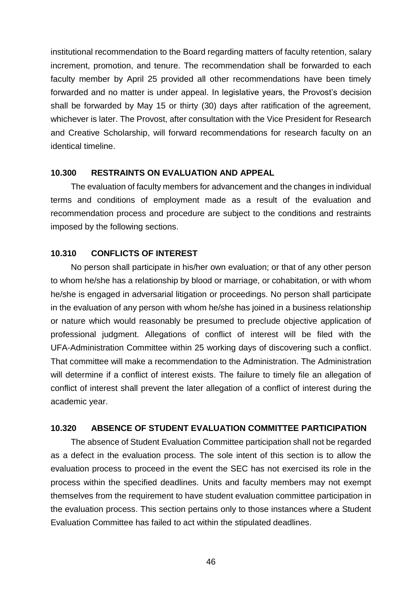institutional recommendation to the Board regarding matters of faculty retention, salary increment, promotion, and tenure. The recommendation shall be forwarded to each faculty member by April 25 provided all other recommendations have been timely forwarded and no matter is under appeal. In legislative years, the Provost's decision shall be forwarded by May 15 or thirty (30) days after ratification of the agreement, whichever is later. The Provost, after consultation with the Vice President for Research and Creative Scholarship, will forward recommendations for research faculty on an identical timeline.

#### **10.300 RESTRAINTS ON EVALUATION AND APPEAL**

The evaluation of faculty members for advancement and the changes in individual terms and conditions of employment made as a result of the evaluation and recommendation process and procedure are subject to the conditions and restraints imposed by the following sections.

### **10.310 CONFLICTS OF INTEREST**

No person shall participate in his/her own evaluation; or that of any other person to whom he/she has a relationship by blood or marriage, or cohabitation, or with whom he/she is engaged in adversarial litigation or proceedings. No person shall participate in the evaluation of any person with whom he/she has joined in a business relationship or nature which would reasonably be presumed to preclude objective application of professional judgment. Allegations of conflict of interest will be filed with the UFA-Administration Committee within 25 working days of discovering such a conflict. That committee will make a recommendation to the Administration. The Administration will determine if a conflict of interest exists. The failure to timely file an allegation of conflict of interest shall prevent the later allegation of a conflict of interest during the academic year.

### **10.320 ABSENCE OF STUDENT EVALUATION COMMITTEE PARTICIPATION**

The absence of Student Evaluation Committee participation shall not be regarded as a defect in the evaluation process. The sole intent of this section is to allow the evaluation process to proceed in the event the SEC has not exercised its role in the process within the specified deadlines. Units and faculty members may not exempt themselves from the requirement to have student evaluation committee participation in the evaluation process. This section pertains only to those instances where a Student Evaluation Committee has failed to act within the stipulated deadlines.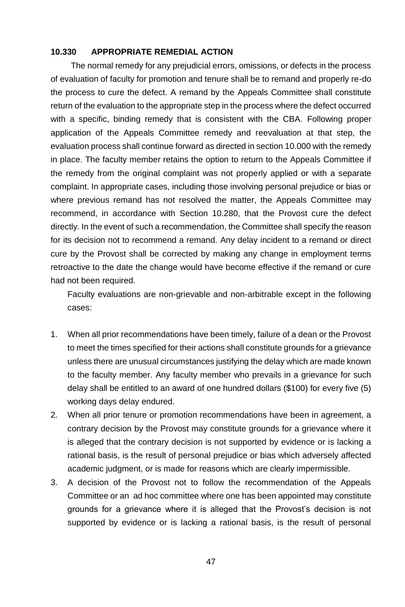## **10.330 APPROPRIATE REMEDIAL ACTION**

The normal remedy for any prejudicial errors, omissions, or defects in the process of evaluation of faculty for promotion and tenure shall be to remand and properly re-do the process to cure the defect. A remand by the Appeals Committee shall constitute return of the evaluation to the appropriate step in the process where the defect occurred with a specific, binding remedy that is consistent with the CBA. Following proper application of the Appeals Committee remedy and reevaluation at that step, the evaluation process shall continue forward as directed in section 10.000 with the remedy in place. The faculty member retains the option to return to the Appeals Committee if the remedy from the original complaint was not properly applied or with a separate complaint. In appropriate cases, including those involving personal prejudice or bias or where previous remand has not resolved the matter, the Appeals Committee may recommend, in accordance with Section 10.280, that the Provost cure the defect directly. In the event of such a recommendation, the Committee shall specify the reason for its decision not to recommend a remand. Any delay incident to a remand or direct cure by the Provost shall be corrected by making any change in employment terms retroactive to the date the change would have become effective if the remand or cure had not been required.

Faculty evaluations are non-grievable and non-arbitrable except in the following cases:

- 1. When all prior recommendations have been timely, failure of a dean or the Provost to meet the times specified for their actions shall constitute grounds for a grievance unless there are unusual circumstances justifying the delay which are made known to the faculty member. Any faculty member who prevails in a grievance for such delay shall be entitled to an award of one hundred dollars (\$100) for every five (5) working days delay endured.
- 2. When all prior tenure or promotion recommendations have been in agreement, a contrary decision by the Provost may constitute grounds for a grievance where it is alleged that the contrary decision is not supported by evidence or is lacking a rational basis, is the result of personal prejudice or bias which adversely affected academic judgment, or is made for reasons which are clearly impermissible.
- 3. A decision of the Provost not to follow the recommendation of the Appeals Committee or an ad hoc committee where one has been appointed may constitute grounds for a grievance where it is alleged that the Provost's decision is not supported by evidence or is lacking a rational basis, is the result of personal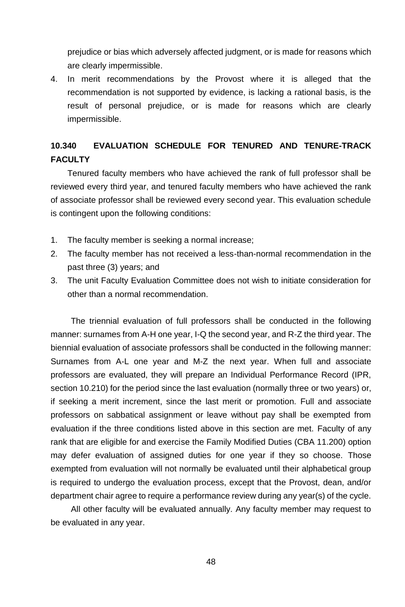prejudice or bias which adversely affected judgment, or is made for reasons which are clearly impermissible.

4. In merit recommendations by the Provost where it is alleged that the recommendation is not supported by evidence, is lacking a rational basis, is the result of personal prejudice, or is made for reasons which are clearly impermissible.

# **10.340 EVALUATION SCHEDULE FOR TENURED AND TENURE-TRACK FACULTY**

Tenured faculty members who have achieved the rank of full professor shall be reviewed every third year, and tenured faculty members who have achieved the rank of associate professor shall be reviewed every second year. This evaluation schedule is contingent upon the following conditions:

- 1. The faculty member is seeking a normal increase;
- 2. The faculty member has not received a less-than-normal recommendation in the past three (3) years; and
- 3. The unit Faculty Evaluation Committee does not wish to initiate consideration for other than a normal recommendation.

The triennial evaluation of full professors shall be conducted in the following manner: surnames from A-H one year, I-Q the second year, and R-Z the third year. The biennial evaluation of associate professors shall be conducted in the following manner: Surnames from A-L one year and M-Z the next year. When full and associate professors are evaluated, they will prepare an Individual Performance Record (IPR, section 10.210) for the period since the last evaluation (normally three or two years) or, if seeking a merit increment, since the last merit or promotion. Full and associate professors on sabbatical assignment or leave without pay shall be exempted from evaluation if the three conditions listed above in this section are met. Faculty of any rank that are eligible for and exercise the Family Modified Duties (CBA 11.200) option may defer evaluation of assigned duties for one year if they so choose. Those exempted from evaluation will not normally be evaluated until their alphabetical group is required to undergo the evaluation process, except that the Provost, dean, and/or department chair agree to require a performance review during any year(s) of the cycle.

All other faculty will be evaluated annually. Any faculty member may request to be evaluated in any year.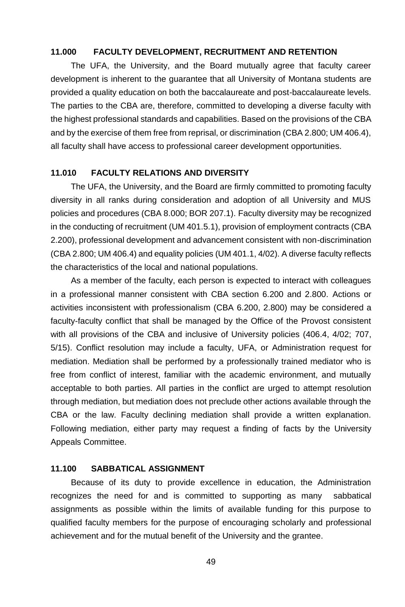### **11.000 FACULTY DEVELOPMENT, RECRUITMENT AND RETENTION**

The UFA, the University, and the Board mutually agree that faculty career development is inherent to the guarantee that all University of Montana students are provided a quality education on both the baccalaureate and post-baccalaureate levels. The parties to the CBA are, therefore, committed to developing a diverse faculty with the highest professional standards and capabilities. Based on the provisions of the CBA and by the exercise of them free from reprisal, or discrimination (CBA 2.800; UM 406.4), all faculty shall have access to professional career development opportunities.

#### **11.010 FACULTY RELATIONS AND DIVERSITY**

The UFA, the University, and the Board are firmly committed to promoting faculty diversity in all ranks during consideration and adoption of all University and MUS policies and procedures (CBA 8.000; BOR 207.1). Faculty diversity may be recognized in the conducting of recruitment (UM 401.5.1), provision of employment contracts (CBA 2.200), professional development and advancement consistent with non-discrimination (CBA 2.800; UM 406.4) and equality policies (UM 401.1, 4/02). A diverse faculty reflects the characteristics of the local and national populations.

As a member of the faculty, each person is expected to interact with colleagues in a professional manner consistent with CBA section 6.200 and 2.800. Actions or activities inconsistent with professionalism (CBA 6.200, 2.800) may be considered a faculty-faculty conflict that shall be managed by the Office of the Provost consistent with all provisions of the CBA and inclusive of University policies (406.4, 4/02; 707, 5/15). Conflict resolution may include a faculty, UFA, or Administration request for mediation. Mediation shall be performed by a professionally trained mediator who is free from conflict of interest, familiar with the academic environment, and mutually acceptable to both parties. All parties in the conflict are urged to attempt resolution through mediation, but mediation does not preclude other actions available through the CBA or the law. Faculty declining mediation shall provide a written explanation. Following mediation, either party may request a finding of facts by the University Appeals Committee.

### **11.100 SABBATICAL ASSIGNMENT**

Because of its duty to provide excellence in education, the Administration recognizes the need for and is committed to supporting as many sabbatical assignments as possible within the limits of available funding for this purpose to qualified faculty members for the purpose of encouraging scholarly and professional achievement and for the mutual benefit of the University and the grantee.

49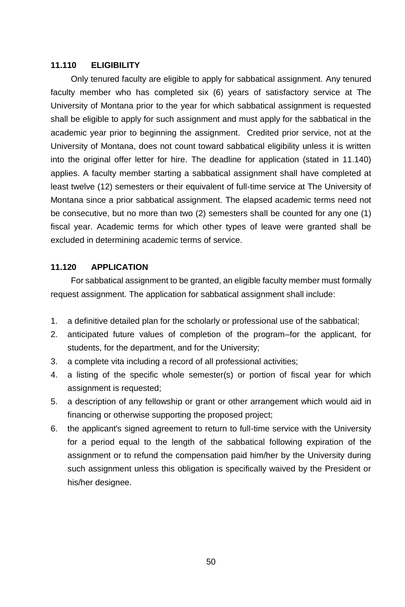### **11.110 ELIGIBILITY**

Only tenured faculty are eligible to apply for sabbatical assignment. Any tenured faculty member who has completed six (6) years of satisfactory service at The University of Montana prior to the year for which sabbatical assignment is requested shall be eligible to apply for such assignment and must apply for the sabbatical in the academic year prior to beginning the assignment. Credited prior service, not at the University of Montana, does not count toward sabbatical eligibility unless it is written into the original offer letter for hire. The deadline for application (stated in 11.140) applies. A faculty member starting a sabbatical assignment shall have completed at least twelve (12) semesters or their equivalent of full-time service at The University of Montana since a prior sabbatical assignment. The elapsed academic terms need not be consecutive, but no more than two (2) semesters shall be counted for any one (1) fiscal year. Academic terms for which other types of leave were granted shall be excluded in determining academic terms of service.

## **11.120 APPLICATION**

For sabbatical assignment to be granted, an eligible faculty member must formally request assignment. The application for sabbatical assignment shall include:

- 1. a definitive detailed plan for the scholarly or professional use of the sabbatical;
- 2. anticipated future values of completion of the program–for the applicant, for students, for the department, and for the University;
- 3. a complete vita including a record of all professional activities;
- 4. a listing of the specific whole semester(s) or portion of fiscal year for which assignment is requested;
- 5. a description of any fellowship or grant or other arrangement which would aid in financing or otherwise supporting the proposed project;
- 6. the applicant's signed agreement to return to full-time service with the University for a period equal to the length of the sabbatical following expiration of the assignment or to refund the compensation paid him/her by the University during such assignment unless this obligation is specifically waived by the President or his/her designee.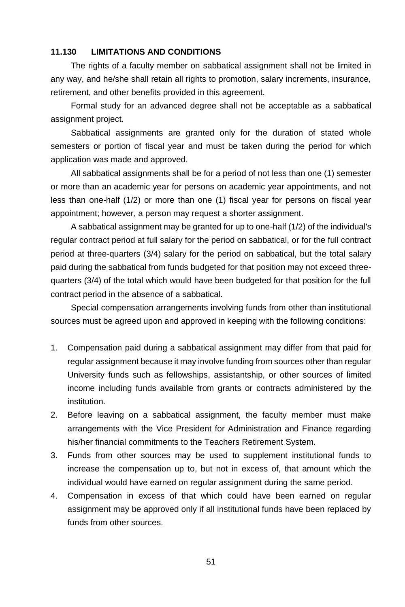### **11.130 LIMITATIONS AND CONDITIONS**

The rights of a faculty member on sabbatical assignment shall not be limited in any way, and he/she shall retain all rights to promotion, salary increments, insurance, retirement, and other benefits provided in this agreement.

Formal study for an advanced degree shall not be acceptable as a sabbatical assignment project.

Sabbatical assignments are granted only for the duration of stated whole semesters or portion of fiscal year and must be taken during the period for which application was made and approved.

All sabbatical assignments shall be for a period of not less than one (1) semester or more than an academic year for persons on academic year appointments, and not less than one-half (1/2) or more than one (1) fiscal year for persons on fiscal year appointment; however, a person may request a shorter assignment.

A sabbatical assignment may be granted for up to one-half (1/2) of the individual's regular contract period at full salary for the period on sabbatical, or for the full contract period at three-quarters (3/4) salary for the period on sabbatical, but the total salary paid during the sabbatical from funds budgeted for that position may not exceed threequarters (3/4) of the total which would have been budgeted for that position for the full contract period in the absence of a sabbatical.

Special compensation arrangements involving funds from other than institutional sources must be agreed upon and approved in keeping with the following conditions:

- 1. Compensation paid during a sabbatical assignment may differ from that paid for regular assignment because it may involve funding from sources other than regular University funds such as fellowships, assistantship, or other sources of limited income including funds available from grants or contracts administered by the institution.
- 2. Before leaving on a sabbatical assignment, the faculty member must make arrangements with the Vice President for Administration and Finance regarding his/her financial commitments to the Teachers Retirement System.
- 3. Funds from other sources may be used to supplement institutional funds to increase the compensation up to, but not in excess of, that amount which the individual would have earned on regular assignment during the same period.
- 4. Compensation in excess of that which could have been earned on regular assignment may be approved only if all institutional funds have been replaced by funds from other sources.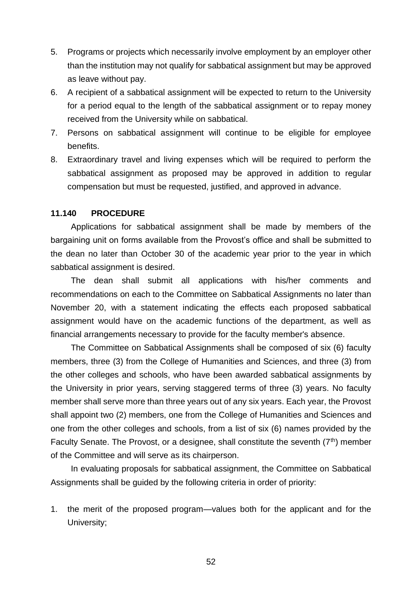- 5. Programs or projects which necessarily involve employment by an employer other than the institution may not qualify for sabbatical assignment but may be approved as leave without pay.
- 6. A recipient of a sabbatical assignment will be expected to return to the University for a period equal to the length of the sabbatical assignment or to repay money received from the University while on sabbatical.
- 7. Persons on sabbatical assignment will continue to be eligible for employee benefits.
- 8. Extraordinary travel and living expenses which will be required to perform the sabbatical assignment as proposed may be approved in addition to regular compensation but must be requested, justified, and approved in advance.

### **11.140 PROCEDURE**

Applications for sabbatical assignment shall be made by members of the bargaining unit on forms available from the Provost's office and shall be submitted to the dean no later than October 30 of the academic year prior to the year in which sabbatical assignment is desired.

The dean shall submit all applications with his/her comments and recommendations on each to the Committee on Sabbatical Assignments no later than November 20, with a statement indicating the effects each proposed sabbatical assignment would have on the academic functions of the department, as well as financial arrangements necessary to provide for the faculty member's absence.

The Committee on Sabbatical Assignments shall be composed of six (6) faculty members, three (3) from the College of Humanities and Sciences, and three (3) from the other colleges and schools, who have been awarded sabbatical assignments by the University in prior years, serving staggered terms of three (3) years. No faculty member shall serve more than three years out of any six years. Each year, the Provost shall appoint two (2) members, one from the College of Humanities and Sciences and one from the other colleges and schools, from a list of six (6) names provided by the Faculty Senate. The Provost, or a designee, shall constitute the seventh  $(7<sup>th</sup>)$  member of the Committee and will serve as its chairperson.

In evaluating proposals for sabbatical assignment, the Committee on Sabbatical Assignments shall be guided by the following criteria in order of priority:

1. the merit of the proposed program—values both for the applicant and for the University;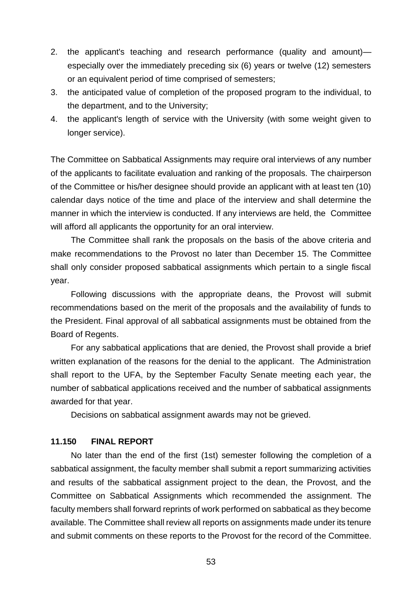- 2. the applicant's teaching and research performance (quality and amount) especially over the immediately preceding six (6) years or twelve (12) semesters or an equivalent period of time comprised of semesters;
- 3. the anticipated value of completion of the proposed program to the individual, to the department, and to the University;
- 4. the applicant's length of service with the University (with some weight given to longer service).

The Committee on Sabbatical Assignments may require oral interviews of any number of the applicants to facilitate evaluation and ranking of the proposals. The chairperson of the Committee or his/her designee should provide an applicant with at least ten (10) calendar days notice of the time and place of the interview and shall determine the manner in which the interview is conducted. If any interviews are held, the Committee will afford all applicants the opportunity for an oral interview.

The Committee shall rank the proposals on the basis of the above criteria and make recommendations to the Provost no later than December 15. The Committee shall only consider proposed sabbatical assignments which pertain to a single fiscal year.

Following discussions with the appropriate deans, the Provost will submit recommendations based on the merit of the proposals and the availability of funds to the President. Final approval of all sabbatical assignments must be obtained from the Board of Regents.

For any sabbatical applications that are denied, the Provost shall provide a brief written explanation of the reasons for the denial to the applicant. The Administration shall report to the UFA, by the September Faculty Senate meeting each year, the number of sabbatical applications received and the number of sabbatical assignments awarded for that year.

Decisions on sabbatical assignment awards may not be grieved.

### **11.150 FINAL REPORT**

No later than the end of the first (1st) semester following the completion of a sabbatical assignment, the faculty member shall submit a report summarizing activities and results of the sabbatical assignment project to the dean, the Provost, and the Committee on Sabbatical Assignments which recommended the assignment. The faculty members shall forward reprints of work performed on sabbatical as they become available. The Committee shall review all reports on assignments made under its tenure and submit comments on these reports to the Provost for the record of the Committee.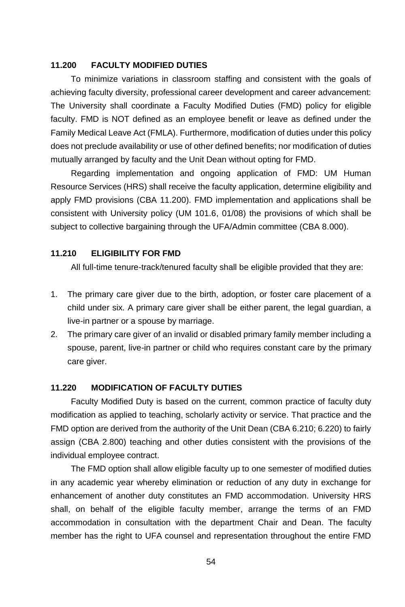#### **11.200 FACULTY MODIFIED DUTIES**

To minimize variations in classroom staffing and consistent with the goals of achieving faculty diversity, professional career development and career advancement: The University shall coordinate a Faculty Modified Duties (FMD) policy for eligible faculty. FMD is NOT defined as an employee benefit or leave as defined under the Family Medical Leave Act (FMLA). Furthermore, modification of duties under this policy does not preclude availability or use of other defined benefits; nor modification of duties mutually arranged by faculty and the Unit Dean without opting for FMD.

Regarding implementation and ongoing application of FMD: UM Human Resource Services (HRS) shall receive the faculty application, determine eligibility and apply FMD provisions (CBA 11.200). FMD implementation and applications shall be consistent with University policy (UM 101.6, 01/08) the provisions of which shall be subject to collective bargaining through the UFA/Admin committee (CBA 8.000).

### **11.210 ELIGIBILITY FOR FMD**

All full-time tenure-track/tenured faculty shall be eligible provided that they are:

- 1. The primary care giver due to the birth, adoption, or foster care placement of a child under six. A primary care giver shall be either parent, the legal guardian, a live-in partner or a spouse by marriage.
- 2. The primary care giver of an invalid or disabled primary family member including a spouse, parent, live-in partner or child who requires constant care by the primary care giver.

#### **11.220 MODIFICATION OF FACULTY DUTIES**

Faculty Modified Duty is based on the current, common practice of faculty duty modification as applied to teaching, scholarly activity or service. That practice and the FMD option are derived from the authority of the Unit Dean (CBA 6.210; 6.220) to fairly assign (CBA 2.800) teaching and other duties consistent with the provisions of the individual employee contract.

The FMD option shall allow eligible faculty up to one semester of modified duties in any academic year whereby elimination or reduction of any duty in exchange for enhancement of another duty constitutes an FMD accommodation. University HRS shall, on behalf of the eligible faculty member, arrange the terms of an FMD accommodation in consultation with the department Chair and Dean. The faculty member has the right to UFA counsel and representation throughout the entire FMD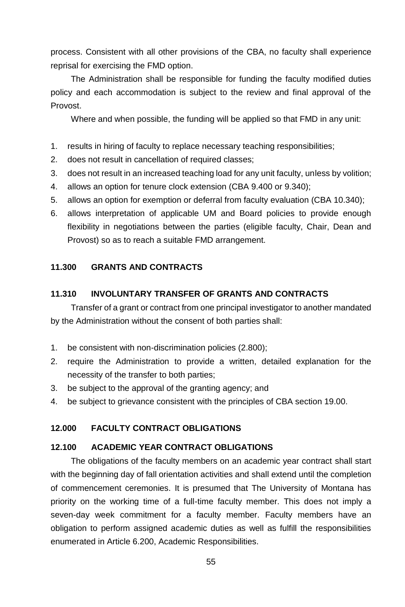process. Consistent with all other provisions of the CBA, no faculty shall experience reprisal for exercising the FMD option.

The Administration shall be responsible for funding the faculty modified duties policy and each accommodation is subject to the review and final approval of the Provost.

Where and when possible, the funding will be applied so that FMD in any unit:

- 1. results in hiring of faculty to replace necessary teaching responsibilities;
- 2. does not result in cancellation of required classes;
- 3. does not result in an increased teaching load for any unit faculty, unless by volition;
- 4. allows an option for tenure clock extension (CBA 9.400 or 9.340);
- 5. allows an option for exemption or deferral from faculty evaluation (CBA 10.340);
- 6. allows interpretation of applicable UM and Board policies to provide enough flexibility in negotiations between the parties (eligible faculty, Chair, Dean and Provost) so as to reach a suitable FMD arrangement.

# **11.300 GRANTS AND CONTRACTS**

#### **11.310 INVOLUNTARY TRANSFER OF GRANTS AND CONTRACTS**

Transfer of a grant or contract from one principal investigator to another mandated by the Administration without the consent of both parties shall:

- 1. be consistent with non-discrimination policies (2.800);
- 2. require the Administration to provide a written, detailed explanation for the necessity of the transfer to both parties;
- 3. be subject to the approval of the granting agency; and
- 4. be subject to grievance consistent with the principles of CBA section 19.00.

### **12.000 FACULTY CONTRACT OBLIGATIONS**

#### **12.100 ACADEMIC YEAR CONTRACT OBLIGATIONS**

The obligations of the faculty members on an academic year contract shall start with the beginning day of fall orientation activities and shall extend until the completion of commencement ceremonies. It is presumed that The University of Montana has priority on the working time of a full-time faculty member. This does not imply a seven-day week commitment for a faculty member. Faculty members have an obligation to perform assigned academic duties as well as fulfill the responsibilities enumerated in Article 6.200, Academic Responsibilities.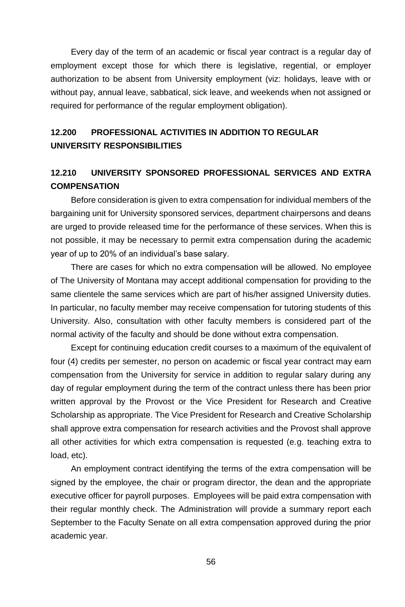Every day of the term of an academic or fiscal year contract is a regular day of employment except those for which there is legislative, regential, or employer authorization to be absent from University employment (viz: holidays, leave with or without pay, annual leave, sabbatical, sick leave, and weekends when not assigned or required for performance of the regular employment obligation).

# **12.200 PROFESSIONAL ACTIVITIES IN ADDITION TO REGULAR UNIVERSITY RESPONSIBILITIES**

# **12.210 UNIVERSITY SPONSORED PROFESSIONAL SERVICES AND EXTRA COMPENSATION**

Before consideration is given to extra compensation for individual members of the bargaining unit for University sponsored services, department chairpersons and deans are urged to provide released time for the performance of these services. When this is not possible, it may be necessary to permit extra compensation during the academic year of up to 20% of an individual's base salary.

There are cases for which no extra compensation will be allowed. No employee of The University of Montana may accept additional compensation for providing to the same clientele the same services which are part of his/her assigned University duties. In particular, no faculty member may receive compensation for tutoring students of this University. Also, consultation with other faculty members is considered part of the normal activity of the faculty and should be done without extra compensation.

Except for continuing education credit courses to a maximum of the equivalent of four (4) credits per semester, no person on academic or fiscal year contract may earn compensation from the University for service in addition to regular salary during any day of regular employment during the term of the contract unless there has been prior written approval by the Provost or the Vice President for Research and Creative Scholarship as appropriate. The Vice President for Research and Creative Scholarship shall approve extra compensation for research activities and the Provost shall approve all other activities for which extra compensation is requested (e.g. teaching extra to load, etc).

An employment contract identifying the terms of the extra compensation will be signed by the employee, the chair or program director, the dean and the appropriate executive officer for payroll purposes. Employees will be paid extra compensation with their regular monthly check. The Administration will provide a summary report each September to the Faculty Senate on all extra compensation approved during the prior academic year.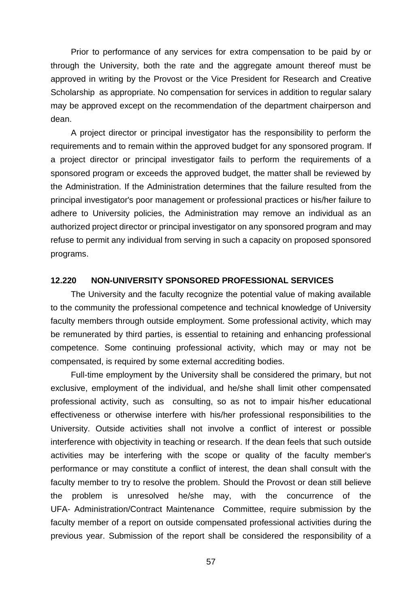Prior to performance of any services for extra compensation to be paid by or through the University, both the rate and the aggregate amount thereof must be approved in writing by the Provost or the Vice President for Research and Creative Scholarship as appropriate. No compensation for services in addition to regular salary may be approved except on the recommendation of the department chairperson and dean.

A project director or principal investigator has the responsibility to perform the requirements and to remain within the approved budget for any sponsored program. If a project director or principal investigator fails to perform the requirements of a sponsored program or exceeds the approved budget, the matter shall be reviewed by the Administration. If the Administration determines that the failure resulted from the principal investigator's poor management or professional practices or his/her failure to adhere to University policies, the Administration may remove an individual as an authorized project director or principal investigator on any sponsored program and may refuse to permit any individual from serving in such a capacity on proposed sponsored programs.

### **12.220 NON-UNIVERSITY SPONSORED PROFESSIONAL SERVICES**

The University and the faculty recognize the potential value of making available to the community the professional competence and technical knowledge of University faculty members through outside employment. Some professional activity, which may be remunerated by third parties, is essential to retaining and enhancing professional competence. Some continuing professional activity, which may or may not be compensated, is required by some external accrediting bodies.

Full-time employment by the University shall be considered the primary, but not exclusive, employment of the individual, and he/she shall limit other compensated professional activity, such as consulting, so as not to impair his/her educational effectiveness or otherwise interfere with his/her professional responsibilities to the University. Outside activities shall not involve a conflict of interest or possible interference with objectivity in teaching or research. If the dean feels that such outside activities may be interfering with the scope or quality of the faculty member's performance or may constitute a conflict of interest, the dean shall consult with the faculty member to try to resolve the problem. Should the Provost or dean still believe the problem is unresolved he/she may, with the concurrence of the UFA- Administration/Contract Maintenance Committee, require submission by the faculty member of a report on outside compensated professional activities during the previous year. Submission of the report shall be considered the responsibility of a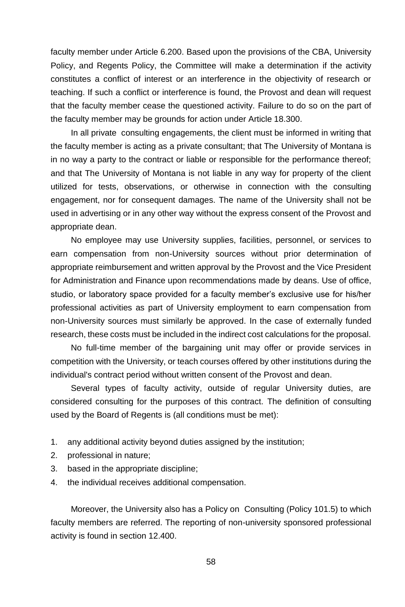faculty member under Article 6.200. Based upon the provisions of the CBA, University Policy, and Regents Policy, the Committee will make a determination if the activity constitutes a conflict of interest or an interference in the objectivity of research or teaching. If such a conflict or interference is found, the Provost and dean will request that the faculty member cease the questioned activity. Failure to do so on the part of the faculty member may be grounds for action under Article 18.300.

In all private consulting engagements, the client must be informed in writing that the faculty member is acting as a private consultant; that The University of Montana is in no way a party to the contract or liable or responsible for the performance thereof; and that The University of Montana is not liable in any way for property of the client utilized for tests, observations, or otherwise in connection with the consulting engagement, nor for consequent damages. The name of the University shall not be used in advertising or in any other way without the express consent of the Provost and appropriate dean.

No employee may use University supplies, facilities, personnel, or services to earn compensation from non-University sources without prior determination of appropriate reimbursement and written approval by the Provost and the Vice President for Administration and Finance upon recommendations made by deans. Use of office, studio, or laboratory space provided for a faculty member's exclusive use for his/her professional activities as part of University employment to earn compensation from non-University sources must similarly be approved. In the case of externally funded research, these costs must be included in the indirect cost calculations for the proposal.

No full-time member of the bargaining unit may offer or provide services in competition with the University, or teach courses offered by other institutions during the individual's contract period without written consent of the Provost and dean.

Several types of faculty activity, outside of regular University duties, are considered consulting for the purposes of this contract. The definition of consulting used by the Board of Regents is (all conditions must be met):

- 1. any additional activity beyond duties assigned by the institution;
- 2. professional in nature;
- 3. based in the appropriate discipline;
- 4. the individual receives additional compensation.

Moreover, the University also has a Policy on Consulting (Policy 101.5) to which faculty members are referred. The reporting of non-university sponsored professional activity is found in section 12.400.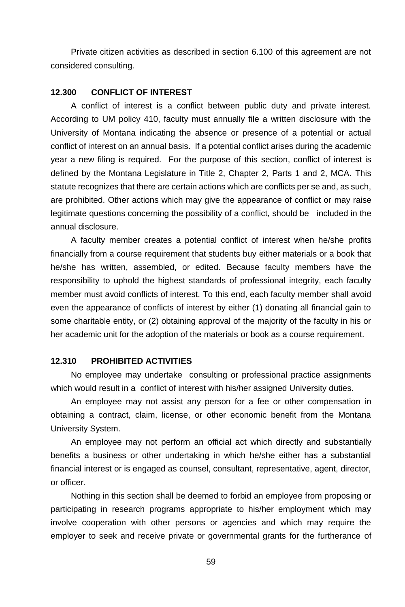Private citizen activities as described in section 6.100 of this agreement are not considered consulting.

### **12.300 CONFLICT OF INTEREST**

A conflict of interest is a conflict between public duty and private interest. According to UM policy 410, faculty must annually file a written disclosure with the University of Montana indicating the absence or presence of a potential or actual conflict of interest on an annual basis. If a potential conflict arises during the academic year a new filing is required. For the purpose of this section, conflict of interest is defined by the Montana Legislature in Title 2, Chapter 2, Parts 1 and 2, MCA. This statute recognizes that there are certain actions which are conflicts per se and, as such, are prohibited. Other actions which may give the appearance of conflict or may raise legitimate questions concerning the possibility of a conflict, should be included in the annual disclosure.

A faculty member creates a potential conflict of interest when he/she profits financially from a course requirement that students buy either materials or a book that he/she has written, assembled, or edited. Because faculty members have the responsibility to uphold the highest standards of professional integrity, each faculty member must avoid conflicts of interest. To this end, each faculty member shall avoid even the appearance of conflicts of interest by either (1) donating all financial gain to some charitable entity, or (2) obtaining approval of the majority of the faculty in his or her academic unit for the adoption of the materials or book as a course requirement.

#### **12.310 PROHIBITED ACTIVITIES**

No employee may undertake consulting or professional practice assignments which would result in a conflict of interest with his/her assigned University duties.

An employee may not assist any person for a fee or other compensation in obtaining a contract, claim, license, or other economic benefit from the Montana University System.

An employee may not perform an official act which directly and substantially benefits a business or other undertaking in which he/she either has a substantial financial interest or is engaged as counsel, consultant, representative, agent, director, or officer.

Nothing in this section shall be deemed to forbid an employee from proposing or participating in research programs appropriate to his/her employment which may involve cooperation with other persons or agencies and which may require the employer to seek and receive private or governmental grants for the furtherance of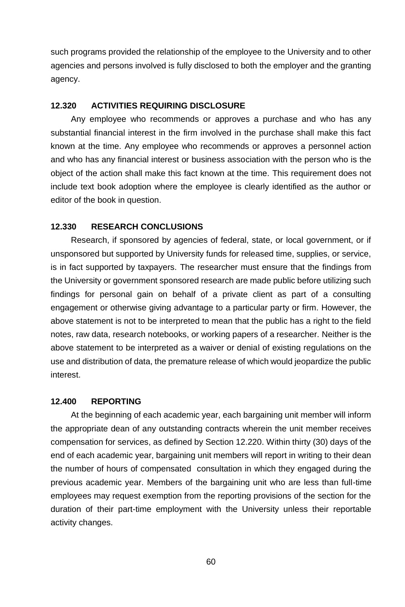such programs provided the relationship of the employee to the University and to other agencies and persons involved is fully disclosed to both the employer and the granting agency.

#### **12.320 ACTIVITIES REQUIRING DISCLOSURE**

Any employee who recommends or approves a purchase and who has any substantial financial interest in the firm involved in the purchase shall make this fact known at the time. Any employee who recommends or approves a personnel action and who has any financial interest or business association with the person who is the object of the action shall make this fact known at the time. This requirement does not include text book adoption where the employee is clearly identified as the author or editor of the book in question.

#### **12.330 RESEARCH CONCLUSIONS**

Research, if sponsored by agencies of federal, state, or local government, or if unsponsored but supported by University funds for released time, supplies, or service, is in fact supported by taxpayers. The researcher must ensure that the findings from the University or government sponsored research are made public before utilizing such findings for personal gain on behalf of a private client as part of a consulting engagement or otherwise giving advantage to a particular party or firm. However, the above statement is not to be interpreted to mean that the public has a right to the field notes, raw data, research notebooks, or working papers of a researcher. Neither is the above statement to be interpreted as a waiver or denial of existing regulations on the use and distribution of data, the premature release of which would jeopardize the public interest.

#### **12.400 REPORTING**

At the beginning of each academic year, each bargaining unit member will inform the appropriate dean of any outstanding contracts wherein the unit member receives compensation for services, as defined by Section 12.220. Within thirty (30) days of the end of each academic year, bargaining unit members will report in writing to their dean the number of hours of compensated consultation in which they engaged during the previous academic year. Members of the bargaining unit who are less than full-time employees may request exemption from the reporting provisions of the section for the duration of their part-time employment with the University unless their reportable activity changes.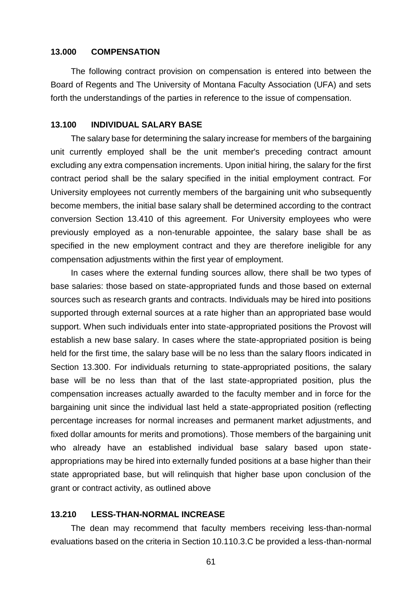### **13.000 COMPENSATION**

The following contract provision on compensation is entered into between the Board of Regents and The University of Montana Faculty Association (UFA) and sets forth the understandings of the parties in reference to the issue of compensation.

#### **13.100 INDIVIDUAL SALARY BASE**

The salary base for determining the salary increase for members of the bargaining unit currently employed shall be the unit member's preceding contract amount excluding any extra compensation increments. Upon initial hiring, the salary for the first contract period shall be the salary specified in the initial employment contract. For University employees not currently members of the bargaining unit who subsequently become members, the initial base salary shall be determined according to the contract conversion Section 13.410 of this agreement. For University employees who were previously employed as a non-tenurable appointee, the salary base shall be as specified in the new employment contract and they are therefore ineligible for any compensation adjustments within the first year of employment.

In cases where the external funding sources allow, there shall be two types of base salaries: those based on state-appropriated funds and those based on external sources such as research grants and contracts. Individuals may be hired into positions supported through external sources at a rate higher than an appropriated base would support. When such individuals enter into state-appropriated positions the Provost will establish a new base salary. In cases where the state-appropriated position is being held for the first time, the salary base will be no less than the salary floors indicated in Section 13.300. For individuals returning to state-appropriated positions, the salary base will be no less than that of the last state-appropriated position, plus the compensation increases actually awarded to the faculty member and in force for the bargaining unit since the individual last held a state-appropriated position (reflecting percentage increases for normal increases and permanent market adjustments, and fixed dollar amounts for merits and promotions). Those members of the bargaining unit who already have an established individual base salary based upon stateappropriations may be hired into externally funded positions at a base higher than their state appropriated base, but will relinquish that higher base upon conclusion of the grant or contract activity, as outlined above

#### **13.210 LESS-THAN-NORMAL INCREASE**

The dean may recommend that faculty members receiving less-than-normal evaluations based on the criteria in Section 10.110.3.C be provided a less-than-normal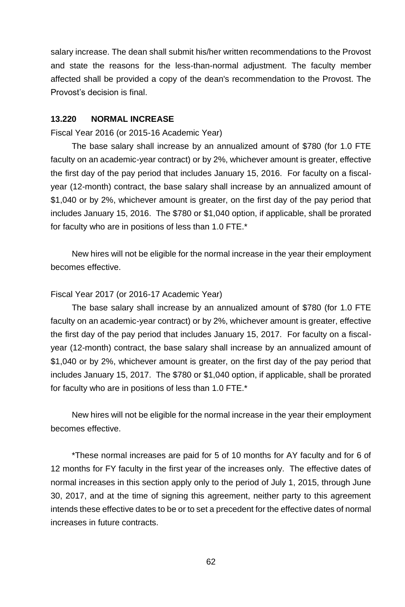salary increase. The dean shall submit his/her written recommendations to the Provost and state the reasons for the less-than-normal adjustment. The faculty member affected shall be provided a copy of the dean's recommendation to the Provost. The Provost's decision is final.

### **13.220 NORMAL INCREASE**

### Fiscal Year 2016 (or 2015-16 Academic Year)

The base salary shall increase by an annualized amount of \$780 (for 1.0 FTE faculty on an academic-year contract) or by 2%, whichever amount is greater, effective the first day of the pay period that includes January 15, 2016. For faculty on a fiscalyear (12-month) contract, the base salary shall increase by an annualized amount of \$1,040 or by 2%, whichever amount is greater, on the first day of the pay period that includes January 15, 2016. The \$780 or \$1,040 option, if applicable, shall be prorated for faculty who are in positions of less than 1.0 FTE.\*

New hires will not be eligible for the normal increase in the year their employment becomes effective.

#### Fiscal Year 2017 (or 2016-17 Academic Year)

The base salary shall increase by an annualized amount of \$780 (for 1.0 FTE faculty on an academic-year contract) or by 2%, whichever amount is greater, effective the first day of the pay period that includes January 15, 2017. For faculty on a fiscalyear (12-month) contract, the base salary shall increase by an annualized amount of \$1,040 or by 2%, whichever amount is greater, on the first day of the pay period that includes January 15, 2017. The \$780 or \$1,040 option, if applicable, shall be prorated for faculty who are in positions of less than 1.0 FTE.\*

New hires will not be eligible for the normal increase in the year their employment becomes effective.

\*These normal increases are paid for 5 of 10 months for AY faculty and for 6 of 12 months for FY faculty in the first year of the increases only. The effective dates of normal increases in this section apply only to the period of July 1, 2015, through June 30, 2017, and at the time of signing this agreement, neither party to this agreement intends these effective dates to be or to set a precedent for the effective dates of normal increases in future contracts.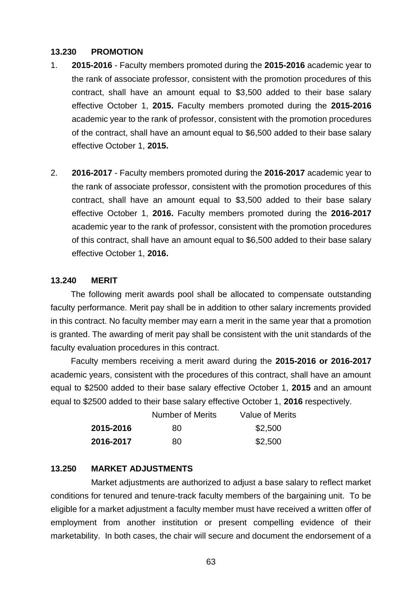### **13.230 PROMOTION**

- 1. **2015-2016** Faculty members promoted during the **2015-2016** academic year to the rank of associate professor, consistent with the promotion procedures of this contract, shall have an amount equal to \$3,500 added to their base salary effective October 1, **2015.** Faculty members promoted during the **2015-2016** academic year to the rank of professor, consistent with the promotion procedures of the contract, shall have an amount equal to \$6,500 added to their base salary effective October 1, **2015.**
- 2. **2016-2017** Faculty members promoted during the **2016-2017** academic year to the rank of associate professor, consistent with the promotion procedures of this contract, shall have an amount equal to \$3,500 added to their base salary effective October 1, **2016.** Faculty members promoted during the **2016-2017** academic year to the rank of professor, consistent with the promotion procedures of this contract, shall have an amount equal to \$6,500 added to their base salary effective October 1, **2016.**

### **13.240 MERIT**

The following merit awards pool shall be allocated to compensate outstanding faculty performance. Merit pay shall be in addition to other salary increments provided in this contract. No faculty member may earn a merit in the same year that a promotion is granted. The awarding of merit pay shall be consistent with the unit standards of the faculty evaluation procedures in this contract.

Faculty members receiving a merit award during the **2015-2016 or 2016-2017** academic years, consistent with the procedures of this contract, shall have an amount equal to \$2500 added to their base salary effective October 1, **2015** and an amount equal to \$2500 added to their base salary effective October 1, **2016** respectively.

|           | Number of Merits | Value of Merits |
|-----------|------------------|-----------------|
| 2015-2016 | 80               | \$2,500         |
| 2016-2017 | 80               | \$2,500         |

## **13.250 MARKET ADJUSTMENTS**

Market adjustments are authorized to adjust a base salary to reflect market conditions for tenured and tenure-track faculty members of the bargaining unit. To be eligible for a market adjustment a faculty member must have received a written offer of employment from another institution or present compelling evidence of their marketability. In both cases, the chair will secure and document the endorsement of a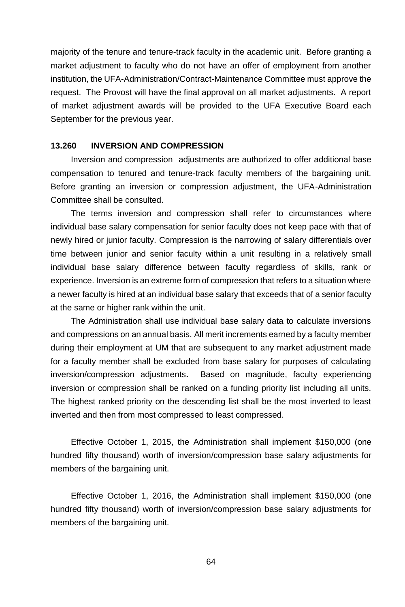majority of the tenure and tenure-track faculty in the academic unit. Before granting a market adjustment to faculty who do not have an offer of employment from another institution, the UFA-Administration/Contract-Maintenance Committee must approve the request. The Provost will have the final approval on all market adjustments. A report of market adjustment awards will be provided to the UFA Executive Board each September for the previous year.

#### **13.260 INVERSION AND COMPRESSION**

Inversion and compression adjustments are authorized to offer additional base compensation to tenured and tenure-track faculty members of the bargaining unit. Before granting an inversion or compression adjustment, the UFA-Administration Committee shall be consulted.

The terms inversion and compression shall refer to circumstances where individual base salary compensation for senior faculty does not keep pace with that of newly hired or junior faculty. Compression is the narrowing of salary differentials over time between junior and senior faculty within a unit resulting in a relatively small individual base salary difference between faculty regardless of skills, rank or experience. Inversion is an extreme form of compression that refers to a situation where a newer faculty is hired at an individual base salary that exceeds that of a senior faculty at the same or higher rank within the unit.

The Administration shall use individual base salary data to calculate inversions and compressions on an annual basis. All merit increments earned by a faculty member during their employment at UM that are subsequent to any market adjustment made for a faculty member shall be excluded from base salary for purposes of calculating inversion/compression adjustments**.** Based on magnitude, faculty experiencing inversion or compression shall be ranked on a funding priority list including all units. The highest ranked priority on the descending list shall be the most inverted to least inverted and then from most compressed to least compressed.

Effective October 1, 2015, the Administration shall implement \$150,000 (one hundred fifty thousand) worth of inversion/compression base salary adjustments for members of the bargaining unit.

Effective October 1, 2016, the Administration shall implement \$150,000 (one hundred fifty thousand) worth of inversion/compression base salary adjustments for members of the bargaining unit.

64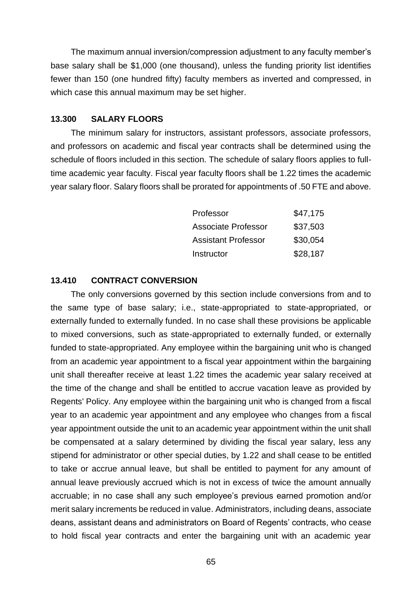The maximum annual inversion/compression adjustment to any faculty member's base salary shall be \$1,000 (one thousand), unless the funding priority list identifies fewer than 150 (one hundred fifty) faculty members as inverted and compressed, in which case this annual maximum may be set higher.

### **13.300 SALARY FLOORS**

The minimum salary for instructors, assistant professors, associate professors, and professors on academic and fiscal year contracts shall be determined using the schedule of floors included in this section. The schedule of salary floors applies to fulltime academic year faculty. Fiscal year faculty floors shall be 1.22 times the academic year salary floor. Salary floors shall be prorated for appointments of .50 FTE and above.

| Professor           | \$47.175 |
|---------------------|----------|
| Associate Professor | \$37.503 |
| Assistant Professor | \$30.054 |
| Instructor          | \$28,187 |

### **13.410 CONTRACT CONVERSION**

The only conversions governed by this section include conversions from and to the same type of base salary; i.e., state-appropriated to state-appropriated, or externally funded to externally funded. In no case shall these provisions be applicable to mixed conversions, such as state-appropriated to externally funded, or externally funded to state-appropriated. Any employee within the bargaining unit who is changed from an academic year appointment to a fiscal year appointment within the bargaining unit shall thereafter receive at least 1.22 times the academic year salary received at the time of the change and shall be entitled to accrue vacation leave as provided by Regents' Policy. Any employee within the bargaining unit who is changed from a fiscal year to an academic year appointment and any employee who changes from a fiscal year appointment outside the unit to an academic year appointment within the unit shall be compensated at a salary determined by dividing the fiscal year salary, less any stipend for administrator or other special duties, by 1.22 and shall cease to be entitled to take or accrue annual leave, but shall be entitled to payment for any amount of annual leave previously accrued which is not in excess of twice the amount annually accruable; in no case shall any such employee's previous earned promotion and/or merit salary increments be reduced in value. Administrators, including deans, associate deans, assistant deans and administrators on Board of Regents' contracts, who cease to hold fiscal year contracts and enter the bargaining unit with an academic year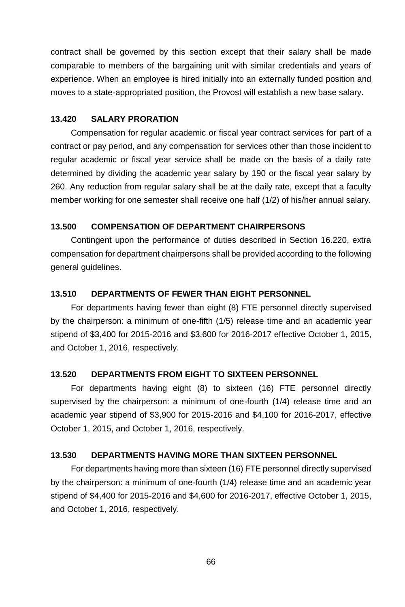contract shall be governed by this section except that their salary shall be made comparable to members of the bargaining unit with similar credentials and years of experience. When an employee is hired initially into an externally funded position and moves to a state-appropriated position, the Provost will establish a new base salary.

### **13.420 SALARY PRORATION**

Compensation for regular academic or fiscal year contract services for part of a contract or pay period, and any compensation for services other than those incident to regular academic or fiscal year service shall be made on the basis of a daily rate determined by dividing the academic year salary by 190 or the fiscal year salary by 260. Any reduction from regular salary shall be at the daily rate, except that a faculty member working for one semester shall receive one half (1/2) of his/her annual salary.

### **13.500 COMPENSATION OF DEPARTMENT CHAIRPERSONS**

Contingent upon the performance of duties described in Section 16.220, extra compensation for department chairpersons shall be provided according to the following general guidelines.

### **13.510 DEPARTMENTS OF FEWER THAN EIGHT PERSONNEL**

For departments having fewer than eight (8) FTE personnel directly supervised by the chairperson: a minimum of one-fifth (1/5) release time and an academic year stipend of \$3,400 for 2015-2016 and \$3,600 for 2016-2017 effective October 1, 2015, and October 1, 2016, respectively.

#### **13.520 DEPARTMENTS FROM EIGHT TO SIXTEEN PERSONNEL**

For departments having eight (8) to sixteen (16) FTE personnel directly supervised by the chairperson: a minimum of one-fourth (1/4) release time and an academic year stipend of \$3,900 for 2015-2016 and \$4,100 for 2016-2017, effective October 1, 2015, and October 1, 2016, respectively.

### **13.530 DEPARTMENTS HAVING MORE THAN SIXTEEN PERSONNEL**

For departments having more than sixteen (16) FTE personnel directly supervised by the chairperson: a minimum of one-fourth (1/4) release time and an academic year stipend of \$4,400 for 2015-2016 and \$4,600 for 2016-2017, effective October 1, 2015, and October 1, 2016, respectively.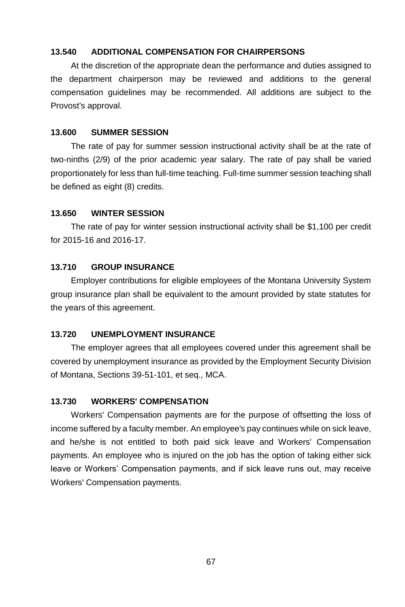# **13.540 ADDITIONAL COMPENSATION FOR CHAIRPERSONS**

At the discretion of the appropriate dean the performance and duties assigned to the department chairperson may be reviewed and additions to the general compensation guidelines may be recommended. All additions are subject to the Provost's approval.

#### **13.600 SUMMER SESSION**

The rate of pay for summer session instructional activity shall be at the rate of two-ninths (2/9) of the prior academic year salary. The rate of pay shall be varied proportionately for less than full-time teaching. Full-time summer session teaching shall be defined as eight (8) credits.

#### **13.650 WINTER SESSION**

The rate of pay for winter session instructional activity shall be \$1,100 per credit for 2015-16 and 2016-17.

#### **13.710 GROUP INSURANCE**

Employer contributions for eligible employees of the Montana University System group insurance plan shall be equivalent to the amount provided by state statutes for the years of this agreement.

#### **13.720 UNEMPLOYMENT INSURANCE**

The employer agrees that all employees covered under this agreement shall be covered by unemployment insurance as provided by the Employment Security Division of Montana, Sections 39-51-101, et seq., MCA.

#### **13.730 WORKERS' COMPENSATION**

Workers' Compensation payments are for the purpose of offsetting the loss of income suffered by a faculty member. An employee's pay continues while on sick leave, and he/she is not entitled to both paid sick leave and Workers' Compensation payments. An employee who is injured on the job has the option of taking either sick leave or Workers' Compensation payments, and if sick leave runs out, may receive Workers' Compensation payments.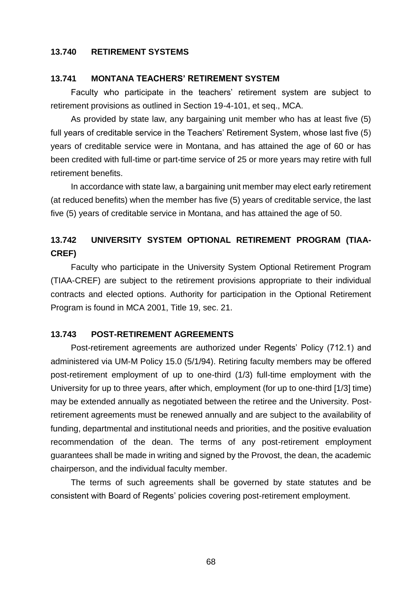#### **13.740 RETIREMENT SYSTEMS**

#### **13.741 MONTANA TEACHERS' RETIREMENT SYSTEM**

Faculty who participate in the teachers' retirement system are subject to retirement provisions as outlined in Section 19-4-101, et seq., MCA.

As provided by state law, any bargaining unit member who has at least five (5) full years of creditable service in the Teachers' Retirement System, whose last five (5) years of creditable service were in Montana, and has attained the age of 60 or has been credited with full-time or part-time service of 25 or more years may retire with full retirement benefits.

In accordance with state law, a bargaining unit member may elect early retirement (at reduced benefits) when the member has five (5) years of creditable service, the last five (5) years of creditable service in Montana, and has attained the age of 50.

# **13.742 UNIVERSITY SYSTEM OPTIONAL RETIREMENT PROGRAM (TIAA-CREF)**

Faculty who participate in the University System Optional Retirement Program (TIAA-CREF) are subject to the retirement provisions appropriate to their individual contracts and elected options. Authority for participation in the Optional Retirement Program is found in MCA 2001, Title 19, sec. 21.

#### **13.743 POST-RETIREMENT AGREEMENTS**

Post-retirement agreements are authorized under Regents' Policy (712.1) and administered via UM-M Policy 15.0 (5/1/94). Retiring faculty members may be offered post-retirement employment of up to one-third (1/3) full-time employment with the University for up to three years, after which, employment (for up to one-third [1/3] time) may be extended annually as negotiated between the retiree and the University. Postretirement agreements must be renewed annually and are subject to the availability of funding, departmental and institutional needs and priorities, and the positive evaluation recommendation of the dean. The terms of any post-retirement employment guarantees shall be made in writing and signed by the Provost, the dean, the academic chairperson, and the individual faculty member.

The terms of such agreements shall be governed by state statutes and be consistent with Board of Regents' policies covering post-retirement employment.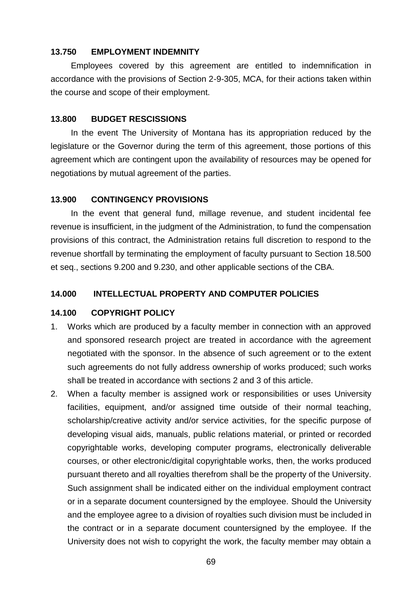### **13.750 EMPLOYMENT INDEMNITY**

Employees covered by this agreement are entitled to indemnification in accordance with the provisions of Section 2-9-305, MCA, for their actions taken within the course and scope of their employment.

#### **13.800 BUDGET RESCISSIONS**

In the event The University of Montana has its appropriation reduced by the legislature or the Governor during the term of this agreement, those portions of this agreement which are contingent upon the availability of resources may be opened for negotiations by mutual agreement of the parties.

## **13.900 CONTINGENCY PROVISIONS**

In the event that general fund, millage revenue, and student incidental fee revenue is insufficient, in the judgment of the Administration, to fund the compensation provisions of this contract, the Administration retains full discretion to respond to the revenue shortfall by terminating the employment of faculty pursuant to Section 18.500 et seq., sections 9.200 and 9.230, and other applicable sections of the CBA.

## **14.000 INTELLECTUAL PROPERTY AND COMPUTER POLICIES**

### **14.100 COPYRIGHT POLICY**

- 1. Works which are produced by a faculty member in connection with an approved and sponsored research project are treated in accordance with the agreement negotiated with the sponsor. In the absence of such agreement or to the extent such agreements do not fully address ownership of works produced; such works shall be treated in accordance with sections 2 and 3 of this article.
- 2. When a faculty member is assigned work or responsibilities or uses University facilities, equipment, and/or assigned time outside of their normal teaching, scholarship/creative activity and/or service activities, for the specific purpose of developing visual aids, manuals, public relations material, or printed or recorded copyrightable works, developing computer programs, electronically deliverable courses, or other electronic/digital copyrightable works, then, the works produced pursuant thereto and all royalties therefrom shall be the property of the University. Such assignment shall be indicated either on the individual employment contract or in a separate document countersigned by the employee. Should the University and the employee agree to a division of royalties such division must be included in the contract or in a separate document countersigned by the employee. If the University does not wish to copyright the work, the faculty member may obtain a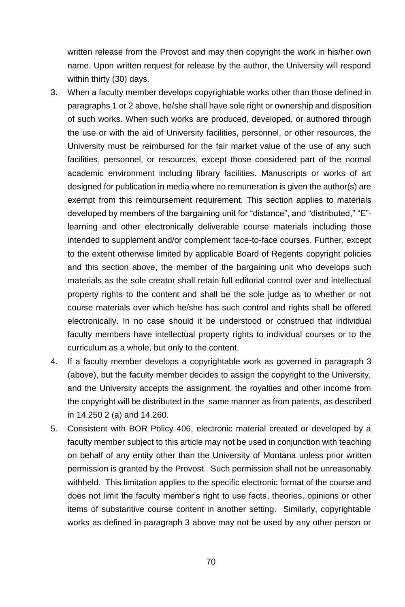written release from the Provost and may then copyright the work in his/her own name. Upon written request for release by the author, the University will respond within thirty (30) days.

- 3. When a faculty member develops copyrightable works other than those defined in paragraphs 1 or 2 above, he/she shall have sole right or ownership and disposition of such works. When such works are produced, developed, or authored through the use or with the aid of University facilities, personnel, or other resources, the University must be reimbursed for the fair market value of the use of any such facilities, personnel, or resources, except those considered part of the normal academic environment including library facilities. Manuscripts or works of art designed for publication in media where no remuneration is given the author(s) are exempt from this reimbursement requirement. This section applies to materials developed by members of the bargaining unit for "distance", and "distributed," "E" learning and other electronically deliverable course materials including those intended to supplement and/or complement face-to-face courses. Further, except to the extent otherwise limited by applicable Board of Regents copyright policies and this section above, the member of the bargaining unit who develops such materials as the sole creator shall retain full editorial control over and intellectual property rights to the content and shall be the sole judge as to whether or not course materials over which he/she has such control and rights shall be offered electronically. In no case should it be understood or construed that individual faculty members have intellectual property rights to individual courses or to the curriculum as a whole, but only to the content.
- 4. If a faculty member develops a copyrightable work as governed in paragraph 3 (above), but the faculty member decides to assign the copyright to the University, and the University accepts the assignment, the royalties and other income from the copyright will be distributed in the same manner as from patents, as described in 14.250 2 (a) and 14.260.
- 5. Consistent with BOR Policy 406, electronic material created or developed by a faculty member subject to this article may not be used in conjunction with teaching on behalf of any entity other than the University of Montana unless prior written permission is granted by the Provost. Such permission shall not be unreasonably withheld. This limitation applies to the specific electronic format of the course and does not limit the faculty member's right to use facts, theories, opinions or other items of substantive course content in another setting. Similarly, copyrightable works as defined in paragraph 3 above may not be used by any other person or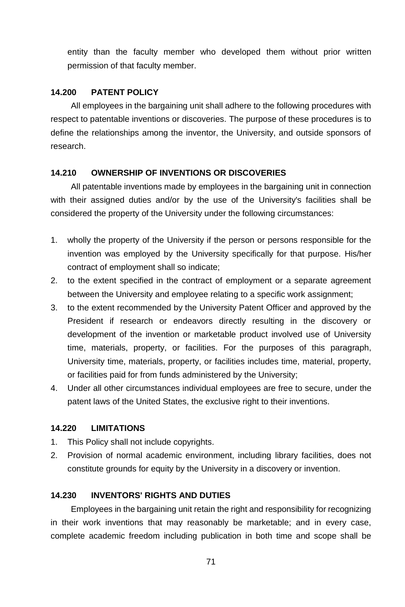entity than the faculty member who developed them without prior written permission of that faculty member.

### **14.200 PATENT POLICY**

All employees in the bargaining unit shall adhere to the following procedures with respect to patentable inventions or discoveries. The purpose of these procedures is to define the relationships among the inventor, the University, and outside sponsors of research.

### **14.210 OWNERSHIP OF INVENTIONS OR DISCOVERIES**

All patentable inventions made by employees in the bargaining unit in connection with their assigned duties and/or by the use of the University's facilities shall be considered the property of the University under the following circumstances:

- 1. wholly the property of the University if the person or persons responsible for the invention was employed by the University specifically for that purpose. His/her contract of employment shall so indicate;
- 2. to the extent specified in the contract of employment or a separate agreement between the University and employee relating to a specific work assignment;
- 3. to the extent recommended by the University Patent Officer and approved by the President if research or endeavors directly resulting in the discovery or development of the invention or marketable product involved use of University time, materials, property, or facilities. For the purposes of this paragraph, University time, materials, property, or facilities includes time, material, property, or facilities paid for from funds administered by the University;
- 4. Under all other circumstances individual employees are free to secure, under the patent laws of the United States, the exclusive right to their inventions.

### **14.220 LIMITATIONS**

- 1. This Policy shall not include copyrights.
- 2. Provision of normal academic environment, including library facilities, does not constitute grounds for equity by the University in a discovery or invention.

#### **14.230 INVENTORS' RIGHTS AND DUTIES**

Employees in the bargaining unit retain the right and responsibility for recognizing in their work inventions that may reasonably be marketable; and in every case, complete academic freedom including publication in both time and scope shall be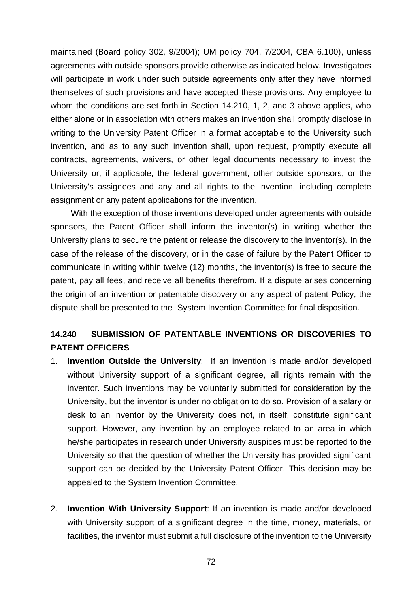maintained (Board policy 302, 9/2004); UM policy 704, 7/2004, CBA 6.100), unless agreements with outside sponsors provide otherwise as indicated below. Investigators will participate in work under such outside agreements only after they have informed themselves of such provisions and have accepted these provisions. Any employee to whom the conditions are set forth in Section 14.210, 1, 2, and 3 above applies, who either alone or in association with others makes an invention shall promptly disclose in writing to the University Patent Officer in a format acceptable to the University such invention, and as to any such invention shall, upon request, promptly execute all contracts, agreements, waivers, or other legal documents necessary to invest the University or, if applicable, the federal government, other outside sponsors, or the University's assignees and any and all rights to the invention, including complete assignment or any patent applications for the invention.

With the exception of those inventions developed under agreements with outside sponsors, the Patent Officer shall inform the inventor(s) in writing whether the University plans to secure the patent or release the discovery to the inventor(s). In the case of the release of the discovery, or in the case of failure by the Patent Officer to communicate in writing within twelve (12) months, the inventor(s) is free to secure the patent, pay all fees, and receive all benefits therefrom. If a dispute arises concerning the origin of an invention or patentable discovery or any aspect of patent Policy, the dispute shall be presented to the System Invention Committee for final disposition.

# **14.240 SUBMISSION OF PATENTABLE INVENTIONS OR DISCOVERIES TO PATENT OFFICERS**

- 1. **Invention Outside the University**: If an invention is made and/or developed without University support of a significant degree, all rights remain with the inventor. Such inventions may be voluntarily submitted for consideration by the University, but the inventor is under no obligation to do so. Provision of a salary or desk to an inventor by the University does not, in itself, constitute significant support. However, any invention by an employee related to an area in which he/she participates in research under University auspices must be reported to the University so that the question of whether the University has provided significant support can be decided by the University Patent Officer. This decision may be appealed to the System Invention Committee.
- 2. **Invention With University Support**: If an invention is made and/or developed with University support of a significant degree in the time, money, materials, or facilities, the inventor must submit a full disclosure of the invention to the University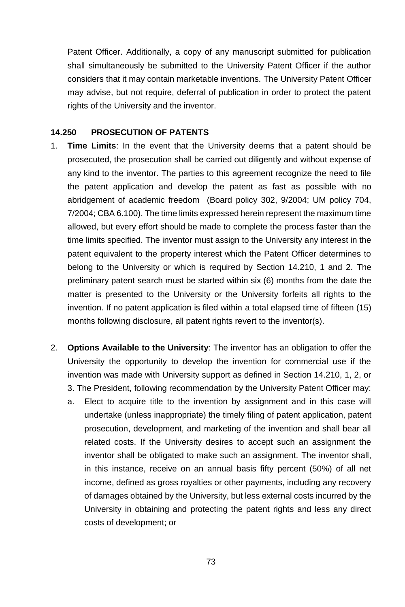Patent Officer. Additionally, a copy of any manuscript submitted for publication shall simultaneously be submitted to the University Patent Officer if the author considers that it may contain marketable inventions. The University Patent Officer may advise, but not require, deferral of publication in order to protect the patent rights of the University and the inventor.

### **14.250 PROSECUTION OF PATENTS**

- 1. **Time Limits**: In the event that the University deems that a patent should be prosecuted, the prosecution shall be carried out diligently and without expense of any kind to the inventor. The parties to this agreement recognize the need to file the patent application and develop the patent as fast as possible with no abridgement of academic freedom (Board policy 302, 9/2004; UM policy 704, 7/2004; CBA 6.100). The time limits expressed herein represent the maximum time allowed, but every effort should be made to complete the process faster than the time limits specified. The inventor must assign to the University any interest in the patent equivalent to the property interest which the Patent Officer determines to belong to the University or which is required by Section 14.210, 1 and 2. The preliminary patent search must be started within six (6) months from the date the matter is presented to the University or the University forfeits all rights to the invention. If no patent application is filed within a total elapsed time of fifteen (15) months following disclosure, all patent rights revert to the inventor(s).
- 2. **Options Available to the University**: The inventor has an obligation to offer the University the opportunity to develop the invention for commercial use if the invention was made with University support as defined in Section 14.210, 1, 2, or 3. The President, following recommendation by the University Patent Officer may:
	- a. Elect to acquire title to the invention by assignment and in this case will undertake (unless inappropriate) the timely filing of patent application, patent prosecution, development, and marketing of the invention and shall bear all related costs. If the University desires to accept such an assignment the inventor shall be obligated to make such an assignment. The inventor shall, in this instance, receive on an annual basis fifty percent (50%) of all net income, defined as gross royalties or other payments, including any recovery of damages obtained by the University, but less external costs incurred by the University in obtaining and protecting the patent rights and less any direct costs of development; or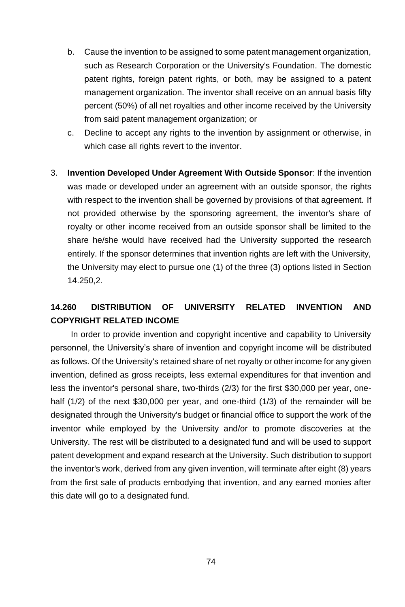- b. Cause the invention to be assigned to some patent management organization, such as Research Corporation or the University's Foundation. The domestic patent rights, foreign patent rights, or both, may be assigned to a patent management organization. The inventor shall receive on an annual basis fifty percent (50%) of all net royalties and other income received by the University from said patent management organization; or
- c. Decline to accept any rights to the invention by assignment or otherwise, in which case all rights revert to the inventor.
- 3. **Invention Developed Under Agreement With Outside Sponsor**: If the invention was made or developed under an agreement with an outside sponsor, the rights with respect to the invention shall be governed by provisions of that agreement. If not provided otherwise by the sponsoring agreement, the inventor's share of royalty or other income received from an outside sponsor shall be limited to the share he/she would have received had the University supported the research entirely. If the sponsor determines that invention rights are left with the University, the University may elect to pursue one (1) of the three (3) options listed in Section 14.250,2.

# **14.260 DISTRIBUTION OF UNIVERSITY RELATED INVENTION AND COPYRIGHT RELATED INCOME**

In order to provide invention and copyright incentive and capability to University personnel, the University's share of invention and copyright income will be distributed as follows. Of the University's retained share of net royalty or other income for any given invention, defined as gross receipts, less external expenditures for that invention and less the inventor's personal share, two-thirds (2/3) for the first \$30,000 per year, onehalf (1/2) of the next \$30,000 per year, and one-third (1/3) of the remainder will be designated through the University's budget or financial office to support the work of the inventor while employed by the University and/or to promote discoveries at the University. The rest will be distributed to a designated fund and will be used to support patent development and expand research at the University. Such distribution to support the inventor's work, derived from any given invention, will terminate after eight (8) years from the first sale of products embodying that invention, and any earned monies after this date will go to a designated fund.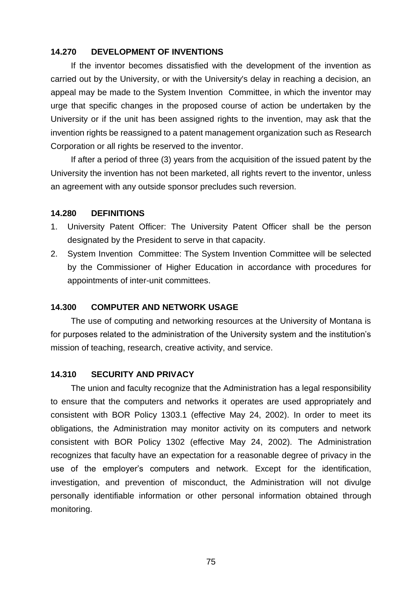# **14.270 DEVELOPMENT OF INVENTIONS**

If the inventor becomes dissatisfied with the development of the invention as carried out by the University, or with the University's delay in reaching a decision, an appeal may be made to the System Invention Committee, in which the inventor may urge that specific changes in the proposed course of action be undertaken by the University or if the unit has been assigned rights to the invention, may ask that the invention rights be reassigned to a patent management organization such as Research Corporation or all rights be reserved to the inventor.

If after a period of three (3) years from the acquisition of the issued patent by the University the invention has not been marketed, all rights revert to the inventor, unless an agreement with any outside sponsor precludes such reversion.

#### **14.280 DEFINITIONS**

- 1. University Patent Officer: The University Patent Officer shall be the person designated by the President to serve in that capacity.
- 2. System Invention Committee: The System Invention Committee will be selected by the Commissioner of Higher Education in accordance with procedures for appointments of inter-unit committees.

#### **14.300 COMPUTER AND NETWORK USAGE**

The use of computing and networking resources at the University of Montana is for purposes related to the administration of the University system and the institution's mission of teaching, research, creative activity, and service.

#### **14.310 SECURITY AND PRIVACY**

The union and faculty recognize that the Administration has a legal responsibility to ensure that the computers and networks it operates are used appropriately and consistent with BOR Policy 1303.1 (effective May 24, 2002). In order to meet its obligations, the Administration may monitor activity on its computers and network consistent with BOR Policy 1302 (effective May 24, 2002). The Administration recognizes that faculty have an expectation for a reasonable degree of privacy in the use of the employer's computers and network. Except for the identification, investigation, and prevention of misconduct, the Administration will not divulge personally identifiable information or other personal information obtained through monitoring.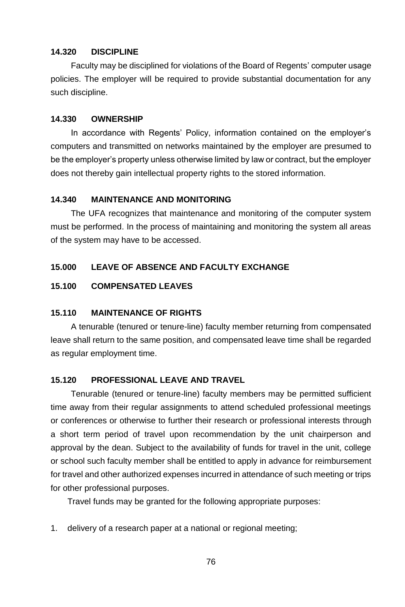## **14.320 DISCIPLINE**

Faculty may be disciplined for violations of the Board of Regents' computer usage policies. The employer will be required to provide substantial documentation for any such discipline.

## **14.330 OWNERSHIP**

In accordance with Regents' Policy, information contained on the employer's computers and transmitted on networks maintained by the employer are presumed to be the employer's property unless otherwise limited by law or contract, but the employer does not thereby gain intellectual property rights to the stored information.

# **14.340 MAINTENANCE AND MONITORING**

The UFA recognizes that maintenance and monitoring of the computer system must be performed. In the process of maintaining and monitoring the system all areas of the system may have to be accessed.

# **15.000 LEAVE OF ABSENCE AND FACULTY EXCHANGE**

## **15.100 COMPENSATED LEAVES**

# **15.110 MAINTENANCE OF RIGHTS**

A tenurable (tenured or tenure-line) faculty member returning from compensated leave shall return to the same position, and compensated leave time shall be regarded as regular employment time.

# **15.120 PROFESSIONAL LEAVE AND TRAVEL**

Tenurable (tenured or tenure-line) faculty members may be permitted sufficient time away from their regular assignments to attend scheduled professional meetings or conferences or otherwise to further their research or professional interests through a short term period of travel upon recommendation by the unit chairperson and approval by the dean. Subject to the availability of funds for travel in the unit, college or school such faculty member shall be entitled to apply in advance for reimbursement for travel and other authorized expenses incurred in attendance of such meeting or trips for other professional purposes.

Travel funds may be granted for the following appropriate purposes:

1. delivery of a research paper at a national or regional meeting;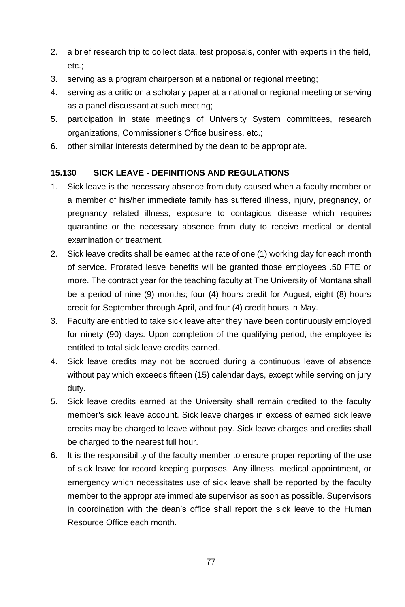- 2. a brief research trip to collect data, test proposals, confer with experts in the field, etc.;
- 3. serving as a program chairperson at a national or regional meeting;
- 4. serving as a critic on a scholarly paper at a national or regional meeting or serving as a panel discussant at such meeting;
- 5. participation in state meetings of University System committees, research organizations, Commissioner's Office business, etc.;
- 6. other similar interests determined by the dean to be appropriate.

# **15.130 SICK LEAVE - DEFINITIONS AND REGULATIONS**

- 1. Sick leave is the necessary absence from duty caused when a faculty member or a member of his/her immediate family has suffered illness, injury, pregnancy, or pregnancy related illness, exposure to contagious disease which requires quarantine or the necessary absence from duty to receive medical or dental examination or treatment.
- 2. Sick leave credits shall be earned at the rate of one (1) working day for each month of service. Prorated leave benefits will be granted those employees .50 FTE or more. The contract year for the teaching faculty at The University of Montana shall be a period of nine (9) months; four (4) hours credit for August, eight (8) hours credit for September through April, and four (4) credit hours in May.
- 3. Faculty are entitled to take sick leave after they have been continuously employed for ninety (90) days. Upon completion of the qualifying period, the employee is entitled to total sick leave credits earned.
- 4. Sick leave credits may not be accrued during a continuous leave of absence without pay which exceeds fifteen (15) calendar days, except while serving on jury duty.
- 5. Sick leave credits earned at the University shall remain credited to the faculty member's sick leave account. Sick leave charges in excess of earned sick leave credits may be charged to leave without pay. Sick leave charges and credits shall be charged to the nearest full hour.
- 6. It is the responsibility of the faculty member to ensure proper reporting of the use of sick leave for record keeping purposes. Any illness, medical appointment, or emergency which necessitates use of sick leave shall be reported by the faculty member to the appropriate immediate supervisor as soon as possible. Supervisors in coordination with the dean's office shall report the sick leave to the Human Resource Office each month.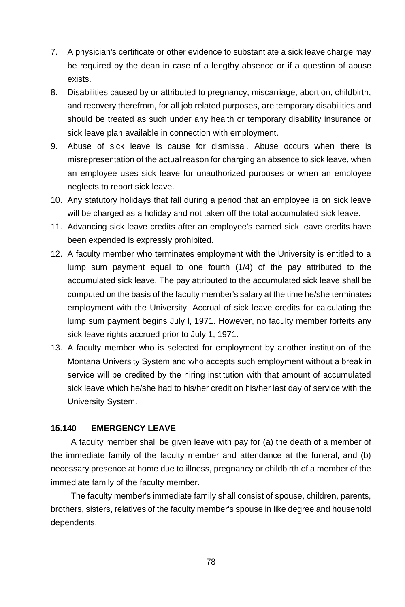- 7. A physician's certificate or other evidence to substantiate a sick leave charge may be required by the dean in case of a lengthy absence or if a question of abuse exists.
- 8. Disabilities caused by or attributed to pregnancy, miscarriage, abortion, childbirth, and recovery therefrom, for all job related purposes, are temporary disabilities and should be treated as such under any health or temporary disability insurance or sick leave plan available in connection with employment.
- 9. Abuse of sick leave is cause for dismissal. Abuse occurs when there is misrepresentation of the actual reason for charging an absence to sick leave, when an employee uses sick leave for unauthorized purposes or when an employee neglects to report sick leave.
- 10. Any statutory holidays that fall during a period that an employee is on sick leave will be charged as a holiday and not taken off the total accumulated sick leave.
- 11. Advancing sick leave credits after an employee's earned sick leave credits have been expended is expressly prohibited.
- 12. A faculty member who terminates employment with the University is entitled to a lump sum payment equal to one fourth (1/4) of the pay attributed to the accumulated sick leave. The pay attributed to the accumulated sick leave shall be computed on the basis of the faculty member's salary at the time he/she terminates employment with the University. Accrual of sick leave credits for calculating the lump sum payment begins July l, 1971. However, no faculty member forfeits any sick leave rights accrued prior to July 1, 1971.
- 13. A faculty member who is selected for employment by another institution of the Montana University System and who accepts such employment without a break in service will be credited by the hiring institution with that amount of accumulated sick leave which he/she had to his/her credit on his/her last day of service with the University System.

### **15.140 EMERGENCY LEAVE**

A faculty member shall be given leave with pay for (a) the death of a member of the immediate family of the faculty member and attendance at the funeral, and (b) necessary presence at home due to illness, pregnancy or childbirth of a member of the immediate family of the faculty member.

The faculty member's immediate family shall consist of spouse, children, parents, brothers, sisters, relatives of the faculty member's spouse in like degree and household dependents.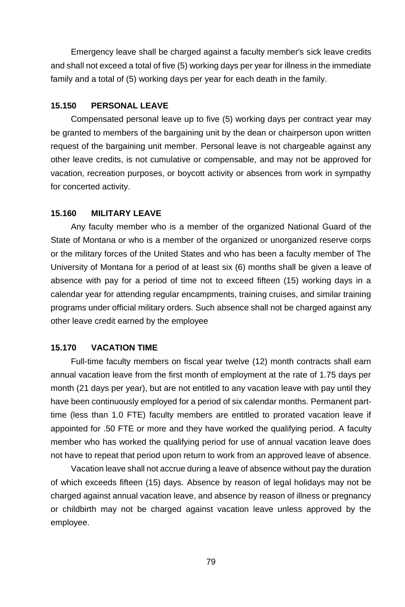Emergency leave shall be charged against a faculty member's sick leave credits and shall not exceed a total of five (5) working days per year for illness in the immediate family and a total of (5) working days per year for each death in the family.

#### **15.150 PERSONAL LEAVE**

Compensated personal leave up to five (5) working days per contract year may be granted to members of the bargaining unit by the dean or chairperson upon written request of the bargaining unit member. Personal leave is not chargeable against any other leave credits, is not cumulative or compensable, and may not be approved for vacation, recreation purposes, or boycott activity or absences from work in sympathy for concerted activity.

#### **15.160 MILITARY LEAVE**

Any faculty member who is a member of the organized National Guard of the State of Montana or who is a member of the organized or unorganized reserve corps or the military forces of the United States and who has been a faculty member of The University of Montana for a period of at least six (6) months shall be given a leave of absence with pay for a period of time not to exceed fifteen (15) working days in a calendar year for attending regular encampments, training cruises, and similar training programs under official military orders. Such absence shall not be charged against any other leave credit earned by the employee

# **15.170 VACATION TIME**

Full-time faculty members on fiscal year twelve (12) month contracts shall earn annual vacation leave from the first month of employment at the rate of 1.75 days per month (21 days per year), but are not entitled to any vacation leave with pay until they have been continuously employed for a period of six calendar months. Permanent parttime (less than 1.0 FTE) faculty members are entitled to prorated vacation leave if appointed for .50 FTE or more and they have worked the qualifying period. A faculty member who has worked the qualifying period for use of annual vacation leave does not have to repeat that period upon return to work from an approved leave of absence.

Vacation leave shall not accrue during a leave of absence without pay the duration of which exceeds fifteen (15) days. Absence by reason of legal holidays may not be charged against annual vacation leave, and absence by reason of illness or pregnancy or childbirth may not be charged against vacation leave unless approved by the employee.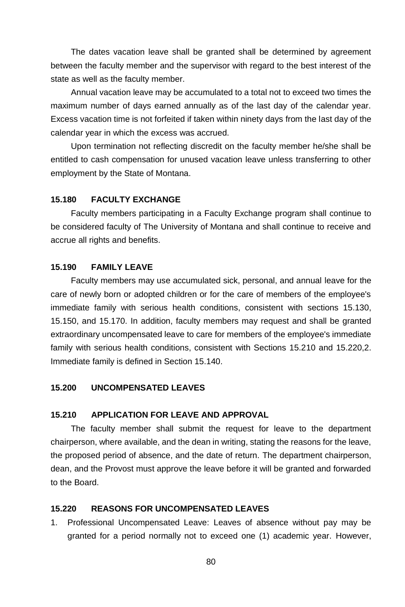The dates vacation leave shall be granted shall be determined by agreement between the faculty member and the supervisor with regard to the best interest of the state as well as the faculty member.

Annual vacation leave may be accumulated to a total not to exceed two times the maximum number of days earned annually as of the last day of the calendar year. Excess vacation time is not forfeited if taken within ninety days from the last day of the calendar year in which the excess was accrued.

Upon termination not reflecting discredit on the faculty member he/she shall be entitled to cash compensation for unused vacation leave unless transferring to other employment by the State of Montana.

# **15.180 FACULTY EXCHANGE**

Faculty members participating in a Faculty Exchange program shall continue to be considered faculty of The University of Montana and shall continue to receive and accrue all rights and benefits.

# **15.190 FAMILY LEAVE**

Faculty members may use accumulated sick, personal, and annual leave for the care of newly born or adopted children or for the care of members of the employee's immediate family with serious health conditions, consistent with sections 15.130, 15.150, and 15.170. In addition, faculty members may request and shall be granted extraordinary uncompensated leave to care for members of the employee's immediate family with serious health conditions, consistent with Sections 15.210 and 15.220,2. Immediate family is defined in Section 15.140.

## **15.200 UNCOMPENSATED LEAVES**

## **15.210 APPLICATION FOR LEAVE AND APPROVAL**

The faculty member shall submit the request for leave to the department chairperson, where available, and the dean in writing, stating the reasons for the leave, the proposed period of absence, and the date of return. The department chairperson, dean, and the Provost must approve the leave before it will be granted and forwarded to the Board.

## **15.220 REASONS FOR UNCOMPENSATED LEAVES**

1. Professional Uncompensated Leave: Leaves of absence without pay may be granted for a period normally not to exceed one (1) academic year. However,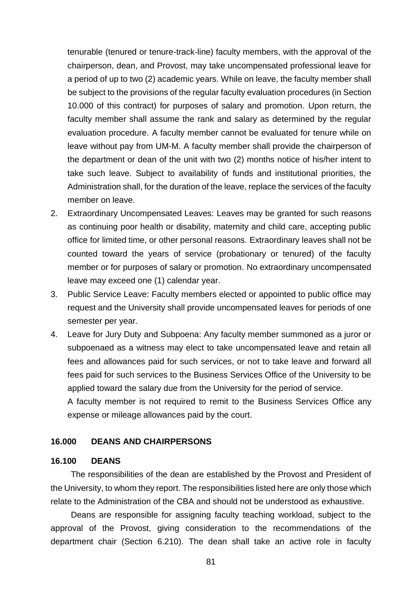tenurable (tenured or tenure-track-line) faculty members, with the approval of the chairperson, dean, and Provost, may take uncompensated professional leave for a period of up to two (2) academic years. While on leave, the faculty member shall be subject to the provisions of the regular faculty evaluation procedures (in Section 10.000 of this contract) for purposes of salary and promotion. Upon return, the faculty member shall assume the rank and salary as determined by the regular evaluation procedure. A faculty member cannot be evaluated for tenure while on leave without pay from UM-M. A faculty member shall provide the chairperson of the department or dean of the unit with two (2) months notice of his/her intent to take such leave. Subject to availability of funds and institutional priorities, the Administration shall, for the duration of the leave, replace the services of the faculty member on leave.

- 2. Extraordinary Uncompensated Leaves: Leaves may be granted for such reasons as continuing poor health or disability, maternity and child care, accepting public office for limited time, or other personal reasons. Extraordinary leaves shall not be counted toward the years of service (probationary or tenured) of the faculty member or for purposes of salary or promotion. No extraordinary uncompensated leave may exceed one (1) calendar year.
- 3. Public Service Leave: Faculty members elected or appointed to public office may request and the University shall provide uncompensated leaves for periods of one semester per year.
- 4. Leave for Jury Duty and Subpoena: Any faculty member summoned as a juror or subpoenaed as a witness may elect to take uncompensated leave and retain all fees and allowances paid for such services, or not to take leave and forward all fees paid for such services to the Business Services Office of the University to be applied toward the salary due from the University for the period of service.

A faculty member is not required to remit to the Business Services Office any expense or mileage allowances paid by the court.

### **16.000 DEANS AND CHAIRPERSONS**

#### **16.100 DEANS**

The responsibilities of the dean are established by the Provost and President of the University, to whom they report. The responsibilities listed here are only those which relate to the Administration of the CBA and should not be understood as exhaustive.

Deans are responsible for assigning faculty teaching workload, subject to the approval of the Provost, giving consideration to the recommendations of the department chair (Section 6.210). The dean shall take an active role in faculty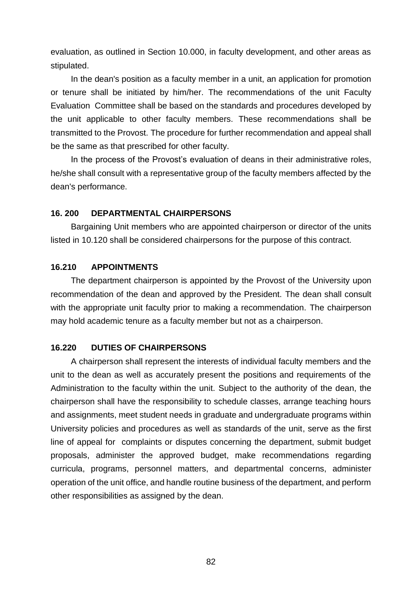evaluation, as outlined in Section 10.000, in faculty development, and other areas as stipulated.

In the dean's position as a faculty member in a unit, an application for promotion or tenure shall be initiated by him/her. The recommendations of the unit Faculty Evaluation Committee shall be based on the standards and procedures developed by the unit applicable to other faculty members. These recommendations shall be transmitted to the Provost. The procedure for further recommendation and appeal shall be the same as that prescribed for other faculty.

In the process of the Provost's evaluation of deans in their administrative roles, he/she shall consult with a representative group of the faculty members affected by the dean's performance.

#### **16. 200 DEPARTMENTAL CHAIRPERSONS**

Bargaining Unit members who are appointed chairperson or director of the units listed in 10.120 shall be considered chairpersons for the purpose of this contract.

# **16.210 APPOINTMENTS**

The department chairperson is appointed by the Provost of the University upon recommendation of the dean and approved by the President. The dean shall consult with the appropriate unit faculty prior to making a recommendation. The chairperson may hold academic tenure as a faculty member but not as a chairperson.

# **16.220 DUTIES OF CHAIRPERSONS**

A chairperson shall represent the interests of individual faculty members and the unit to the dean as well as accurately present the positions and requirements of the Administration to the faculty within the unit. Subject to the authority of the dean, the chairperson shall have the responsibility to schedule classes, arrange teaching hours and assignments, meet student needs in graduate and undergraduate programs within University policies and procedures as well as standards of the unit, serve as the first line of appeal for complaints or disputes concerning the department, submit budget proposals, administer the approved budget, make recommendations regarding curricula, programs, personnel matters, and departmental concerns, administer operation of the unit office, and handle routine business of the department, and perform other responsibilities as assigned by the dean.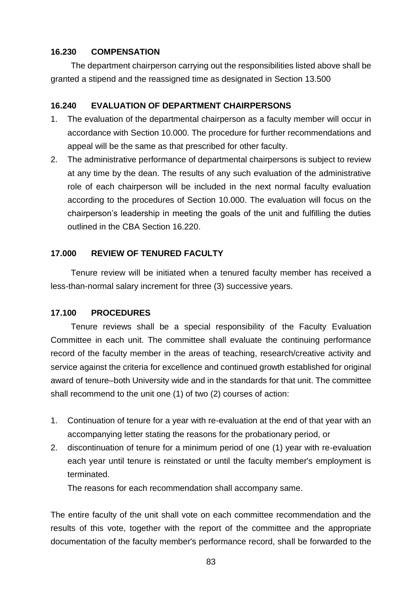# **16.230 COMPENSATION**

The department chairperson carrying out the responsibilities listed above shall be granted a stipend and the reassigned time as designated in Section 13.500

# **16.240 EVALUATION OF DEPARTMENT CHAIRPERSONS**

- 1. The evaluation of the departmental chairperson as a faculty member will occur in accordance with Section 10.000. The procedure for further recommendations and appeal will be the same as that prescribed for other faculty.
- 2. The administrative performance of departmental chairpersons is subject to review at any time by the dean. The results of any such evaluation of the administrative role of each chairperson will be included in the next normal faculty evaluation according to the procedures of Section 10.000. The evaluation will focus on the chairperson's leadership in meeting the goals of the unit and fulfilling the duties outlined in the CBA Section 16.220.

# **17.000 REVIEW OF TENURED FACULTY**

Tenure review will be initiated when a tenured faculty member has received a less-than-normal salary increment for three (3) successive years.

# **17.100 PROCEDURES**

Tenure reviews shall be a special responsibility of the Faculty Evaluation Committee in each unit. The committee shall evaluate the continuing performance record of the faculty member in the areas of teaching, research/creative activity and service against the criteria for excellence and continued growth established for original award of tenure–both University wide and in the standards for that unit. The committee shall recommend to the unit one (1) of two (2) courses of action:

- 1. Continuation of tenure for a year with re-evaluation at the end of that year with an accompanying letter stating the reasons for the probationary period, or
- 2. discontinuation of tenure for a minimum period of one (1) year with re-evaluation each year until tenure is reinstated or until the faculty member's employment is terminated.

The reasons for each recommendation shall accompany same.

The entire faculty of the unit shall vote on each committee recommendation and the results of this vote, together with the report of the committee and the appropriate documentation of the faculty member's performance record, shall be forwarded to the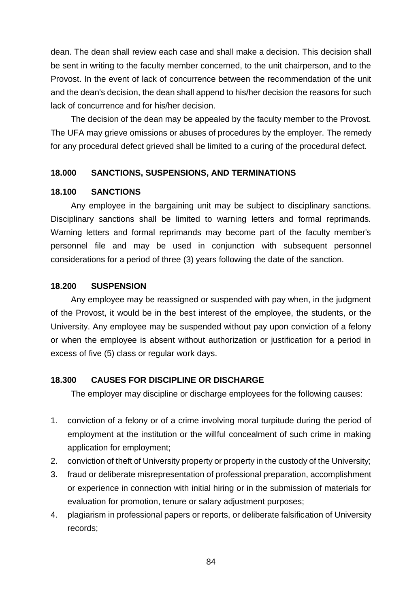dean. The dean shall review each case and shall make a decision. This decision shall be sent in writing to the faculty member concerned, to the unit chairperson, and to the Provost. In the event of lack of concurrence between the recommendation of the unit and the dean's decision, the dean shall append to his/her decision the reasons for such lack of concurrence and for his/her decision.

The decision of the dean may be appealed by the faculty member to the Provost. The UFA may grieve omissions or abuses of procedures by the employer. The remedy for any procedural defect grieved shall be limited to a curing of the procedural defect.

## **18.000 SANCTIONS, SUSPENSIONS, AND TERMINATIONS**

#### **18.100 SANCTIONS**

Any employee in the bargaining unit may be subject to disciplinary sanctions. Disciplinary sanctions shall be limited to warning letters and formal reprimands. Warning letters and formal reprimands may become part of the faculty member's personnel file and may be used in conjunction with subsequent personnel considerations for a period of three (3) years following the date of the sanction.

#### **18.200 SUSPENSION**

Any employee may be reassigned or suspended with pay when, in the judgment of the Provost, it would be in the best interest of the employee, the students, or the University. Any employee may be suspended without pay upon conviction of a felony or when the employee is absent without authorization or justification for a period in excess of five (5) class or regular work days.

# **18.300 CAUSES FOR DISCIPLINE OR DISCHARGE**

The employer may discipline or discharge employees for the following causes:

- 1. conviction of a felony or of a crime involving moral turpitude during the period of employment at the institution or the willful concealment of such crime in making application for employment;
- 2. conviction of theft of University property or property in the custody of the University;
- 3. fraud or deliberate misrepresentation of professional preparation, accomplishment or experience in connection with initial hiring or in the submission of materials for evaluation for promotion, tenure or salary adjustment purposes;
- 4. plagiarism in professional papers or reports, or deliberate falsification of University records;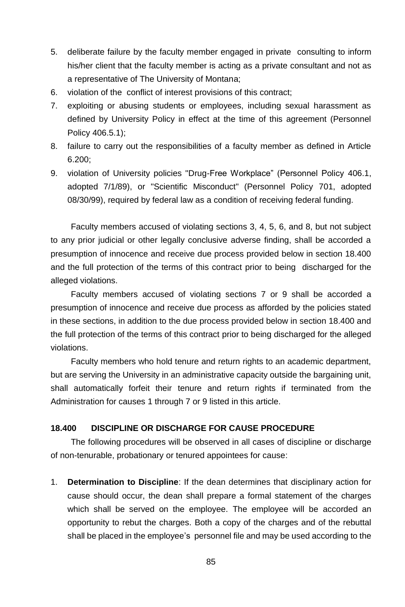- 5. deliberate failure by the faculty member engaged in private consulting to inform his/her client that the faculty member is acting as a private consultant and not as a representative of The University of Montana;
- 6. violation of the conflict of interest provisions of this contract;
- 7. exploiting or abusing students or employees, including sexual harassment as defined by University Policy in effect at the time of this agreement (Personnel Policy 406.5.1);
- 8. failure to carry out the responsibilities of a faculty member as defined in Article 6.200;
- 9. violation of University policies "Drug-Free Workplace" (Personnel Policy 406.1, adopted 7/1/89), or "Scientific Misconduct" (Personnel Policy 701, adopted 08/30/99), required by federal law as a condition of receiving federal funding.

Faculty members accused of violating sections 3, 4, 5, 6, and 8, but not subject to any prior judicial or other legally conclusive adverse finding, shall be accorded a presumption of innocence and receive due process provided below in section 18.400 and the full protection of the terms of this contract prior to being discharged for the alleged violations.

Faculty members accused of violating sections 7 or 9 shall be accorded a presumption of innocence and receive due process as afforded by the policies stated in these sections, in addition to the due process provided below in section 18.400 and the full protection of the terms of this contract prior to being discharged for the alleged violations.

Faculty members who hold tenure and return rights to an academic department, but are serving the University in an administrative capacity outside the bargaining unit, shall automatically forfeit their tenure and return rights if terminated from the Administration for causes 1 through 7 or 9 listed in this article.

## **18.400 DISCIPLINE OR DISCHARGE FOR CAUSE PROCEDURE**

The following procedures will be observed in all cases of discipline or discharge of non-tenurable, probationary or tenured appointees for cause:

1. **Determination to Discipline**: If the dean determines that disciplinary action for cause should occur, the dean shall prepare a formal statement of the charges which shall be served on the employee. The employee will be accorded an opportunity to rebut the charges. Both a copy of the charges and of the rebuttal shall be placed in the employee's personnel file and may be used according to the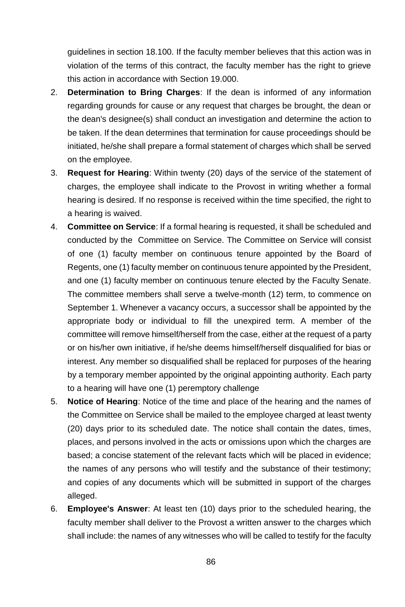guidelines in section 18.100. If the faculty member believes that this action was in violation of the terms of this contract, the faculty member has the right to grieve this action in accordance with Section 19.000.

- 2. **Determination to Bring Charges**: If the dean is informed of any information regarding grounds for cause or any request that charges be brought, the dean or the dean's designee(s) shall conduct an investigation and determine the action to be taken. If the dean determines that termination for cause proceedings should be initiated, he/she shall prepare a formal statement of charges which shall be served on the employee.
- 3. **Request for Hearing**: Within twenty (20) days of the service of the statement of charges, the employee shall indicate to the Provost in writing whether a formal hearing is desired. If no response is received within the time specified, the right to a hearing is waived.
- 4. **Committee on Service**: If a formal hearing is requested, it shall be scheduled and conducted by the Committee on Service. The Committee on Service will consist of one (1) faculty member on continuous tenure appointed by the Board of Regents, one (1) faculty member on continuous tenure appointed by the President, and one (1) faculty member on continuous tenure elected by the Faculty Senate. The committee members shall serve a twelve-month (12) term, to commence on September 1. Whenever a vacancy occurs, a successor shall be appointed by the appropriate body or individual to fill the unexpired term. A member of the committee will remove himself/herself from the case, either at the request of a party or on his/her own initiative, if he/she deems himself/herself disqualified for bias or interest. Any member so disqualified shall be replaced for purposes of the hearing by a temporary member appointed by the original appointing authority. Each party to a hearing will have one (1) peremptory challenge
- 5. **Notice of Hearing**: Notice of the time and place of the hearing and the names of the Committee on Service shall be mailed to the employee charged at least twenty (20) days prior to its scheduled date. The notice shall contain the dates, times, places, and persons involved in the acts or omissions upon which the charges are based; a concise statement of the relevant facts which will be placed in evidence; the names of any persons who will testify and the substance of their testimony; and copies of any documents which will be submitted in support of the charges alleged.
- 6. **Employee's Answer**: At least ten (10) days prior to the scheduled hearing, the faculty member shall deliver to the Provost a written answer to the charges which shall include: the names of any witnesses who will be called to testify for the faculty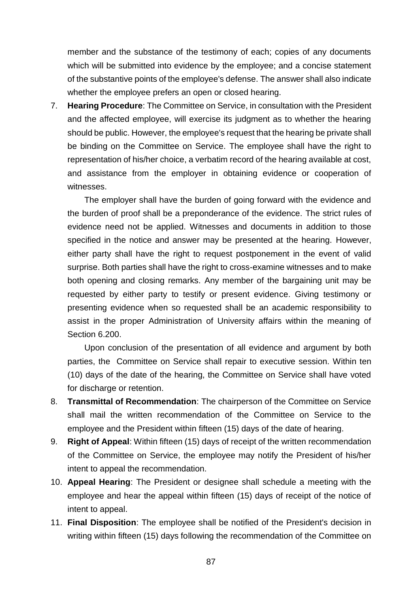member and the substance of the testimony of each; copies of any documents which will be submitted into evidence by the employee; and a concise statement of the substantive points of the employee's defense. The answer shall also indicate whether the employee prefers an open or closed hearing.

7. **Hearing Procedure**: The Committee on Service, in consultation with the President and the affected employee, will exercise its judgment as to whether the hearing should be public. However, the employee's request that the hearing be private shall be binding on the Committee on Service. The employee shall have the right to representation of his/her choice, a verbatim record of the hearing available at cost, and assistance from the employer in obtaining evidence or cooperation of witnesses.

The employer shall have the burden of going forward with the evidence and the burden of proof shall be a preponderance of the evidence. The strict rules of evidence need not be applied. Witnesses and documents in addition to those specified in the notice and answer may be presented at the hearing. However, either party shall have the right to request postponement in the event of valid surprise. Both parties shall have the right to cross-examine witnesses and to make both opening and closing remarks. Any member of the bargaining unit may be requested by either party to testify or present evidence. Giving testimony or presenting evidence when so requested shall be an academic responsibility to assist in the proper Administration of University affairs within the meaning of Section 6.200.

Upon conclusion of the presentation of all evidence and argument by both parties, the Committee on Service shall repair to executive session. Within ten (10) days of the date of the hearing, the Committee on Service shall have voted for discharge or retention.

- 8. **Transmittal of Recommendation**: The chairperson of the Committee on Service shall mail the written recommendation of the Committee on Service to the employee and the President within fifteen (15) days of the date of hearing.
- 9. **Right of Appeal**: Within fifteen (15) days of receipt of the written recommendation of the Committee on Service, the employee may notify the President of his/her intent to appeal the recommendation.
- 10. **Appeal Hearing**: The President or designee shall schedule a meeting with the employee and hear the appeal within fifteen (15) days of receipt of the notice of intent to appeal.
- 11. **Final Disposition**: The employee shall be notified of the President's decision in writing within fifteen (15) days following the recommendation of the Committee on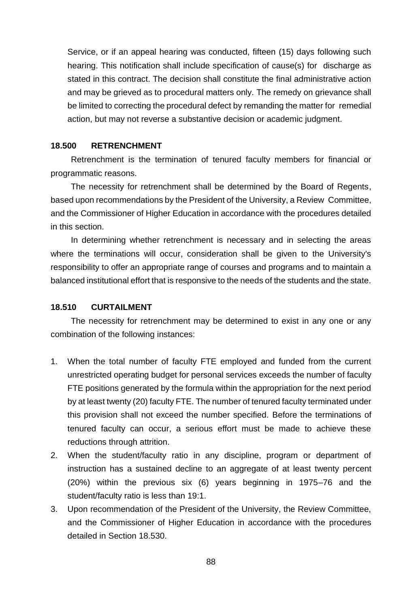Service, or if an appeal hearing was conducted, fifteen (15) days following such hearing. This notification shall include specification of cause(s) for discharge as stated in this contract. The decision shall constitute the final administrative action and may be grieved as to procedural matters only. The remedy on grievance shall be limited to correcting the procedural defect by remanding the matter for remedial action, but may not reverse a substantive decision or academic judgment.

#### **18.500 RETRENCHMENT**

Retrenchment is the termination of tenured faculty members for financial or programmatic reasons.

The necessity for retrenchment shall be determined by the Board of Regents, based upon recommendations by the President of the University, a Review Committee, and the Commissioner of Higher Education in accordance with the procedures detailed in this section.

In determining whether retrenchment is necessary and in selecting the areas where the terminations will occur, consideration shall be given to the University's responsibility to offer an appropriate range of courses and programs and to maintain a balanced institutional effort that is responsive to the needs of the students and the state.

## **18.510 CURTAILMENT**

The necessity for retrenchment may be determined to exist in any one or any combination of the following instances:

- 1. When the total number of faculty FTE employed and funded from the current unrestricted operating budget for personal services exceeds the number of faculty FTE positions generated by the formula within the appropriation for the next period by at least twenty (20) faculty FTE. The number of tenured faculty terminated under this provision shall not exceed the number specified. Before the terminations of tenured faculty can occur, a serious effort must be made to achieve these reductions through attrition.
- 2. When the student/faculty ratio in any discipline, program or department of instruction has a sustained decline to an aggregate of at least twenty percent (20%) within the previous six (6) years beginning in 1975–76 and the student/faculty ratio is less than 19:1.
- 3. Upon recommendation of the President of the University, the Review Committee, and the Commissioner of Higher Education in accordance with the procedures detailed in Section 18.530.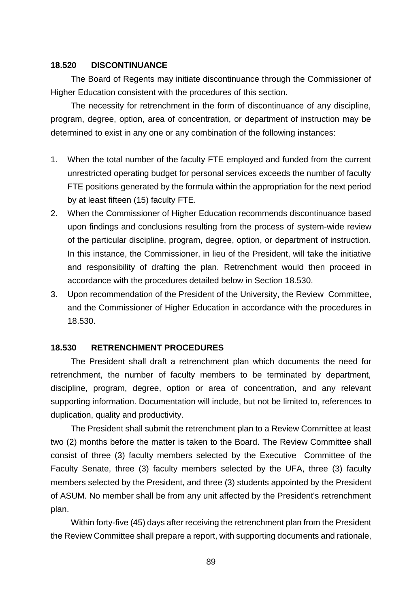## **18.520 DISCONTINUANCE**

The Board of Regents may initiate discontinuance through the Commissioner of Higher Education consistent with the procedures of this section.

The necessity for retrenchment in the form of discontinuance of any discipline, program, degree, option, area of concentration, or department of instruction may be determined to exist in any one or any combination of the following instances:

- 1. When the total number of the faculty FTE employed and funded from the current unrestricted operating budget for personal services exceeds the number of faculty FTE positions generated by the formula within the appropriation for the next period by at least fifteen (15) faculty FTE.
- 2. When the Commissioner of Higher Education recommends discontinuance based upon findings and conclusions resulting from the process of system-wide review of the particular discipline, program, degree, option, or department of instruction. In this instance, the Commissioner, in lieu of the President, will take the initiative and responsibility of drafting the plan. Retrenchment would then proceed in accordance with the procedures detailed below in Section 18.530.
- 3. Upon recommendation of the President of the University, the Review Committee, and the Commissioner of Higher Education in accordance with the procedures in 18.530.

# **18.530 RETRENCHMENT PROCEDURES**

The President shall draft a retrenchment plan which documents the need for retrenchment, the number of faculty members to be terminated by department, discipline, program, degree, option or area of concentration, and any relevant supporting information. Documentation will include, but not be limited to, references to duplication, quality and productivity.

The President shall submit the retrenchment plan to a Review Committee at least two (2) months before the matter is taken to the Board. The Review Committee shall consist of three (3) faculty members selected by the Executive Committee of the Faculty Senate, three (3) faculty members selected by the UFA, three (3) faculty members selected by the President, and three (3) students appointed by the President of ASUM. No member shall be from any unit affected by the President's retrenchment plan.

Within forty-five (45) days after receiving the retrenchment plan from the President the Review Committee shall prepare a report, with supporting documents and rationale,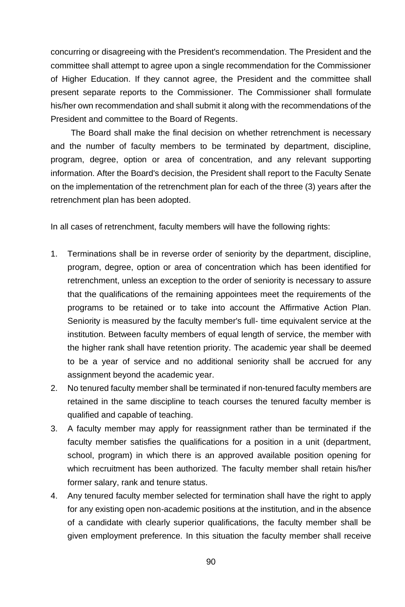concurring or disagreeing with the President's recommendation. The President and the committee shall attempt to agree upon a single recommendation for the Commissioner of Higher Education. If they cannot agree, the President and the committee shall present separate reports to the Commissioner. The Commissioner shall formulate his/her own recommendation and shall submit it along with the recommendations of the President and committee to the Board of Regents.

The Board shall make the final decision on whether retrenchment is necessary and the number of faculty members to be terminated by department, discipline, program, degree, option or area of concentration, and any relevant supporting information. After the Board's decision, the President shall report to the Faculty Senate on the implementation of the retrenchment plan for each of the three (3) years after the retrenchment plan has been adopted.

In all cases of retrenchment, faculty members will have the following rights:

- 1. Terminations shall be in reverse order of seniority by the department, discipline, program, degree, option or area of concentration which has been identified for retrenchment, unless an exception to the order of seniority is necessary to assure that the qualifications of the remaining appointees meet the requirements of the programs to be retained or to take into account the Affirmative Action Plan. Seniority is measured by the faculty member's full- time equivalent service at the institution. Between faculty members of equal length of service, the member with the higher rank shall have retention priority. The academic year shall be deemed to be a year of service and no additional seniority shall be accrued for any assignment beyond the academic year.
- 2. No tenured faculty member shall be terminated if non-tenured faculty members are retained in the same discipline to teach courses the tenured faculty member is qualified and capable of teaching.
- 3. A faculty member may apply for reassignment rather than be terminated if the faculty member satisfies the qualifications for a position in a unit (department, school, program) in which there is an approved available position opening for which recruitment has been authorized. The faculty member shall retain his/her former salary, rank and tenure status.
- 4. Any tenured faculty member selected for termination shall have the right to apply for any existing open non-academic positions at the institution, and in the absence of a candidate with clearly superior qualifications, the faculty member shall be given employment preference. In this situation the faculty member shall receive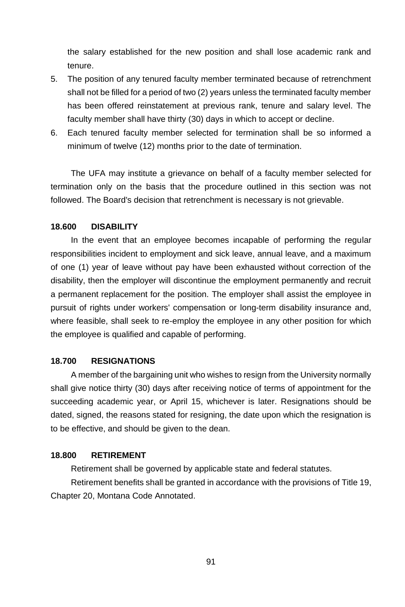the salary established for the new position and shall lose academic rank and tenure.

- 5. The position of any tenured faculty member terminated because of retrenchment shall not be filled for a period of two (2) years unless the terminated faculty member has been offered reinstatement at previous rank, tenure and salary level. The faculty member shall have thirty (30) days in which to accept or decline.
- 6. Each tenured faculty member selected for termination shall be so informed a minimum of twelve (12) months prior to the date of termination.

The UFA may institute a grievance on behalf of a faculty member selected for termination only on the basis that the procedure outlined in this section was not followed. The Board's decision that retrenchment is necessary is not grievable.

### **18.600 DISABILITY**

In the event that an employee becomes incapable of performing the regular responsibilities incident to employment and sick leave, annual leave, and a maximum of one (1) year of leave without pay have been exhausted without correction of the disability, then the employer will discontinue the employment permanently and recruit a permanent replacement for the position. The employer shall assist the employee in pursuit of rights under workers' compensation or long-term disability insurance and, where feasible, shall seek to re-employ the employee in any other position for which the employee is qualified and capable of performing.

#### **18.700 RESIGNATIONS**

A member of the bargaining unit who wishes to resign from the University normally shall give notice thirty (30) days after receiving notice of terms of appointment for the succeeding academic year, or April 15, whichever is later. Resignations should be dated, signed, the reasons stated for resigning, the date upon which the resignation is to be effective, and should be given to the dean.

### **18.800 RETIREMENT**

Retirement shall be governed by applicable state and federal statutes.

Retirement benefits shall be granted in accordance with the provisions of Title 19, Chapter 20, Montana Code Annotated.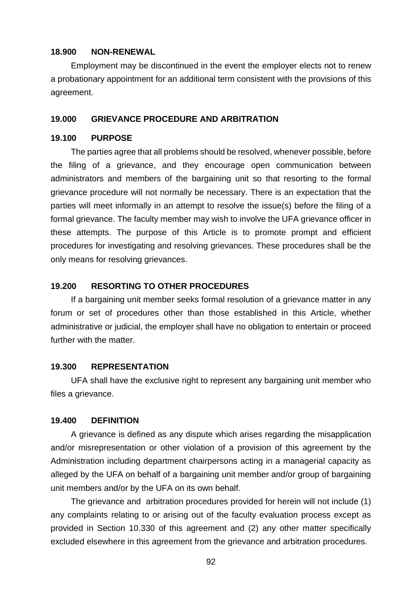## **18.900 NON-RENEWAL**

Employment may be discontinued in the event the employer elects not to renew a probationary appointment for an additional term consistent with the provisions of this agreement.

#### **19.000 GRIEVANCE PROCEDURE AND ARBITRATION**

# **19.100 PURPOSE**

The parties agree that all problems should be resolved, whenever possible, before the filing of a grievance, and they encourage open communication between administrators and members of the bargaining unit so that resorting to the formal grievance procedure will not normally be necessary. There is an expectation that the parties will meet informally in an attempt to resolve the issue(s) before the filing of a formal grievance. The faculty member may wish to involve the UFA grievance officer in these attempts. The purpose of this Article is to promote prompt and efficient procedures for investigating and resolving grievances. These procedures shall be the only means for resolving grievances.

#### **19.200 RESORTING TO OTHER PROCEDURES**

If a bargaining unit member seeks formal resolution of a grievance matter in any forum or set of procedures other than those established in this Article, whether administrative or judicial, the employer shall have no obligation to entertain or proceed further with the matter

#### **19.300 REPRESENTATION**

UFA shall have the exclusive right to represent any bargaining unit member who files a grievance.

#### **19.400 DEFINITION**

A grievance is defined as any dispute which arises regarding the misapplication and/or misrepresentation or other violation of a provision of this agreement by the Administration including department chairpersons acting in a managerial capacity as alleged by the UFA on behalf of a bargaining unit member and/or group of bargaining unit members and/or by the UFA on its own behalf.

The grievance and arbitration procedures provided for herein will not include (1) any complaints relating to or arising out of the faculty evaluation process except as provided in Section 10.330 of this agreement and (2) any other matter specifically excluded elsewhere in this agreement from the grievance and arbitration procedures.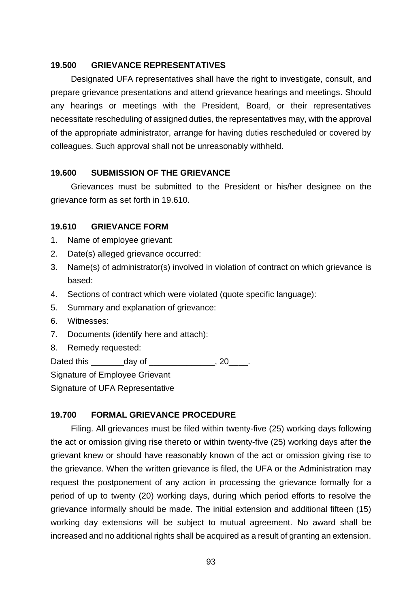## **19.500 GRIEVANCE REPRESENTATIVES**

Designated UFA representatives shall have the right to investigate, consult, and prepare grievance presentations and attend grievance hearings and meetings. Should any hearings or meetings with the President, Board, or their representatives necessitate rescheduling of assigned duties, the representatives may, with the approval of the appropriate administrator, arrange for having duties rescheduled or covered by colleagues. Such approval shall not be unreasonably withheld.

## **19.600 SUBMISSION OF THE GRIEVANCE**

Grievances must be submitted to the President or his/her designee on the grievance form as set forth in 19.610.

#### **19.610 GRIEVANCE FORM**

- 1. Name of employee grievant:
- 2. Date(s) alleged grievance occurred:
- 3. Name(s) of administrator(s) involved in violation of contract on which grievance is based:
- 4. Sections of contract which were violated (quote specific language):
- 5. Summary and explanation of grievance:
- 6. Witnesses:
- 7. Documents (identify here and attach):
- 8. Remedy requested:

Dated this day of the case of the case of the case of the case of the case of the case of the case of the case

Signature of Employee Grievant

Signature of UFA Representative

## **19.700 FORMAL GRIEVANCE PROCEDURE**

Filing. All grievances must be filed within twenty-five (25) working days following the act or omission giving rise thereto or within twenty-five (25) working days after the grievant knew or should have reasonably known of the act or omission giving rise to the grievance. When the written grievance is filed, the UFA or the Administration may request the postponement of any action in processing the grievance formally for a period of up to twenty (20) working days, during which period efforts to resolve the grievance informally should be made. The initial extension and additional fifteen (15) working day extensions will be subject to mutual agreement. No award shall be increased and no additional rights shall be acquired as a result of granting an extension.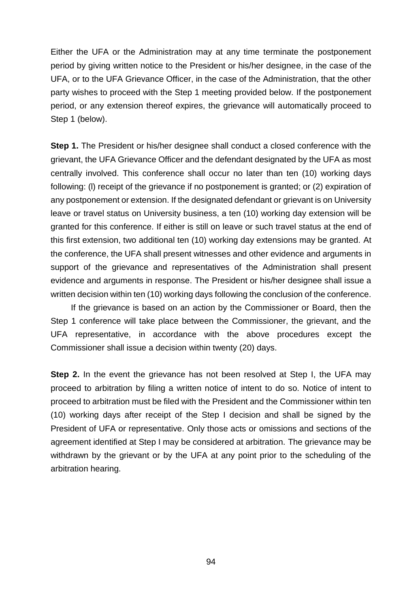Either the UFA or the Administration may at any time terminate the postponement period by giving written notice to the President or his/her designee, in the case of the UFA, or to the UFA Grievance Officer, in the case of the Administration, that the other party wishes to proceed with the Step 1 meeting provided below. If the postponement period, or any extension thereof expires, the grievance will automatically proceed to Step 1 (below).

**Step 1.** The President or his/her designee shall conduct a closed conference with the grievant, the UFA Grievance Officer and the defendant designated by the UFA as most centrally involved. This conference shall occur no later than ten (10) working days following: (l) receipt of the grievance if no postponement is granted; or (2) expiration of any postponement or extension. If the designated defendant or grievant is on University leave or travel status on University business, a ten (10) working day extension will be granted for this conference. If either is still on leave or such travel status at the end of this first extension, two additional ten (10) working day extensions may be granted. At the conference, the UFA shall present witnesses and other evidence and arguments in support of the grievance and representatives of the Administration shall present evidence and arguments in response. The President or his/her designee shall issue a written decision within ten (10) working days following the conclusion of the conference.

If the grievance is based on an action by the Commissioner or Board, then the Step 1 conference will take place between the Commissioner, the grievant, and the UFA representative, in accordance with the above procedures except the Commissioner shall issue a decision within twenty (20) days.

**Step 2.** In the event the grievance has not been resolved at Step I, the UFA may proceed to arbitration by filing a written notice of intent to do so. Notice of intent to proceed to arbitration must be filed with the President and the Commissioner within ten (10) working days after receipt of the Step I decision and shall be signed by the President of UFA or representative. Only those acts or omissions and sections of the agreement identified at Step I may be considered at arbitration. The grievance may be withdrawn by the grievant or by the UFA at any point prior to the scheduling of the arbitration hearing.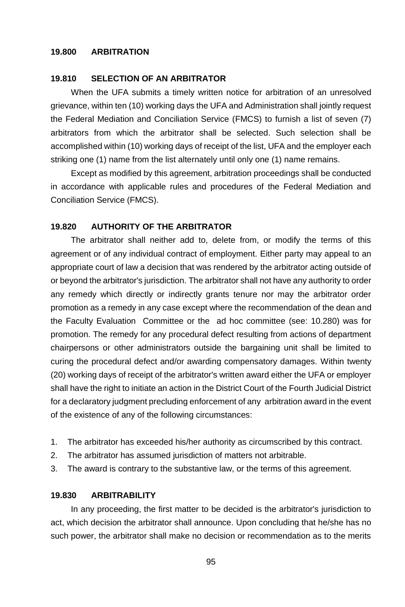## **19.800 ARBITRATION**

#### **19.810 SELECTION OF AN ARBITRATOR**

When the UFA submits a timely written notice for arbitration of an unresolved grievance, within ten (10) working days the UFA and Administration shall jointly request the Federal Mediation and Conciliation Service (FMCS) to furnish a list of seven (7) arbitrators from which the arbitrator shall be selected. Such selection shall be accomplished within (10) working days of receipt of the list, UFA and the employer each striking one (1) name from the list alternately until only one (1) name remains.

Except as modified by this agreement, arbitration proceedings shall be conducted in accordance with applicable rules and procedures of the Federal Mediation and Conciliation Service (FMCS).

#### **19.820 AUTHORITY OF THE ARBITRATOR**

The arbitrator shall neither add to, delete from, or modify the terms of this agreement or of any individual contract of employment. Either party may appeal to an appropriate court of law a decision that was rendered by the arbitrator acting outside of or beyond the arbitrator's jurisdiction. The arbitrator shall not have any authority to order any remedy which directly or indirectly grants tenure nor may the arbitrator order promotion as a remedy in any case except where the recommendation of the dean and the Faculty Evaluation Committee or the ad hoc committee (see: 10.280) was for promotion. The remedy for any procedural defect resulting from actions of department chairpersons or other administrators outside the bargaining unit shall be limited to curing the procedural defect and/or awarding compensatory damages. Within twenty (20) working days of receipt of the arbitrator's written award either the UFA or employer shall have the right to initiate an action in the District Court of the Fourth Judicial District for a declaratory judgment precluding enforcement of any arbitration award in the event of the existence of any of the following circumstances:

- 1. The arbitrator has exceeded his/her authority as circumscribed by this contract.
- 2. The arbitrator has assumed jurisdiction of matters not arbitrable.
- 3. The award is contrary to the substantive law, or the terms of this agreement.

## **19.830 ARBITRABILITY**

In any proceeding, the first matter to be decided is the arbitrator's jurisdiction to act, which decision the arbitrator shall announce. Upon concluding that he/she has no such power, the arbitrator shall make no decision or recommendation as to the merits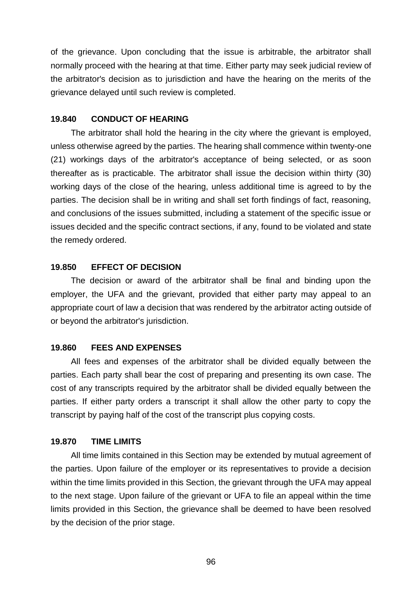of the grievance. Upon concluding that the issue is arbitrable, the arbitrator shall normally proceed with the hearing at that time. Either party may seek judicial review of the arbitrator's decision as to jurisdiction and have the hearing on the merits of the grievance delayed until such review is completed.

# **19.840 CONDUCT OF HEARING**

The arbitrator shall hold the hearing in the city where the grievant is employed, unless otherwise agreed by the parties. The hearing shall commence within twenty-one (21) workings days of the arbitrator's acceptance of being selected, or as soon thereafter as is practicable. The arbitrator shall issue the decision within thirty (30) working days of the close of the hearing, unless additional time is agreed to by the parties. The decision shall be in writing and shall set forth findings of fact, reasoning, and conclusions of the issues submitted, including a statement of the specific issue or issues decided and the specific contract sections, if any, found to be violated and state the remedy ordered.

# **19.850 EFFECT OF DECISION**

The decision or award of the arbitrator shall be final and binding upon the employer, the UFA and the grievant, provided that either party may appeal to an appropriate court of law a decision that was rendered by the arbitrator acting outside of or beyond the arbitrator's jurisdiction.

## **19.860 FEES AND EXPENSES**

All fees and expenses of the arbitrator shall be divided equally between the parties. Each party shall bear the cost of preparing and presenting its own case. The cost of any transcripts required by the arbitrator shall be divided equally between the parties. If either party orders a transcript it shall allow the other party to copy the transcript by paying half of the cost of the transcript plus copying costs.

### **19.870 TIME LIMITS**

All time limits contained in this Section may be extended by mutual agreement of the parties. Upon failure of the employer or its representatives to provide a decision within the time limits provided in this Section, the grievant through the UFA may appeal to the next stage. Upon failure of the grievant or UFA to file an appeal within the time limits provided in this Section, the grievance shall be deemed to have been resolved by the decision of the prior stage.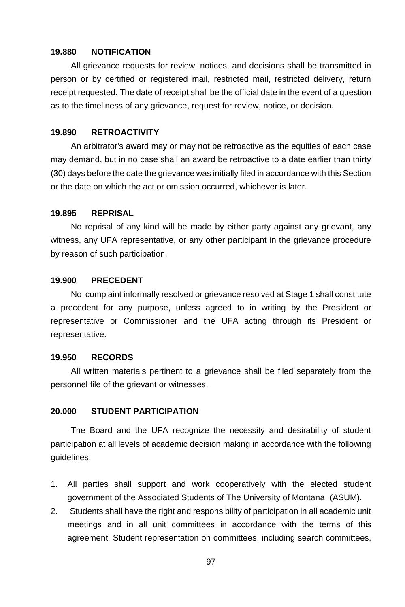### **19.880 NOTIFICATION**

All grievance requests for review, notices, and decisions shall be transmitted in person or by certified or registered mail, restricted mail, restricted delivery, return receipt requested. The date of receipt shall be the official date in the event of a question as to the timeliness of any grievance, request for review, notice, or decision.

### **19.890 RETROACTIVITY**

An arbitrator's award may or may not be retroactive as the equities of each case may demand, but in no case shall an award be retroactive to a date earlier than thirty (30) days before the date the grievance was initially filed in accordance with this Section or the date on which the act or omission occurred, whichever is later.

#### **19.895 REPRISAL**

No reprisal of any kind will be made by either party against any grievant, any witness, any UFA representative, or any other participant in the grievance procedure by reason of such participation.

#### **19.900 PRECEDENT**

No complaint informally resolved or grievance resolved at Stage 1 shall constitute a precedent for any purpose, unless agreed to in writing by the President or representative or Commissioner and the UFA acting through its President or representative.

#### **19.950 RECORDS**

All written materials pertinent to a grievance shall be filed separately from the personnel file of the grievant or witnesses.

#### **20.000 STUDENT PARTICIPATION**

The Board and the UFA recognize the necessity and desirability of student participation at all levels of academic decision making in accordance with the following guidelines:

- 1. All parties shall support and work cooperatively with the elected student government of the Associated Students of The University of Montana (ASUM).
- 2. Students shall have the right and responsibility of participation in all academic unit meetings and in all unit committees in accordance with the terms of this agreement. Student representation on committees, including search committees,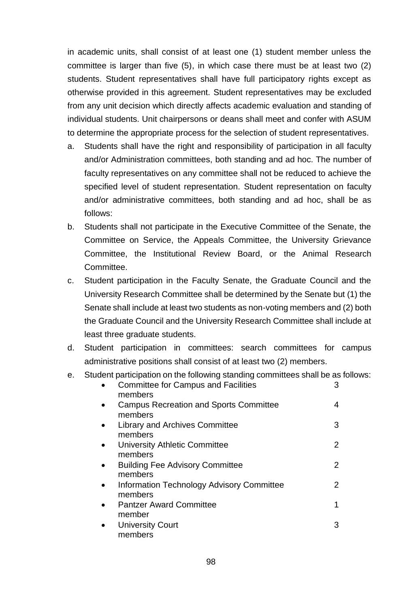in academic units, shall consist of at least one (1) student member unless the committee is larger than five (5), in which case there must be at least two (2) students. Student representatives shall have full participatory rights except as otherwise provided in this agreement. Student representatives may be excluded from any unit decision which directly affects academic evaluation and standing of individual students. Unit chairpersons or deans shall meet and confer with ASUM to determine the appropriate process for the selection of student representatives.

- a. Students shall have the right and responsibility of participation in all faculty and/or Administration committees, both standing and ad hoc. The number of faculty representatives on any committee shall not be reduced to achieve the specified level of student representation. Student representation on faculty and/or administrative committees, both standing and ad hoc, shall be as follows:
- b. Students shall not participate in the Executive Committee of the Senate, the Committee on Service, the Appeals Committee, the University Grievance Committee, the Institutional Review Board, or the Animal Research Committee.
- c. Student participation in the Faculty Senate, the Graduate Council and the University Research Committee shall be determined by the Senate but (1) the Senate shall include at least two students as non-voting members and (2) both the Graduate Council and the University Research Committee shall include at least three graduate students.
- d. Student participation in committees: search committees for campus administrative positions shall consist of at least two (2) members.
- e. Student participation on the following standing committees shall be as follows:

|           | <b>Committee for Campus and Facilities</b><br>members    | 3 |
|-----------|----------------------------------------------------------|---|
|           | <b>Campus Recreation and Sports Committee</b><br>members | 4 |
| $\bullet$ | Library and Archives Committee<br>members                | 3 |
| $\bullet$ | University Athletic Committee<br>members                 | 2 |
| $\bullet$ | <b>Building Fee Advisory Committee</b><br>members        | 2 |
|           | Information Technology Advisory Committee<br>members     | 2 |
|           | <b>Pantzer Award Committee</b><br>member                 | 1 |
|           | <b>University Court</b><br>members                       | З |
|           |                                                          |   |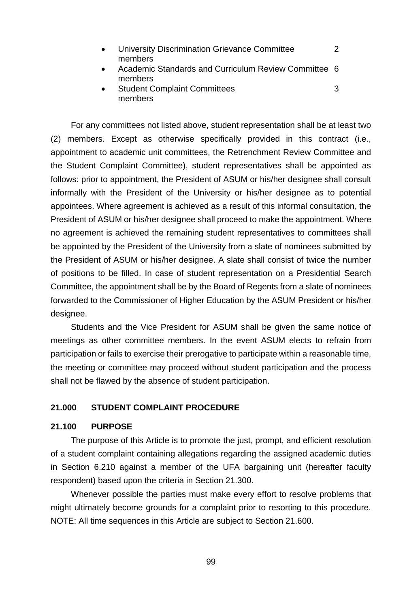- University Discrimination Grievance Committee 2 members
- Academic Standards and Curriculum Review Committee 6 members
- Student Complaint Committees 3 members

For any committees not listed above, student representation shall be at least two (2) members. Except as otherwise specifically provided in this contract (i.e., appointment to academic unit committees, the Retrenchment Review Committee and the Student Complaint Committee), student representatives shall be appointed as follows: prior to appointment, the President of ASUM or his/her designee shall consult informally with the President of the University or his/her designee as to potential appointees. Where agreement is achieved as a result of this informal consultation, the President of ASUM or his/her designee shall proceed to make the appointment. Where no agreement is achieved the remaining student representatives to committees shall be appointed by the President of the University from a slate of nominees submitted by the President of ASUM or his/her designee. A slate shall consist of twice the number of positions to be filled. In case of student representation on a Presidential Search Committee, the appointment shall be by the Board of Regents from a slate of nominees forwarded to the Commissioner of Higher Education by the ASUM President or his/her designee. Students and the Vice President for ASUM shall be given the same notice of

meetings as other committee members. In the event ASUM elects to refrain from participation or fails to exercise their prerogative to participate within a reasonable time, the meeting or committee may proceed without student participation and the process shall not be flawed by the absence of student participation.

## **21.000 STUDENT COMPLAINT PROCEDURE**

#### **21.100 PURPOSE**

The purpose of this Article is to promote the just, prompt, and efficient resolution of a student complaint containing allegations regarding the assigned academic duties in Section 6.210 against a member of the UFA bargaining unit (hereafter faculty respondent) based upon the criteria in Section 21.300.

Whenever possible the parties must make every effort to resolve problems that might ultimately become grounds for a complaint prior to resorting to this procedure. NOTE: All time sequences in this Article are subject to Section 21.600.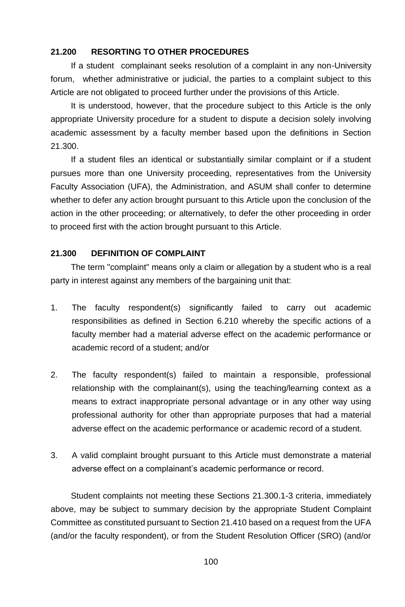# **21.200 RESORTING TO OTHER PROCEDURES**

If a student complainant seeks resolution of a complaint in any non-University forum, whether administrative or judicial, the parties to a complaint subject to this Article are not obligated to proceed further under the provisions of this Article.

It is understood, however, that the procedure subject to this Article is the only appropriate University procedure for a student to dispute a decision solely involving academic assessment by a faculty member based upon the definitions in Section 21.300.

If a student files an identical or substantially similar complaint or if a student pursues more than one University proceeding, representatives from the University Faculty Association (UFA), the Administration, and ASUM shall confer to determine whether to defer any action brought pursuant to this Article upon the conclusion of the action in the other proceeding; or alternatively, to defer the other proceeding in order to proceed first with the action brought pursuant to this Article.

# **21.300 DEFINITION OF COMPLAINT**

The term "complaint" means only a claim or allegation by a student who is a real party in interest against any members of the bargaining unit that:

- 1. The faculty respondent(s) significantly failed to carry out academic responsibilities as defined in Section 6.210 whereby the specific actions of a faculty member had a material adverse effect on the academic performance or academic record of a student; and/or
- 2. The faculty respondent(s) failed to maintain a responsible, professional relationship with the complainant(s), using the teaching/learning context as a means to extract inappropriate personal advantage or in any other way using professional authority for other than appropriate purposes that had a material adverse effect on the academic performance or academic record of a student.
- 3. A valid complaint brought pursuant to this Article must demonstrate a material adverse effect on a complainant's academic performance or record.

Student complaints not meeting these Sections 21.300.1-3 criteria, immediately above, may be subject to summary decision by the appropriate Student Complaint Committee as constituted pursuant to Section 21.410 based on a request from the UFA (and/or the faculty respondent), or from the Student Resolution Officer (SRO) (and/or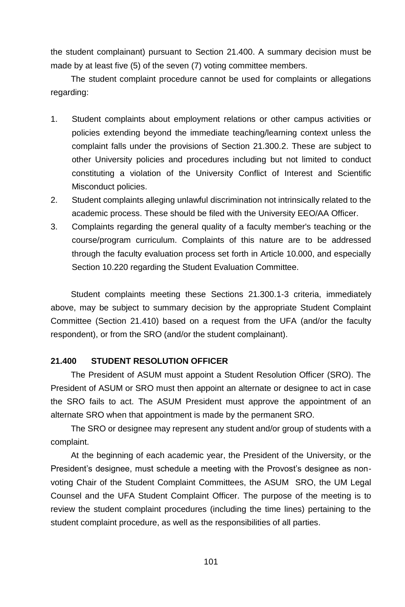the student complainant) pursuant to Section 21.400. A summary decision must be made by at least five (5) of the seven (7) voting committee members.

The student complaint procedure cannot be used for complaints or allegations regarding:

- 1. Student complaints about employment relations or other campus activities or policies extending beyond the immediate teaching/learning context unless the complaint falls under the provisions of Section 21.300.2. These are subject to other University policies and procedures including but not limited to conduct constituting a violation of the University Conflict of Interest and Scientific Misconduct policies.
- 2. Student complaints alleging unlawful discrimination not intrinsically related to the academic process. These should be filed with the University EEO/AA Officer.
- 3. Complaints regarding the general quality of a faculty member's teaching or the course/program curriculum. Complaints of this nature are to be addressed through the faculty evaluation process set forth in Article 10.000, and especially Section 10.220 regarding the Student Evaluation Committee.

Student complaints meeting these Sections 21.300.1-3 criteria, immediately above, may be subject to summary decision by the appropriate Student Complaint Committee (Section 21.410) based on a request from the UFA (and/or the faculty respondent), or from the SRO (and/or the student complainant).

# **21.400 STUDENT RESOLUTION OFFICER**

The President of ASUM must appoint a Student Resolution Officer (SRO). The President of ASUM or SRO must then appoint an alternate or designee to act in case the SRO fails to act. The ASUM President must approve the appointment of an alternate SRO when that appointment is made by the permanent SRO.

The SRO or designee may represent any student and/or group of students with a complaint.

At the beginning of each academic year, the President of the University, or the President's designee, must schedule a meeting with the Provost's designee as nonvoting Chair of the Student Complaint Committees, the ASUM SRO, the UM Legal Counsel and the UFA Student Complaint Officer. The purpose of the meeting is to review the student complaint procedures (including the time lines) pertaining to the student complaint procedure, as well as the responsibilities of all parties.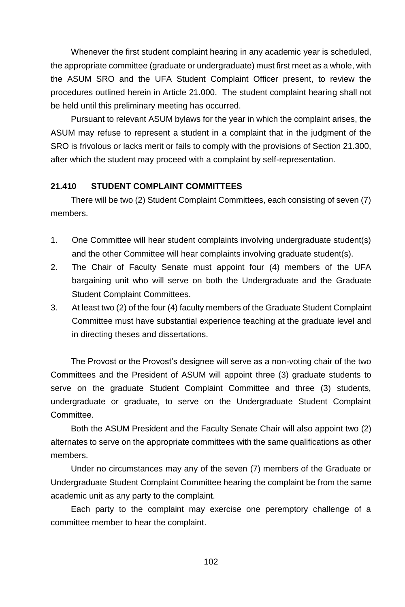Whenever the first student complaint hearing in any academic year is scheduled, the appropriate committee (graduate or undergraduate) must first meet as a whole, with the ASUM SRO and the UFA Student Complaint Officer present, to review the procedures outlined herein in Article 21.000. The student complaint hearing shall not be held until this preliminary meeting has occurred.

Pursuant to relevant ASUM bylaws for the year in which the complaint arises, the ASUM may refuse to represent a student in a complaint that in the judgment of the SRO is frivolous or lacks merit or fails to comply with the provisions of Section 21.300, after which the student may proceed with a complaint by self-representation.

# **21.410 STUDENT COMPLAINT COMMITTEES**

There will be two (2) Student Complaint Committees, each consisting of seven (7) members.

- 1. One Committee will hear student complaints involving undergraduate student(s) and the other Committee will hear complaints involving graduate student(s).
- 2. The Chair of Faculty Senate must appoint four (4) members of the UFA bargaining unit who will serve on both the Undergraduate and the Graduate Student Complaint Committees.
- 3. At least two (2) of the four (4) faculty members of the Graduate Student Complaint Committee must have substantial experience teaching at the graduate level and in directing theses and dissertations.

The Provost or the Provost's designee will serve as a non-voting chair of the two Committees and the President of ASUM will appoint three (3) graduate students to serve on the graduate Student Complaint Committee and three (3) students, undergraduate or graduate, to serve on the Undergraduate Student Complaint Committee.

Both the ASUM President and the Faculty Senate Chair will also appoint two (2) alternates to serve on the appropriate committees with the same qualifications as other members.

Under no circumstances may any of the seven (7) members of the Graduate or Undergraduate Student Complaint Committee hearing the complaint be from the same academic unit as any party to the complaint.

Each party to the complaint may exercise one peremptory challenge of a committee member to hear the complaint.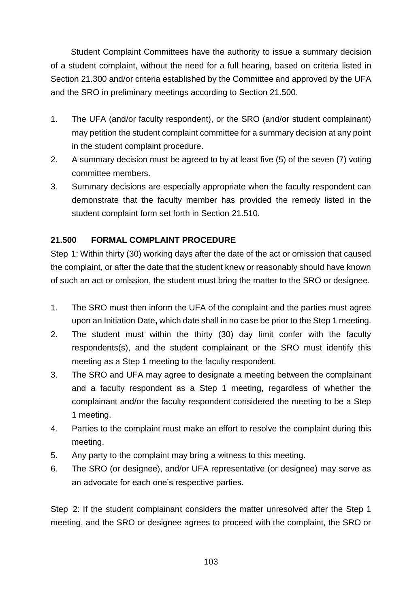Student Complaint Committees have the authority to issue a summary decision of a student complaint, without the need for a full hearing, based on criteria listed in Section 21.300 and/or criteria established by the Committee and approved by the UFA and the SRO in preliminary meetings according to Section 21.500.

- 1. The UFA (and/or faculty respondent), or the SRO (and/or student complainant) may petition the student complaint committee for a summary decision at any point in the student complaint procedure.
- 2. A summary decision must be agreed to by at least five (5) of the seven (7) voting committee members.
- 3. Summary decisions are especially appropriate when the faculty respondent can demonstrate that the faculty member has provided the remedy listed in the student complaint form set forth in Section 21.510.

# **21.500 FORMAL COMPLAINT PROCEDURE**

Step 1: Within thirty (30) working days after the date of the act or omission that caused the complaint, or after the date that the student knew or reasonably should have known of such an act or omission, the student must bring the matter to the SRO or designee.

- 1. The SRO must then inform the UFA of the complaint and the parties must agree upon an Initiation Date**,** which date shall in no case be prior to the Step 1 meeting.
- 2. The student must within the thirty (30) day limit confer with the faculty respondents(s), and the student complainant or the SRO must identify this meeting as a Step 1 meeting to the faculty respondent.
- 3. The SRO and UFA may agree to designate a meeting between the complainant and a faculty respondent as a Step 1 meeting, regardless of whether the complainant and/or the faculty respondent considered the meeting to be a Step 1 meeting.
- 4. Parties to the complaint must make an effort to resolve the complaint during this meeting.
- 5. Any party to the complaint may bring a witness to this meeting.
- 6. The SRO (or designee), and/or UFA representative (or designee) may serve as an advocate for each one's respective parties.

Step 2: If the student complainant considers the matter unresolved after the Step 1 meeting, and the SRO or designee agrees to proceed with the complaint, the SRO or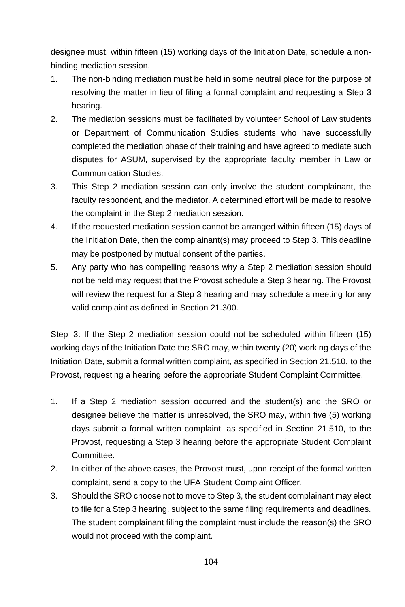designee must, within fifteen (15) working days of the Initiation Date, schedule a nonbinding mediation session.

- 1. The non-binding mediation must be held in some neutral place for the purpose of resolving the matter in lieu of filing a formal complaint and requesting a Step 3 hearing.
- 2. The mediation sessions must be facilitated by volunteer School of Law students or Department of Communication Studies students who have successfully completed the mediation phase of their training and have agreed to mediate such disputes for ASUM, supervised by the appropriate faculty member in Law or Communication Studies.
- 3. This Step 2 mediation session can only involve the student complainant, the faculty respondent, and the mediator. A determined effort will be made to resolve the complaint in the Step 2 mediation session.
- 4. If the requested mediation session cannot be arranged within fifteen (15) days of the Initiation Date, then the complainant(s) may proceed to Step 3. This deadline may be postponed by mutual consent of the parties.
- 5. Any party who has compelling reasons why a Step 2 mediation session should not be held may request that the Provost schedule a Step 3 hearing. The Provost will review the request for a Step 3 hearing and may schedule a meeting for any valid complaint as defined in Section 21.300.

Step 3: If the Step 2 mediation session could not be scheduled within fifteen (15) working days of the Initiation Date the SRO may, within twenty (20) working days of the Initiation Date, submit a formal written complaint, as specified in Section 21.510, to the Provost, requesting a hearing before the appropriate Student Complaint Committee.

- 1. If a Step 2 mediation session occurred and the student(s) and the SRO or designee believe the matter is unresolved, the SRO may, within five (5) working days submit a formal written complaint, as specified in Section 21.510, to the Provost, requesting a Step 3 hearing before the appropriate Student Complaint Committee.
- 2. In either of the above cases, the Provost must, upon receipt of the formal written complaint, send a copy to the UFA Student Complaint Officer.
- 3. Should the SRO choose not to move to Step 3, the student complainant may elect to file for a Step 3 hearing, subject to the same filing requirements and deadlines. The student complainant filing the complaint must include the reason(s) the SRO would not proceed with the complaint.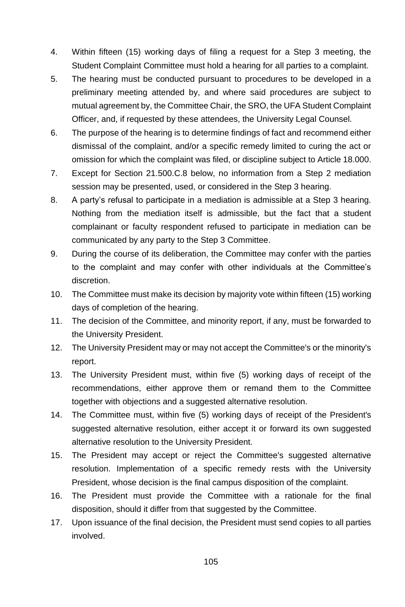- 4. Within fifteen (15) working days of filing a request for a Step 3 meeting, the Student Complaint Committee must hold a hearing for all parties to a complaint.
- 5. The hearing must be conducted pursuant to procedures to be developed in a preliminary meeting attended by, and where said procedures are subject to mutual agreement by, the Committee Chair, the SRO, the UFA Student Complaint Officer, and, if requested by these attendees, the University Legal Counsel.
- 6. The purpose of the hearing is to determine findings of fact and recommend either dismissal of the complaint, and/or a specific remedy limited to curing the act or omission for which the complaint was filed, or discipline subject to Article 18.000.
- 7. Except for Section 21.500.C.8 below, no information from a Step 2 mediation session may be presented, used, or considered in the Step 3 hearing.
- 8. A party's refusal to participate in a mediation is admissible at a Step 3 hearing. Nothing from the mediation itself is admissible, but the fact that a student complainant or faculty respondent refused to participate in mediation can be communicated by any party to the Step 3 Committee.
- 9. During the course of its deliberation, the Committee may confer with the parties to the complaint and may confer with other individuals at the Committee's discretion.
- 10. The Committee must make its decision by majority vote within fifteen (15) working days of completion of the hearing.
- 11. The decision of the Committee, and minority report, if any, must be forwarded to the University President.
- 12. The University President may or may not accept the Committee's or the minority's report.
- 13. The University President must, within five (5) working days of receipt of the recommendations, either approve them or remand them to the Committee together with objections and a suggested alternative resolution.
- 14. The Committee must, within five (5) working days of receipt of the President's suggested alternative resolution, either accept it or forward its own suggested alternative resolution to the University President.
- 15. The President may accept or reject the Committee's suggested alternative resolution. Implementation of a specific remedy rests with the University President, whose decision is the final campus disposition of the complaint.
- 16. The President must provide the Committee with a rationale for the final disposition, should it differ from that suggested by the Committee.
- 17. Upon issuance of the final decision, the President must send copies to all parties involved.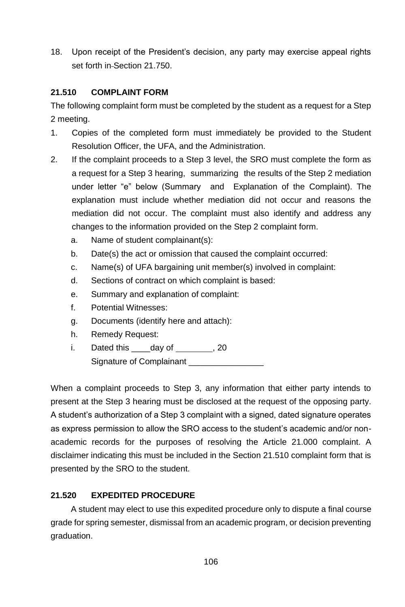18. Upon receipt of the President's decision, any party may exercise appeal rights set forth in Section 21.750.

# **21.510 COMPLAINT FORM**

The following complaint form must be completed by the student as a request for a Step 2 meeting.

- 1. Copies of the completed form must immediately be provided to the Student Resolution Officer, the UFA, and the Administration.
- 2. If the complaint proceeds to a Step 3 level, the SRO must complete the form as a request for a Step 3 hearing, summarizing the results of the Step 2 mediation under letter "e" below (Summary and Explanation of the Complaint). The explanation must include whether mediation did not occur and reasons the mediation did not occur. The complaint must also identify and address any changes to the information provided on the Step 2 complaint form.
	- a. Name of student complainant(s):
	- b. Date(s) the act or omission that caused the complaint occurred:
	- c. Name(s) of UFA bargaining unit member(s) involved in complaint:
	- d. Sections of contract on which complaint is based:
	- e. Summary and explanation of complaint:
	- f. Potential Witnesses:
	- g. Documents (identify here and attach):
	- h. Remedy Request:
	- i. Dated this day of , 20 Signature of Complainant

When a complaint proceeds to Step 3, any information that either party intends to present at the Step 3 hearing must be disclosed at the request of the opposing party. A student's authorization of a Step 3 complaint with a signed, dated signature operates as express permission to allow the SRO access to the student's academic and/or nonacademic records for the purposes of resolving the Article 21.000 complaint. A disclaimer indicating this must be included in the Section 21.510 complaint form that is presented by the SRO to the student.

# **21.520 EXPEDITED PROCEDURE**

A student may elect to use this expedited procedure only to dispute a final course grade for spring semester, dismissal from an academic program, or decision preventing graduation.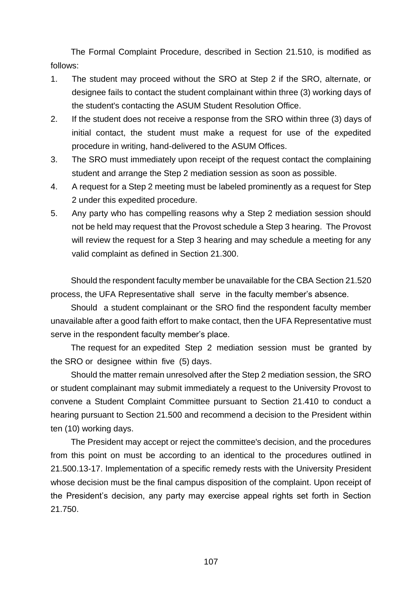The Formal Complaint Procedure, described in Section 21.510, is modified as follows:

- 1. The student may proceed without the SRO at Step 2 if the SRO, alternate, or designee fails to contact the student complainant within three (3) working days of the student's contacting the ASUM Student Resolution Office.
- 2. If the student does not receive a response from the SRO within three (3) days of initial contact, the student must make a request for use of the expedited procedure in writing, hand-delivered to the ASUM Offices.
- 3. The SRO must immediately upon receipt of the request contact the complaining student and arrange the Step 2 mediation session as soon as possible.
- 4. A request for a Step 2 meeting must be labeled prominently as a request for Step 2 under this expedited procedure.
- 5. Any party who has compelling reasons why a Step 2 mediation session should not be held may request that the Provost schedule a Step 3 hearing. The Provost will review the request for a Step 3 hearing and may schedule a meeting for any valid complaint as defined in Section 21.300.

Should the respondent faculty member be unavailable for the CBA Section 21.520 process, the UFA Representative shall serve in the faculty member's absence.

Should a student complainant or the SRO find the respondent faculty member unavailable after a good faith effort to make contact, then the UFA Representative must serve in the respondent faculty member's place.

The request for an expedited Step 2 mediation session must be granted by the SRO or designee within five (5) days.

Should the matter remain unresolved after the Step 2 mediation session, the SRO or student complainant may submit immediately a request to the University Provost to convene a Student Complaint Committee pursuant to Section 21.410 to conduct a hearing pursuant to Section 21.500 and recommend a decision to the President within ten (10) working days.

The President may accept or reject the committee's decision, and the procedures from this point on must be according to an identical to the procedures outlined in 21.500.13-17. Implementation of a specific remedy rests with the University President whose decision must be the final campus disposition of the complaint. Upon receipt of the President's decision, any party may exercise appeal rights set forth in Section 21.750.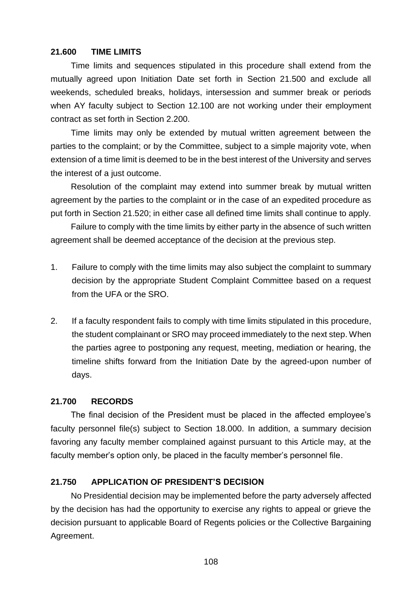### **21.600 TIME LIMITS**

Time limits and sequences stipulated in this procedure shall extend from the mutually agreed upon Initiation Date set forth in Section 21.500 and exclude all weekends, scheduled breaks, holidays, intersession and summer break or periods when AY faculty subject to Section 12.100 are not working under their employment contract as set forth in Section 2.200.

Time limits may only be extended by mutual written agreement between the parties to the complaint; or by the Committee, subject to a simple majority vote, when extension of a time limit is deemed to be in the best interest of the University and serves the interest of a just outcome.

Resolution of the complaint may extend into summer break by mutual written agreement by the parties to the complaint or in the case of an expedited procedure as put forth in Section 21.520; in either case all defined time limits shall continue to apply.

Failure to comply with the time limits by either party in the absence of such written agreement shall be deemed acceptance of the decision at the previous step.

- 1. Failure to comply with the time limits may also subject the complaint to summary decision by the appropriate Student Complaint Committee based on a request from the UFA or the SRO.
- 2. If a faculty respondent fails to comply with time limits stipulated in this procedure, the student complainant or SRO may proceed immediately to the next step. When the parties agree to postponing any request, meeting, mediation or hearing, the timeline shifts forward from the Initiation Date by the agreed-upon number of days.

#### **21.700 RECORDS**

The final decision of the President must be placed in the affected employee's faculty personnel file(s) subject to Section 18.000. In addition, a summary decision favoring any faculty member complained against pursuant to this Article may, at the faculty member's option only, be placed in the faculty member's personnel file.

### **21.750 APPLICATION OF PRESIDENT'S DECISION**

No Presidential decision may be implemented before the party adversely affected by the decision has had the opportunity to exercise any rights to appeal or grieve the decision pursuant to applicable Board of Regents policies or the Collective Bargaining Agreement.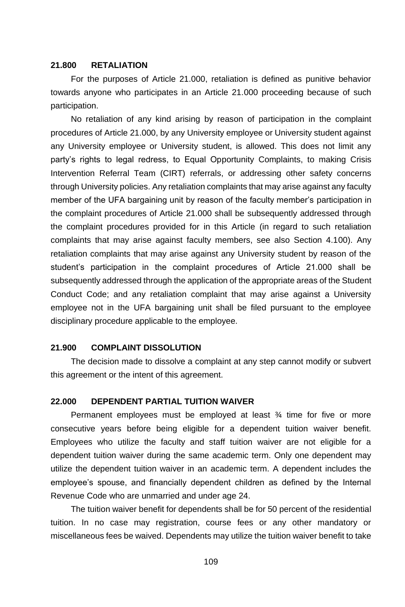#### **21.800 RETALIATION**

For the purposes of Article 21.000, retaliation is defined as punitive behavior towards anyone who participates in an Article 21.000 proceeding because of such participation.

No retaliation of any kind arising by reason of participation in the complaint procedures of Article 21.000, by any University employee or University student against any University employee or University student, is allowed. This does not limit any party's rights to legal redress, to Equal Opportunity Complaints, to making Crisis Intervention Referral Team (CIRT) referrals, or addressing other safety concerns through University policies. Any retaliation complaints that may arise against any faculty member of the UFA bargaining unit by reason of the faculty member's participation in the complaint procedures of Article 21.000 shall be subsequently addressed through the complaint procedures provided for in this Article (in regard to such retaliation complaints that may arise against faculty members, see also Section 4.100). Any retaliation complaints that may arise against any University student by reason of the student's participation in the complaint procedures of Article 21.000 shall be subsequently addressed through the application of the appropriate areas of the Student Conduct Code; and any retaliation complaint that may arise against a University employee not in the UFA bargaining unit shall be filed pursuant to the employee disciplinary procedure applicable to the employee.

### **21.900 COMPLAINT DISSOLUTION**

The decision made to dissolve a complaint at any step cannot modify or subvert this agreement or the intent of this agreement.

### **22.000 DEPENDENT PARTIAL TUITION WAIVER**

Permanent employees must be employed at least ¾ time for five or more consecutive years before being eligible for a dependent tuition waiver benefit. Employees who utilize the faculty and staff tuition waiver are not eligible for a dependent tuition waiver during the same academic term. Only one dependent may utilize the dependent tuition waiver in an academic term. A dependent includes the employee's spouse, and financially dependent children as defined by the Internal Revenue Code who are unmarried and under age 24.

The tuition waiver benefit for dependents shall be for 50 percent of the residential tuition. In no case may registration, course fees or any other mandatory or miscellaneous fees be waived. Dependents may utilize the tuition waiver benefit to take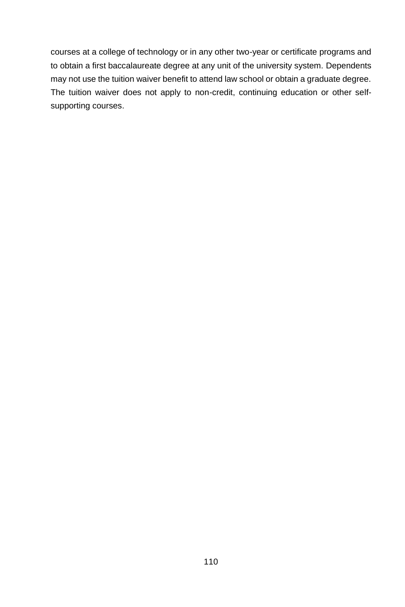courses at a college of technology or in any other two-year or certificate programs and to obtain a first baccalaureate degree at any unit of the university system. Dependents may not use the tuition waiver benefit to attend law school or obtain a graduate degree. The tuition waiver does not apply to non-credit, continuing education or other selfsupporting courses.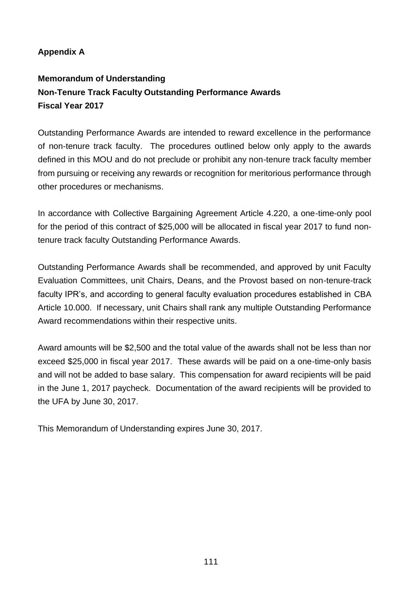## **Appendix A**

## **Memorandum of Understanding Non-Tenure Track Faculty Outstanding Performance Awards Fiscal Year 2017**

Outstanding Performance Awards are intended to reward excellence in the performance of non-tenure track faculty. The procedures outlined below only apply to the awards defined in this MOU and do not preclude or prohibit any non-tenure track faculty member from pursuing or receiving any rewards or recognition for meritorious performance through other procedures or mechanisms.

In accordance with Collective Bargaining Agreement Article 4.220, a one-time-only pool for the period of this contract of \$25,000 will be allocated in fiscal year 2017 to fund nontenure track faculty Outstanding Performance Awards.

Outstanding Performance Awards shall be recommended, and approved by unit Faculty Evaluation Committees, unit Chairs, Deans, and the Provost based on non-tenure-track faculty IPR's, and according to general faculty evaluation procedures established in CBA Article 10.000. If necessary, unit Chairs shall rank any multiple Outstanding Performance Award recommendations within their respective units.

Award amounts will be \$2,500 and the total value of the awards shall not be less than nor exceed \$25,000 in fiscal year 2017. These awards will be paid on a one-time-only basis and will not be added to base salary. This compensation for award recipients will be paid in the June 1, 2017 paycheck. Documentation of the award recipients will be provided to the UFA by June 30, 2017.

This Memorandum of Understanding expires June 30, 2017.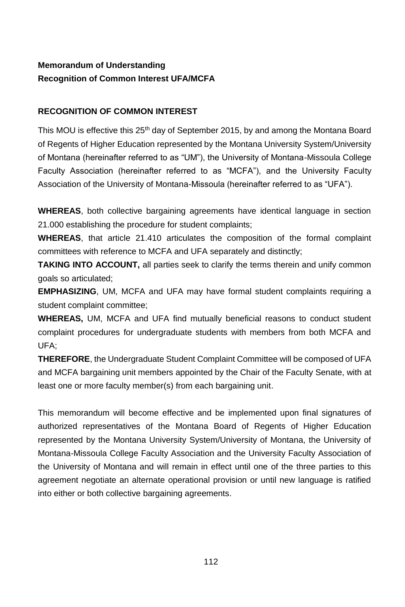## **Memorandum of Understanding Recognition of Common Interest UFA/MCFA**

### **RECOGNITION OF COMMON INTEREST**

This MOU is effective this 25<sup>th</sup> day of September 2015, by and among the Montana Board of Regents of Higher Education represented by the Montana University System/University of Montana (hereinafter referred to as "UM"), the University of Montana-Missoula College Faculty Association (hereinafter referred to as "MCFA"), and the University Faculty Association of the University of Montana-Missoula (hereinafter referred to as "UFA").

**WHEREAS**, both collective bargaining agreements have identical language in section 21.000 establishing the procedure for student complaints;

**WHEREAS**, that article 21.410 articulates the composition of the formal complaint committees with reference to MCFA and UFA separately and distinctly;

**TAKING INTO ACCOUNT,** all parties seek to clarify the terms therein and unify common goals so articulated;

**EMPHASIZING**, UM, MCFA and UFA may have formal student complaints requiring a student complaint committee;

**WHEREAS,** UM, MCFA and UFA find mutually beneficial reasons to conduct student complaint procedures for undergraduate students with members from both MCFA and UFA;

**THEREFORE**, the Undergraduate Student Complaint Committee will be composed of UFA and MCFA bargaining unit members appointed by the Chair of the Faculty Senate, with at least one or more faculty member(s) from each bargaining unit.

This memorandum will become effective and be implemented upon final signatures of authorized representatives of the Montana Board of Regents of Higher Education represented by the Montana University System/University of Montana, the University of Montana-Missoula College Faculty Association and the University Faculty Association of the University of Montana and will remain in effect until one of the three parties to this agreement negotiate an alternate operational provision or until new language is ratified into either or both collective bargaining agreements.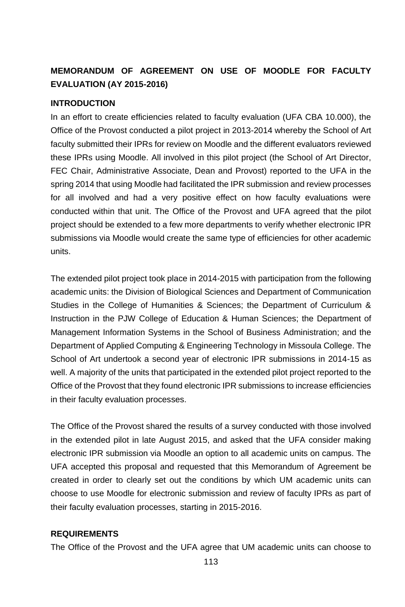## **MEMORANDUM OF AGREEMENT ON USE OF MOODLE FOR FACULTY EVALUATION (AY 2015-2016)**

### **INTRODUCTION**

In an effort to create efficiencies related to faculty evaluation (UFA CBA 10.000), the Office of the Provost conducted a pilot project in 2013-2014 whereby the School of Art faculty submitted their IPRs for review on Moodle and the different evaluators reviewed these IPRs using Moodle. All involved in this pilot project (the School of Art Director, FEC Chair, Administrative Associate, Dean and Provost) reported to the UFA in the spring 2014 that using Moodle had facilitated the IPR submission and review processes for all involved and had a very positive effect on how faculty evaluations were conducted within that unit. The Office of the Provost and UFA agreed that the pilot project should be extended to a few more departments to verify whether electronic IPR submissions via Moodle would create the same type of efficiencies for other academic units.

The extended pilot project took place in 2014-2015 with participation from the following academic units: the Division of Biological Sciences and Department of Communication Studies in the College of Humanities & Sciences; the Department of Curriculum & Instruction in the PJW College of Education & Human Sciences; the Department of Management Information Systems in the School of Business Administration; and the Department of Applied Computing & Engineering Technology in Missoula College. The School of Art undertook a second year of electronic IPR submissions in 2014-15 as well. A majority of the units that participated in the extended pilot project reported to the Office of the Provost that they found electronic IPR submissions to increase efficiencies in their faculty evaluation processes.

The Office of the Provost shared the results of a survey conducted with those involved in the extended pilot in late August 2015, and asked that the UFA consider making electronic IPR submission via Moodle an option to all academic units on campus. The UFA accepted this proposal and requested that this Memorandum of Agreement be created in order to clearly set out the conditions by which UM academic units can choose to use Moodle for electronic submission and review of faculty IPRs as part of their faculty evaluation processes, starting in 2015-2016.

### **REQUIREMENTS**

The Office of the Provost and the UFA agree that UM academic units can choose to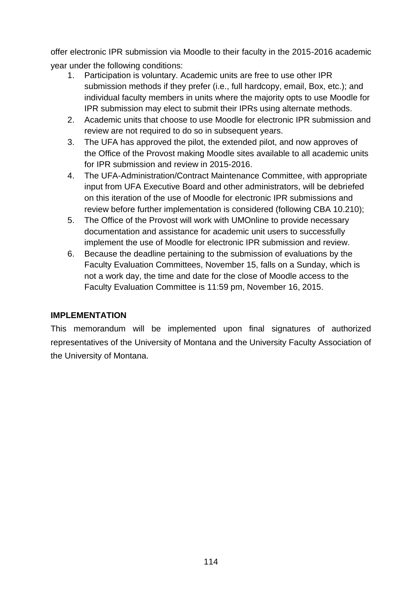offer electronic IPR submission via Moodle to their faculty in the 2015-2016 academic year under the following conditions:

- 1. Participation is voluntary. Academic units are free to use other IPR submission methods if they prefer (i.e., full hardcopy, email, Box, etc.); and individual faculty members in units where the majority opts to use Moodle for IPR submission may elect to submit their IPRs using alternate methods.
- 2. Academic units that choose to use Moodle for electronic IPR submission and review are not required to do so in subsequent years.
- 3. The UFA has approved the pilot, the extended pilot, and now approves of the Office of the Provost making Moodle sites available to all academic units for IPR submission and review in 2015-2016.
- 4. The UFA-Administration/Contract Maintenance Committee, with appropriate input from UFA Executive Board and other administrators, will be debriefed on this iteration of the use of Moodle for electronic IPR submissions and review before further implementation is considered (following CBA 10.210);
- 5. The Office of the Provost will work with UMOnline to provide necessary documentation and assistance for academic unit users to successfully implement the use of Moodle for electronic IPR submission and review.
- 6. Because the deadline pertaining to the submission of evaluations by the Faculty Evaluation Committees, November 15, falls on a Sunday, which is not a work day, the time and date for the close of Moodle access to the Faculty Evaluation Committee is 11:59 pm, November 16, 2015.

### **IMPLEMENTATION**

This memorandum will be implemented upon final signatures of authorized representatives of the University of Montana and the University Faculty Association of the University of Montana.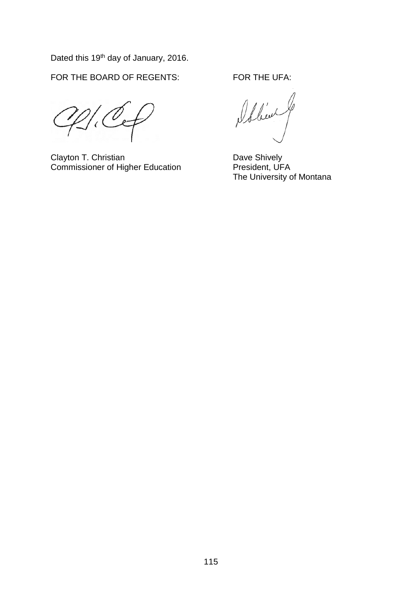Dated this 19<sup>th</sup> day of January, 2016.

FOR THE BOARD OF REGENTS: FOR THE UFA:

Clayton T. Christian<br>
Commissioner of Higher Education
Bave Shively
Dave Shively
Dennissioner of Higher Education
Dennissioner
Dennissioner
Dennissioner
Dennissioner
Dennissioner
Dennissioner
Dennissioner
Dennissioner
Denn Commissioner of Higher Education

Ibben

The University of Montana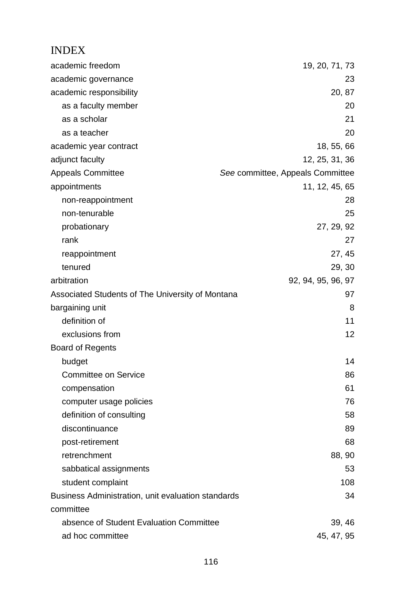# INDEX

| academic freedom                                   | 19, 20, 71, 73                   |
|----------------------------------------------------|----------------------------------|
| academic governance                                | 23                               |
| academic responsibility                            | 20, 87                           |
| as a faculty member                                | 20                               |
| as a scholar                                       | 21                               |
| as a teacher                                       | 20                               |
| academic year contract                             | 18, 55, 66                       |
| adjunct faculty                                    | 12, 25, 31, 36                   |
| Appeals Committee                                  | See committee, Appeals Committee |
| appointments                                       | 11, 12, 45, 65                   |
| non-reappointment                                  | 28                               |
| non-tenurable                                      | 25                               |
| probationary                                       | 27, 29, 92                       |
| rank                                               | 27                               |
| reappointment                                      | 27, 45                           |
| tenured                                            | 29, 30                           |
| arbitration                                        | 92, 94, 95, 96, 97               |
| Associated Students of The University of Montana   | 97                               |
| bargaining unit                                    | 8                                |
| definition of                                      | 11                               |
| exclusions from                                    | 12                               |
| Board of Regents                                   |                                  |
| budget                                             | 14                               |
| Committee on Service                               | 86                               |
| compensation                                       | 61                               |
| computer usage policies                            | 76                               |
| definition of consulting                           | 58                               |
| discontinuance                                     | 89                               |
| post-retirement                                    | 68                               |
| retrenchment                                       | 88, 90                           |
| sabbatical assignments                             | 53                               |
| student complaint                                  | 108                              |
| Business Administration, unit evaluation standards | 34                               |
| committee                                          |                                  |
| absence of Student Evaluation Committee            | 39, 46                           |
| ad hoc committee                                   | 45, 47, 95                       |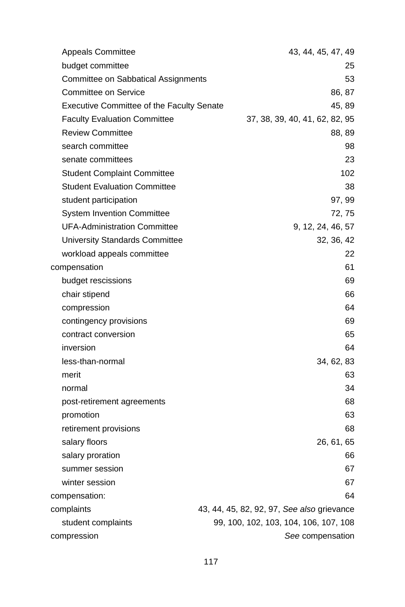| <b>Appeals Committee</b>                         | 43, 44, 45, 47, 49                         |
|--------------------------------------------------|--------------------------------------------|
| budget committee                                 | 25                                         |
| Committee on Sabbatical Assignments              | 53                                         |
| Committee on Service                             | 86, 87                                     |
| <b>Executive Committee of the Faculty Senate</b> | 45, 89                                     |
| <b>Faculty Evaluation Committee</b>              | 37, 38, 39, 40, 41, 62, 82, 95             |
| <b>Review Committee</b>                          | 88, 89                                     |
| search committee                                 | 98                                         |
| senate committees                                | 23                                         |
| <b>Student Complaint Committee</b>               | 102                                        |
| <b>Student Evaluation Committee</b>              | 38                                         |
| student participation                            | 97, 99                                     |
| <b>System Invention Committee</b>                | 72, 75                                     |
| <b>UFA-Administration Committee</b>              | 9, 12, 24, 46, 57                          |
| University Standards Committee                   | 32, 36, 42                                 |
| workload appeals committee                       | 22                                         |
| compensation                                     | 61                                         |
| budget rescissions                               | 69                                         |
| chair stipend                                    | 66                                         |
| compression                                      | 64                                         |
| contingency provisions                           | 69                                         |
| contract conversion                              | 65                                         |
| inversion                                        | 64                                         |
| less-than-normal                                 | 34, 62, 83                                 |
| merit                                            | 63                                         |
| normal                                           | 34                                         |
| post-retirement agreements                       | 68                                         |
| promotion                                        | 63                                         |
| retirement provisions                            | 68                                         |
| salary floors                                    | 26, 61, 65                                 |
| salary proration                                 | 66                                         |
| summer session                                   | 67                                         |
| winter session                                   | 67                                         |
| compensation:                                    | 64                                         |
| complaints                                       | 43, 44, 45, 82, 92, 97, See also grievance |
| student complaints                               | 99, 100, 102, 103, 104, 106, 107, 108      |
| compression                                      | See compensation                           |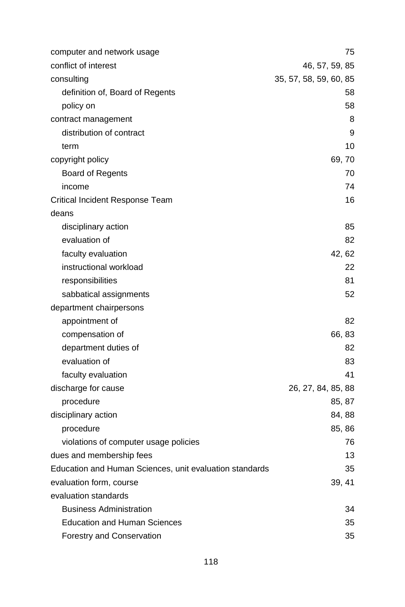| computer and network usage                              | 75                     |
|---------------------------------------------------------|------------------------|
| conflict of interest                                    | 46, 57, 59, 85         |
| consulting                                              | 35, 57, 58, 59, 60, 85 |
| definition of, Board of Regents                         | 58                     |
| policy on                                               | 58                     |
| contract management                                     | 8                      |
| distribution of contract                                | 9                      |
| term                                                    | 10                     |
| copyright policy                                        | 69,70                  |
| <b>Board of Regents</b>                                 | 70                     |
| income                                                  | 74                     |
| Critical Incident Response Team                         | 16                     |
| deans                                                   |                        |
| disciplinary action                                     | 85                     |
| evaluation of                                           | 82                     |
| faculty evaluation                                      | 42, 62                 |
| instructional workload                                  | 22                     |
| responsibilities                                        | 81                     |
| sabbatical assignments                                  | 52                     |
| department chairpersons                                 |                        |
| appointment of                                          | 82                     |
| compensation of                                         | 66, 83                 |
| department duties of                                    | 82                     |
| evaluation of                                           | 83                     |
| faculty evaluation                                      | 41                     |
| discharge for cause                                     | 26, 27, 84, 85, 88     |
| procedure                                               | 85, 87                 |
| disciplinary action                                     | 84, 88                 |
| procedure                                               | 85, 86                 |
| violations of computer usage policies                   | 76                     |
| dues and membership fees                                | 13                     |
| Education and Human Sciences, unit evaluation standards | 35                     |
| evaluation form, course                                 | 39, 41                 |
| evaluation standards                                    |                        |
| <b>Business Administration</b>                          | 34                     |
| <b>Education and Human Sciences</b>                     | 35                     |
| Forestry and Conservation                               | 35                     |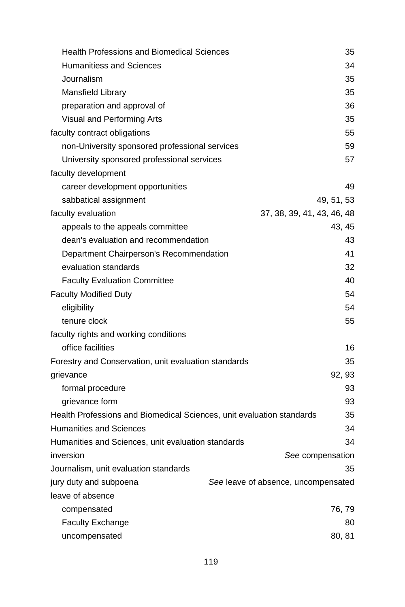| <b>Health Professions and Biomedical Sciences</b>                     | 35                                  |
|-----------------------------------------------------------------------|-------------------------------------|
| <b>Humanitiess and Sciences</b>                                       | 34                                  |
| Journalism                                                            | 35                                  |
| Mansfield Library                                                     | 35                                  |
| preparation and approval of                                           | 36                                  |
| Visual and Performing Arts                                            | 35                                  |
| faculty contract obligations                                          | 55                                  |
| non-University sponsored professional services                        | 59                                  |
| University sponsored professional services                            | 57                                  |
| faculty development                                                   |                                     |
| career development opportunities                                      | 49                                  |
| sabbatical assignment                                                 | 49, 51, 53                          |
| faculty evaluation                                                    | 37, 38, 39, 41, 43, 46, 48          |
| appeals to the appeals committee                                      | 43, 45                              |
| dean's evaluation and recommendation                                  | 43                                  |
| Department Chairperson's Recommendation                               | 41                                  |
| evaluation standards                                                  | 32                                  |
| <b>Faculty Evaluation Committee</b>                                   | 40                                  |
| <b>Faculty Modified Duty</b>                                          | 54                                  |
| eligibility                                                           | 54                                  |
| tenure clock                                                          | 55                                  |
| faculty rights and working conditions                                 |                                     |
| office facilities                                                     | 16                                  |
| Forestry and Conservation, unit evaluation standards                  | 35                                  |
| grievance                                                             | 92, 93                              |
| formal procedure                                                      | 93                                  |
| grievance form                                                        | 93                                  |
| Health Professions and Biomedical Sciences, unit evaluation standards | 35                                  |
| <b>Humanities and Sciences</b>                                        | 34                                  |
| Humanities and Sciences, unit evaluation standards                    | 34                                  |
| inversion                                                             | See compensation                    |
| Journalism, unit evaluation standards                                 | 35                                  |
| jury duty and subpoena                                                | See leave of absence, uncompensated |
| leave of absence                                                      |                                     |
| compensated                                                           | 76, 79                              |
| <b>Faculty Exchange</b>                                               | 80                                  |
| uncompensated                                                         | 80, 81                              |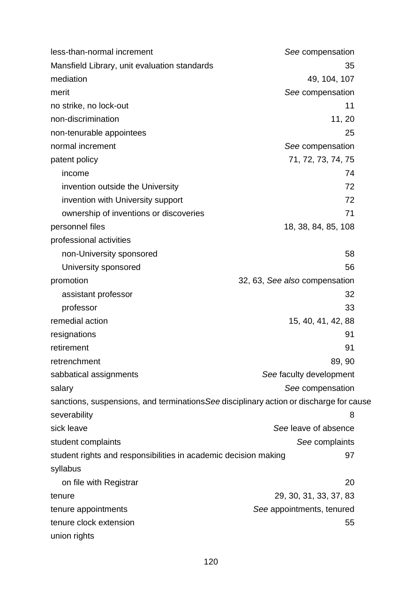less-than-normal increment *See* compensation Mansfield Library, unit evaluation standards 35 mediation 49, 104, 107 merit **See** compensation no strike, no lock-out 11 non-discrimination 11, 20 non-tenurable appointees 25 normal increment *See* compensation patent policy 71, 72, 73, 74, 75 income 74 invention outside the University **72** invention with University support 72 ownership of inventions or discoveries **71** personnel files 18, 38, 84, 85, 108 professional activities non-University sponsored 58 University sponsored 56 promotion 32, 63, *See also* compensation assistant professor 32 professor 33 remedial action 15, 40, 41, 42, 88 resignations 91 retirement 91 retrenchment 89, 90 sabbatical assignments *See* faculty development salary **See** compensation **See** compensation sanctions, suspensions, and terminations*See* disciplinary action or discharge for cause severability 8 sick leave *See* leave of absence student complaints *See* complaints student rights and responsibilities in academic decision making 97 syllabus on file with Registrar 20 tenure 29, 30, 31, 33, 37, 83 tenure appointments *See* appointments, tenured tenure clock extension 55 union rights